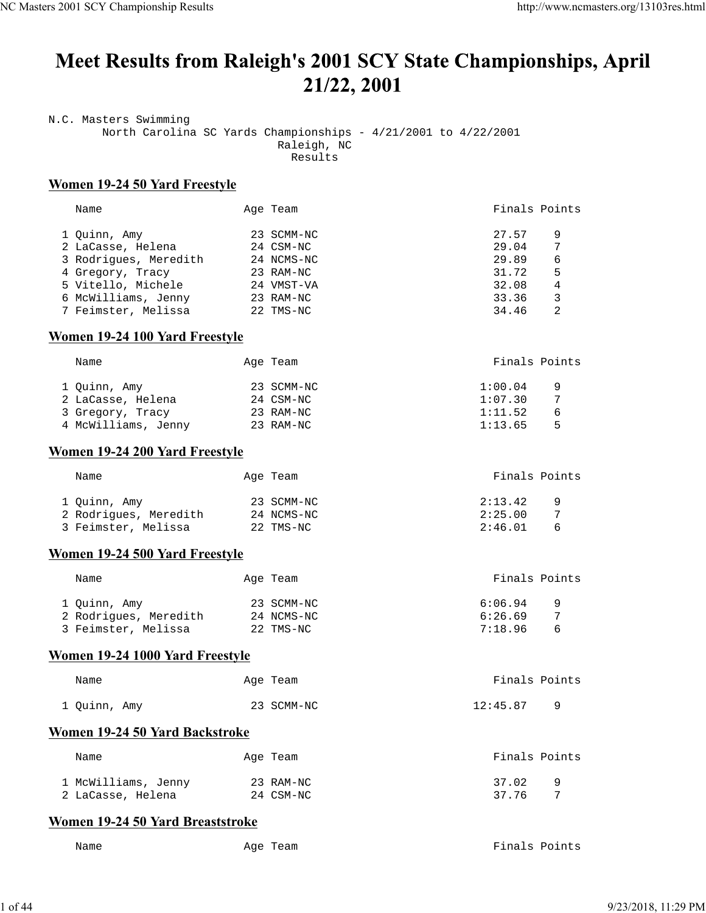# Meet Results from Raleigh's 2001 SCY State Championships, April 21/22, 2001

N.C. Masters Swimming North Carolina SC Yards Championships - 4/21/2001 to 4/22/2001 Raleigh, NC Results

## **Women 19-24 50 Yard Freestyle**

| Name                  | Age Team   | Finals Points |   |
|-----------------------|------------|---------------|---|
| 1 Ouinn, Amy          | 23 SCMM-NC | 27.57         | 9 |
| 2 LaCasse, Helena     | 24 CSM-NC  | 29.04         | 7 |
| 3 Rodrigues, Meredith | 24 NCMS-NC | 29.89         | 6 |
| 4 Gregory, Tracy      | 23 RAM-NC  | 31.72         | 5 |
| 5 Vitello, Michele    | 24 VMST-VA | 32.08         | 4 |
| 6 McWilliams, Jenny   | 23 RAM-NC  | 33.36         | 3 |
| 7 Feimster, Melissa   | 22 TMS-NC  | 34.46         | 2 |

## **Women 19-24 100 Yard Freestyle**

| Name                | Age Team   | Finals Points |
|---------------------|------------|---------------|
| 1 Ouinn, Amy        | 23 SCMM-NC | 1:00.04<br>9  |
| 2 LaCasse, Helena   | 24 CSM-NC  | 1:07.30       |
| 3 Gregory, Tracy    | 23 RAM-NC  | 1:11.52<br>6  |
| 4 McWilliams, Jenny | 23 RAM-NC  | 1:13.65<br>ᄃ  |

## **Women 19-24 200 Yard Freestyle**

| Name                  | Age Team   | Finals Points         |
|-----------------------|------------|-----------------------|
| 1 Quinn, Amy          | 23 SCMM-NC | 2:13.42<br>- 9        |
| 2 Rodrigues, Meredith | 24 NCMS-NC | 2:25.00<br>7          |
| 3 Feimster, Melissa   | 22 TMS-NC  | 2:46.01<br>$\epsilon$ |

## **Women 19-24 500 Yard Freestyle**

| Name                  | Age Team   | Finals Points       |
|-----------------------|------------|---------------------|
| 1 Quinn, Amy          | 23 SCMM-NC | 6:06.94<br><u>g</u> |
| 2 Rodrigues, Meredith | 24 NCMS-NC | 6:26.69             |
| 3 Feimster, Melissa   | 22 TMS-NC  | 7:18.96<br>6        |

## **Women 19-24 1000 Yard Freestyle**

| Name         | Age Team   | Finals Points |
|--------------|------------|---------------|
| 1 Quinn, Amy | 23 SCMM-NC | 12:45.87      |

## **Women 19-24 50 Yard Backstroke**

| Name                                     | Age Team               | Finals Points              |
|------------------------------------------|------------------------|----------------------------|
| 1 McWilliams, Jenny<br>2 LaCasse, Helena | 23 RAM-NC<br>24 CSM-NC | 37.02<br><b>Q</b><br>37.76 |

## **Women 19-24 50 Yard Breaststroke**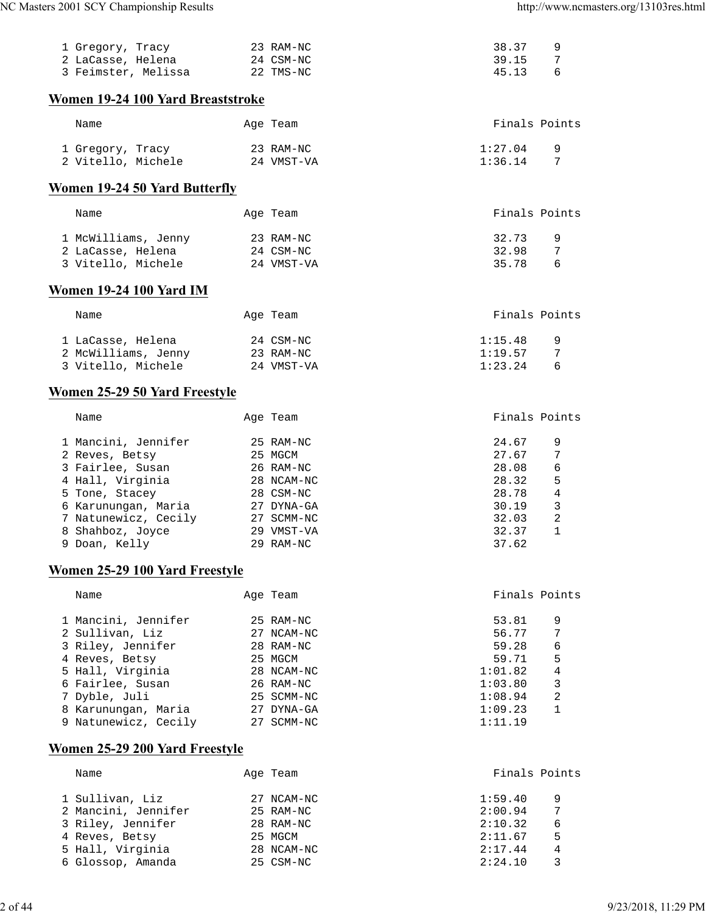| 1 Gregory, Tracy<br>2 LaCasse, Helena  | 23 RAM-NC<br>24 CSM-NC  | 38.37<br>39.15     | 9<br>7            |
|----------------------------------------|-------------------------|--------------------|-------------------|
| 3 Feimster, Melissa                    | 22 TMS-NC               | 45.13              | 6                 |
| Women 19-24 100 Yard Breaststroke      |                         |                    |                   |
| Name                                   | Age Team                |                    | Finals Points     |
| 1 Gregory, Tracy<br>2 Vitello, Michele | 23 RAM-NC<br>24 VMST-VA | 1:27.04<br>1:36.14 | 9<br>7            |
| <b>Women 19-24 50 Yard Butterfly</b>   |                         |                    |                   |
|                                        |                         |                    |                   |
| Name                                   | Age Team                |                    | Finals Points     |
| 1 McWilliams, Jenny                    | 23 RAM-NC               | 32.73              | 9                 |
| 2 LaCasse, Helena                      | 24 CSM-NC               | 32.98              | 7                 |
| 3 Vitello, Michele                     | 24 VMST-VA              | 35.78              | 6                 |
| <b>Women 19-24 100 Yard IM</b>         |                         |                    |                   |
| Name                                   | Age Team                |                    | Finals Points     |
| 1 LaCasse, Helena                      | 24 CSM-NC               | 1:15.48            | 9                 |
| 2 McWilliams, Jenny                    | 23 RAM-NC               | 1:19.57            | 7                 |
| 3 Vitello, Michele                     | 24 VMST-VA              | 1:23.24            | 6                 |
| Women 25-29 50 Yard Freestyle          |                         |                    |                   |
| Name                                   | Age Team                |                    | Finals Points     |
| 1 Mancini, Jennifer                    | 25 RAM-NC               | 24.67              | 9                 |
| 2 Reves, Betsy                         | 25 MGCM                 | 27.67              | 7                 |
| 3 Fairlee, Susan                       | 26 RAM-NC               | 28.08              | 6                 |
| 4 Hall, Virginia                       | 28 NCAM-NC              | 28.32              | 5                 |
| 5 Tone, Stacey                         | 28 CSM-NC               | 28.78              | 4                 |
| 6 Karunungan, Maria                    | 27 DYNA-GA              | 30.19              | 3                 |
| 7 Natunewicz, Cecily                   | 27 SCMM-NC              | 32.03              | 2<br>$\mathbf{1}$ |
| 8 Shahboz, Joyce<br>9 Doan, Kelly      | 29 VMST-VA<br>29 RAM-NC | 32.37<br>37.62     |                   |
|                                        |                         |                    |                   |
| Women 25-29 100 Yard Freestyle         |                         |                    |                   |
| Name                                   | Age Team                |                    | Finals Points     |

| wame                 | AYC LCAIN  | $\pm$ 1164 + $\pm$ 0 + 0 + 116 + 1 |   |
|----------------------|------------|------------------------------------|---|
| 1 Mancini, Jennifer  | 25 RAM-NC  | 53.81                              | 9 |
| 2 Sullivan, Liz      | 27 NCAM-NC | 56.77                              | 7 |
| 3 Riley, Jennifer    | 28 RAM-NC  | 59.28                              | 6 |
| 4 Reves, Betsy       | 25 MGCM    | 59.71                              | 5 |
| 5 Hall, Virginia     | 28 NCAM-NC | 1:01.82                            | 4 |
| 6 Fairlee, Susan     | 26 RAM-NC  | 1:03.80                            | 3 |
| 7 Dyble, Juli        | 25 SCMM-NC | 1:08.94                            | 2 |
| 8 Karunungan, Maria  | 27 DYNA-GA | 1:09.23                            |   |
| 9 Natunewicz, Cecily | 27 SCMM-NC | 1:11.19                            |   |
|                      |            |                                    |   |

# **Women 25-29 200 Yard Freestyle**

| Name                | Age Team   | Finals Points |   |
|---------------------|------------|---------------|---|
| 1 Sullivan, Liz     | 27 NCAM-NC | 1:59.40       | 9 |
| 2 Mancini, Jennifer | 25 RAM-NC  | 2:00.94       | 7 |
| 3 Riley, Jennifer   | 28 RAM-NC  | 2:10.32       | 6 |
| 4 Reves, Betsy      | 25 MGCM    | 2:11.67       | 5 |
| 5 Hall, Virginia    | 28 NCAM-NC | 2:17.44       | 4 |
| 6 Glossop, Amanda   | 25 CSM-NC  | 2:24.10       |   |
|                     |            |               |   |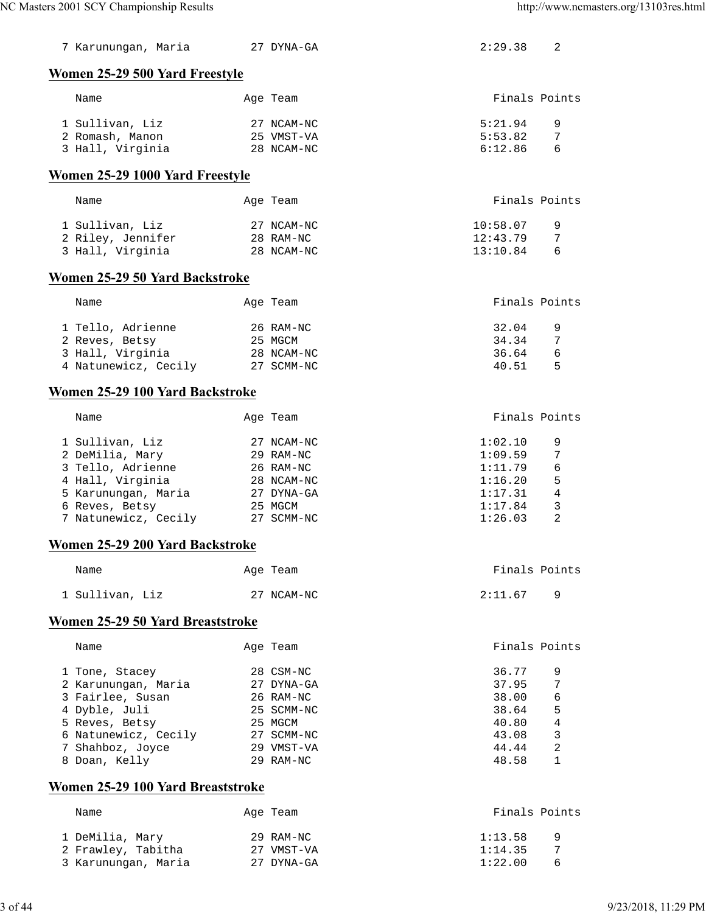| 7 Karunungan, Maria         27 DYNA-GA |            | 2:29.38  | 2             |
|----------------------------------------|------------|----------|---------------|
| Women 25-29 500 Yard Freestyle         |            |          |               |
| Name                                   | Age Team   |          | Finals Points |
| 1 Sullivan, Liz                        | 27 NCAM-NC | 5:21.94  | 9             |
| 2 Romash, Manon                        | 25 VMST-VA | 5:53.82  | 7             |
| 3 Hall, Virginia                       | 28 NCAM-NC | 6:12.86  | 6             |
| Women 25-29 1000 Yard Freestyle        |            |          |               |
|                                        |            |          |               |
| Name                                   | Age Team   |          | Finals Points |
| 1 Sullivan, Liz                        | 27 NCAM-NC | 10:58.07 | 9             |
| 2 Riley, Jennifer                      | 28 RAM-NC  | 12:43.79 | 7             |
| 3 Hall, Virginia                       | 28 NCAM-NC | 13:10.84 | 6             |
| Women 25-29 50 Yard Backstroke         |            |          |               |
| Name                                   | Age Team   |          | Finals Points |
|                                        |            |          |               |
| 1 Tello, Adrienne                      | 26 RAM-NC  | 32.04    | 9             |
| 2 Reves, Betsy                         | 25 MGCM    | 34.34    | 7             |
| 3 Hall, Virginia                       | 28 NCAM-NC | 36.64    | 6             |
| 4 Natunewicz, Cecily                   | 27 SCMM-NC | 40.51    | 5             |
| Women 25-29 100 Yard Backstroke        |            |          |               |
| Name                                   | Age Team   |          | Finals Points |
| 1 Sullivan, Liz                        | 27 NCAM-NC | 1:02.10  | 9             |
| 2 DeMilia, Mary                        | 29 RAM-NC  | 1:09.59  | 7             |
| 3 Tello, Adrienne                      | 26 RAM-NC  | 1:11.79  | 6             |
| 4 Hall, Virginia                       | 28 NCAM-NC | 1:16.20  | 5             |
| 5 Karunungan, Maria                    | 27 DYNA-GA | 1:17.31  | 4             |
| 6 Reves, Betsy                         | 25 MGCM    | 1:17.84  | 3             |
| 7 Natunewicz, Cecily                   | 27 SCMM-NC | 1:26.03  | 2             |
| Women 25-29 200 Yard Backstroke        |            |          |               |
| Name                                   | Age Team   |          | Finals Points |
| 1 Sullivan, Liz                        | 27 NCAM-NC | 2:11.67  | 9             |
| Women 25-29 50 Yard Breaststroke       |            |          |               |
| Name                                   | Age Team   |          | Finals Points |
|                                        |            |          |               |
| 1 Tone, Stacey                         | 28 CSM-NC  | 36.77    | 9             |
| 2 Karunungan, Maria                    | 27 DYNA-GA | 37.95    | 7             |
| 3 Fairlee, Susan                       | 26 RAM-NC  | 38.00    | 6             |
| 4 Dyble, Juli                          | 25 SCMM-NC | 38.64    | 5             |
| 5 Reves, Betsy                         | 25 MGCM    | 40.80    | 4             |
| 6 Natunewicz, Cecily                   | 27 SCMM-NC | 43.08    | 3             |
| 7 Shahboz, Joyce                       | 29 VMST-VA | 44.44    | 2             |
| 8 Doan, Kelly                          | 29 RAM-NC  | 48.58    | 1             |
| Women 25-29 100 Yard Breaststroke      |            |          |               |
| Name                                   | Age Team   |          | Finals Points |
| 1 DeMilia, Mary                        | 29 RAM-NC  | 1:13.58  | 9             |
| 2 Frawley, Tabitha                     | 27 VMST-VA | 1:14.35  | 7             |
| 3 Karunungan, Maria                    | 27 DYNA-GA | 1:22.00  | 6             |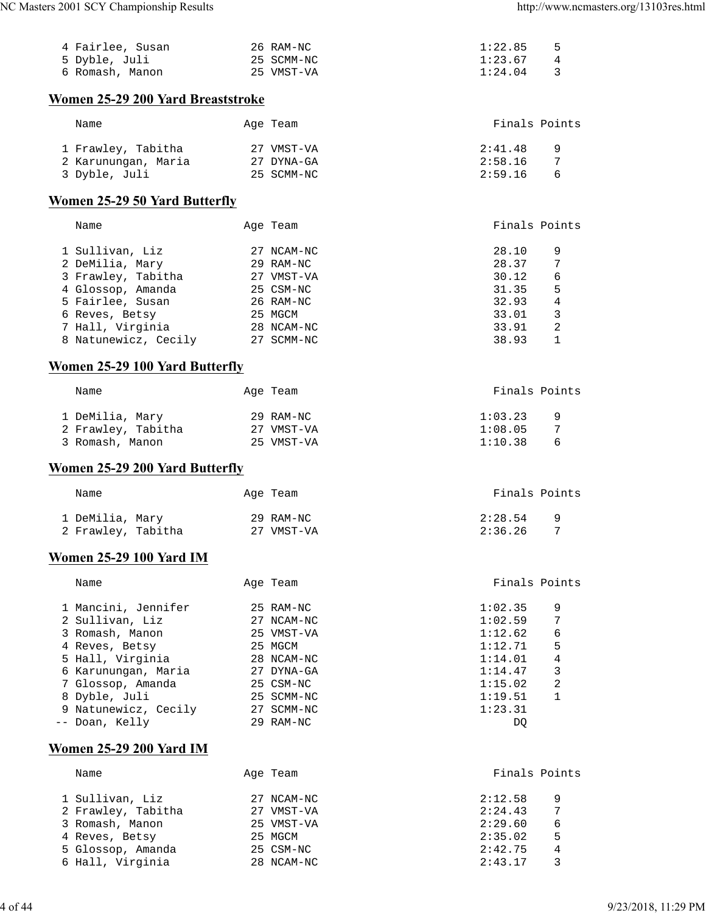| 4 Fairlee. Susan | 26 RAM-NC  | 1:22.85<br>- 5            |
|------------------|------------|---------------------------|
| 5 Dyble, Juli    | 25 SCMM-NC | 1:23.67<br>$\overline{4}$ |
| 6 Romash, Manon  | 25 VMST-VA | - 3<br>1:24.04            |

## **Women 25-29 200 Yard Breaststroke**

| Name                | Age Team   | Finals Points  |
|---------------------|------------|----------------|
| 1 Frawley, Tabitha  | 27 VMST-VA | 2:41.48<br>- 9 |
| 2 Karunungan, Maria | 27 DYNA-GA | 2:58.16        |
| 3 Dyble, Juli       | 25 SCMM-NC | 2:59.16<br>6   |

### **Women 25-29 50 Yard Butterfly**

| Name                 |    | Age Team   | Finals Points |   |
|----------------------|----|------------|---------------|---|
| 1 Sullivan, Liz      |    | 27 NCAM-NC | 28.10         | 9 |
| 2 DeMilia, Mary      |    | 29 RAM-NC  | 28.37         | 7 |
| 3 Frawley, Tabitha   |    | 27 VMST-VA | 30.12         | 6 |
| 4 Glossop, Amanda    |    | 25 CSM-NC  | 31.35         | 5 |
| 5 Fairlee, Susan     |    | 26 RAM-NC  | 32.93         | 4 |
| 6 Reves, Betsy       |    | 25 MGCM    | 33.01         | 3 |
| 7 Hall, Virginia     |    | 28 NCAM-NC | 33.91         | 2 |
| 8 Natunewicz, Cecily | 27 | SCMM-NC    | 38.93         |   |
|                      |    |            |               |   |

## **Women 25-29 100 Yard Butterfly**

| Name               | Age Team   | Finals Points       |
|--------------------|------------|---------------------|
| 1 DeMilia, Mary    | 29 RAM-NC  | 1:03.23<br><u>g</u> |
| 2 Frawley, Tabitha | 27 VMST-VA | 1:08.05             |
| 3 Romash, Manon    | 25 VMST-VA | 1:10.38<br>- 6      |

### **Women 25-29 200 Yard Butterfly**

| Name                                  | Age Team                |                    | Finals Points |
|---------------------------------------|-------------------------|--------------------|---------------|
| 1 DeMilia, Mary<br>2 Frawley, Tabitha | 29 RAM-NC<br>27 VMST-VA | 2:28.54<br>2:36.26 | <u>g</u>      |

## **Women 25-29 100 Yard IM**

| Name                 | Age Team   | Finals Points |   |
|----------------------|------------|---------------|---|
| 1 Mancini, Jennifer  | 25 RAM-NC  | 1:02.35       | 9 |
| 2 Sullivan, Liz      | 27 NCAM-NC | 1:02.59       | 7 |
| 3 Romash, Manon      | 25 VMST-VA | 1:12.62       | 6 |
| 4 Reves, Betsy       | 25 MGCM    | 1:12.71       | 5 |
| 5 Hall, Virginia     | 28 NCAM-NC | 1:14.01       | 4 |
| 6 Karunungan, Maria  | 27 DYNA-GA | 1:14.47       | 3 |
| 7 Glossop, Amanda    | 25 CSM-NC  | 1:15.02       | 2 |
| 8 Dyble, Juli        | 25 SCMM-NC | 1:19.51       |   |
| 9 Natunewicz, Cecily | 27 SCMM-NC | 1:23.31       |   |
| -- Doan, Kelly       | 29 RAM-NC  | DO            |   |

## **Women 25-29 200 Yard IM**

| Name               | Age Team   | Finals Points |
|--------------------|------------|---------------|
| 1 Sullivan, Liz    | 27 NCAM-NC | 2:12.58<br>9  |
| 2 Frawley, Tabitha | 27 VMST-VA | 7<br>2:24.43  |
| 3 Romash, Manon    | 25 VMST-VA | 2:29.60<br>6  |
| 4 Reves, Betsy     | 25 MGCM    | 5<br>2:35.02  |
| 5 Glossop, Amanda  | 25 CSM-NC  | 2:42.75<br>4  |
| 6 Hall, Virginia   | 28 NCAM-NC | 3<br>2:43.17  |
|                    |            |               |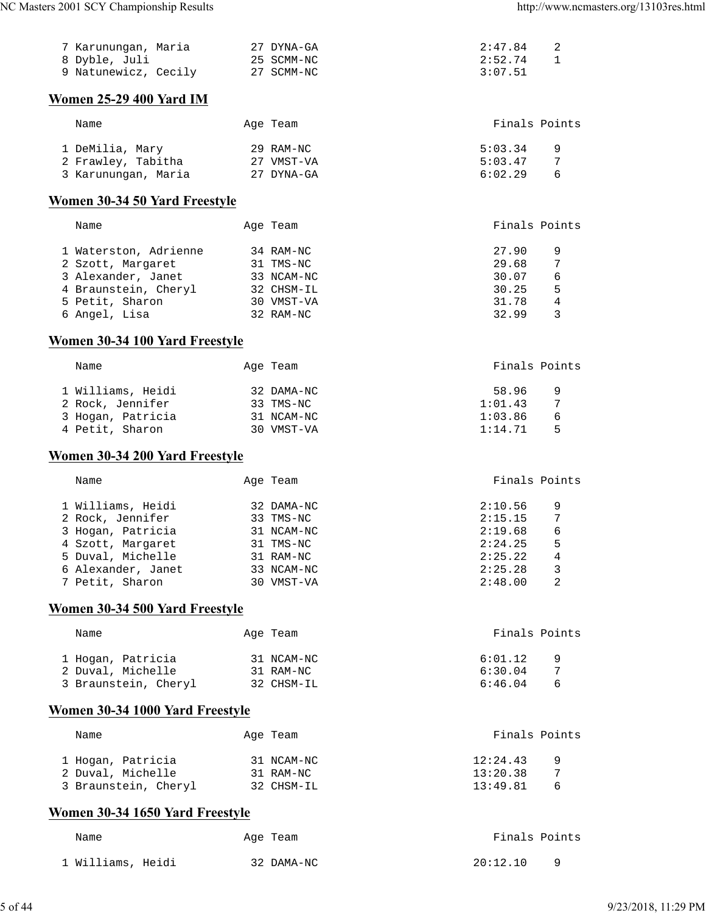| 7 Karunungan, Maria  | 27 DYNA-GA | 2:47.84 |
|----------------------|------------|---------|
| 8 Dyble, Juli        | 25 SCMM-NC | 2:52.74 |
| 9 Natunewicz, Cecily | 27 SCMM-NC | 3:07.51 |
|                      |            |         |

## **Women 25-29 400 Yard IM**

| Name                | Age Team   | Finals Points       |
|---------------------|------------|---------------------|
| 1 DeMilia, Mary     | 29 RAM-NC  | 5:03.34<br><u>q</u> |
| 2 Frawley, Tabitha  | 27 VMST-VA | 5:03.47             |
| 3 Karunungan, Maria | 27 DYNA-GA | 6:02.29<br>6        |

## **Women 30-34 50 Yard Freestyle**

| Name          |                       | Age Team   | Finals Points |   |
|---------------|-----------------------|------------|---------------|---|
|               | 1 Waterston, Adrienne | 34 RAM-NC  | 27.90         | 9 |
|               | 2 Szott, Margaret     | 31 TMS-NC  | 29.68         | 7 |
|               | 3 Alexander, Janet    | 33 NCAM-NC | 30.07         | 6 |
|               | 4 Braunstein, Cheryl  | 32 CHSM-IL | 30.25         | 5 |
|               | 5 Petit, Sharon       | 30 VMST-VA | 31.78         | 4 |
| 6 Angel, Lisa |                       | 32 RAM-NC  | 32.99         | 3 |

### **Women 30-34 100 Yard Freestyle**

| Name              | Age Team   |         | Finals Points |
|-------------------|------------|---------|---------------|
| 1 Williams, Heidi | 32 DAMA-NC | 58.96   | q             |
| 2 Rock, Jennifer  | 33 TMS-NC  | 1:01.43 | 7             |
| 3 Hogan, Patricia | 31 NCAM-NC | 1:03.86 | 6             |
| 4 Petit, Sharon   | 30 VMST-VA | 1:14.71 | Б.            |

## **Women 30-34 200 Yard Freestyle**

| Name               | Age Team   |         | Finals Points |
|--------------------|------------|---------|---------------|
| 1 Williams, Heidi  | 32 DAMA-NC | 2:10.56 | 9             |
| 2 Rock, Jennifer   | 33 TMS-NC  | 2:15.15 |               |
| 3 Hogan, Patricia  | 31 NCAM-NC | 2:19.68 | 6             |
| 4 Szott, Margaret  | 31 TMS-NC  | 2:24.25 | 5             |
| 5 Duval, Michelle  | 31 RAM-NC  | 2:25.22 | 4             |
| 6 Alexander, Janet | 33 NCAM-NC | 2:25.28 | 3             |
| 7 Petit, Sharon    | VMST-VA    | 2:48.00 | 2             |

## **Women 30-34 500 Yard Freestyle**

| Name                 | Age Team   | Finals Points       |
|----------------------|------------|---------------------|
| 1 Hogan, Patricia    | 31 NCAM-NC | 6:01.12<br><u>g</u> |
| 2 Duval, Michelle    | 31 RAM-NC  | 6:30.04             |
| 3 Braunstein, Cheryl | 32 CHSM-IL | 6:46.04             |

## **Women 30-34 1000 Yard Freestyle**

| Name                 | Age Team   | Finals Points        |
|----------------------|------------|----------------------|
| 1 Hogan, Patricia    | 31 NCAM-NC | 12:24.43<br><b>Q</b> |
| 2 Duval, Michelle    | 31 RAM-NC  | 13:20.38             |
| 3 Braunstein, Cheryl | 32 CHSM-IL | 13:49.81<br>$\kappa$ |

## **Women 30-34 1650 Yard Freestyle**

| Name              | Age Team   | Finals Points |
|-------------------|------------|---------------|
| 1 Williams, Heidi | 32 DAMA-NC | 20:12.10      |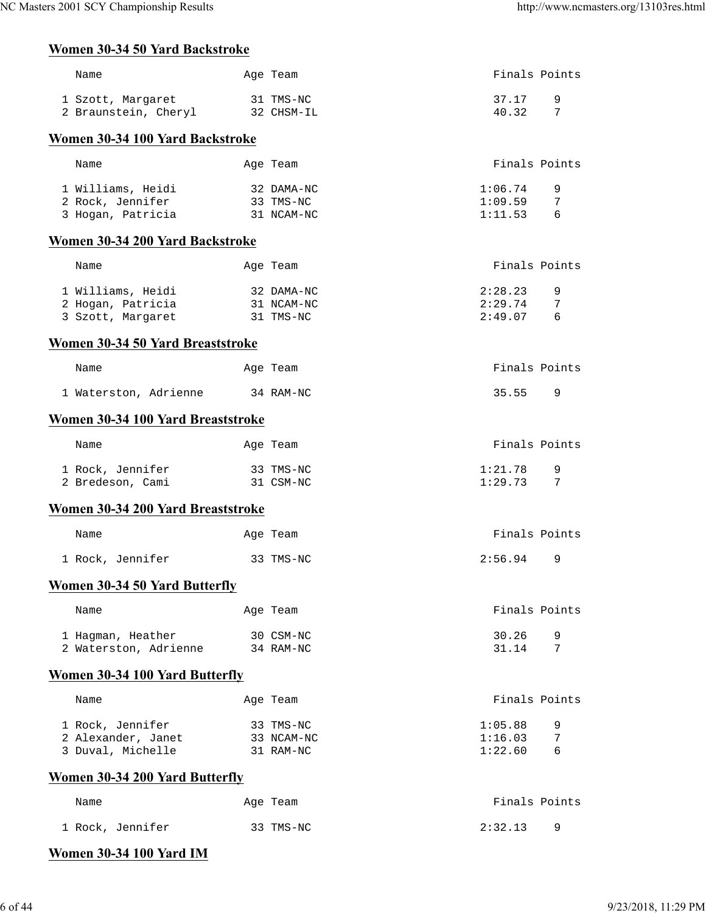## **Women 30-34 50 Yard Backstroke**

| Name                                 | Age Team                              | Finals Points |  |  |  |
|--------------------------------------|---------------------------------------|---------------|--|--|--|
| 1 Szott, Margaret                    | 31 TMS-NC                             | 9<br>37.17    |  |  |  |
| 2 Braunstein, Cheryl                 | 32 CHSM-IL                            | 40.32<br>7    |  |  |  |
| Women 30-34 100 Yard Backstroke      |                                       |               |  |  |  |
|                                      |                                       |               |  |  |  |
| Name                                 | Age Team                              | Finals Points |  |  |  |
| 1 Williams, Heidi                    | 32 DAMA-NC                            | 1:06.74<br>9  |  |  |  |
| 2 Rock, Jennifer                     | 33 TMS-NC                             | 1:09.59<br>7  |  |  |  |
| 3 Hogan, Patricia                    | 31 NCAM-NC                            | 1:11.53<br>6  |  |  |  |
| Women 30-34 200 Yard Backstroke      |                                       |               |  |  |  |
|                                      |                                       |               |  |  |  |
| Name                                 | Age Team                              | Finals Points |  |  |  |
| 1 Williams, Heidi                    | 32 DAMA-NC                            | 2:28.23<br>9  |  |  |  |
| 2 Hogan, Patricia                    | 31 NCAM-NC                            | 2:29.74<br>7  |  |  |  |
| 3 Szott, Margaret                    | 31 TMS-NC                             | 2:49.07<br>6  |  |  |  |
| Women 30-34 50 Yard Breaststroke     |                                       |               |  |  |  |
| Name                                 | Age Team                              | Finals Points |  |  |  |
| 1 Waterston, Adrienne                | 34 RAM-NC                             | 35.55<br>9    |  |  |  |
| Women 30-34 100 Yard Breaststroke    |                                       |               |  |  |  |
|                                      |                                       |               |  |  |  |
| Name                                 | Age Team                              | Finals Points |  |  |  |
| 1 Rock, Jennifer                     | 33 TMS-NC                             | 1:21.78<br>9  |  |  |  |
| 2 Bredeson, Cami                     | 31 CSM-NC                             | 1:29.73<br>7  |  |  |  |
| Women 30-34 200 Yard Breaststroke    |                                       |               |  |  |  |
| Name                                 | Age Team                              | Finals Points |  |  |  |
|                                      |                                       | 2:56.94       |  |  |  |
| 1 Rock, Jennifer                     | 33 TMS-NC                             | 9             |  |  |  |
| <b>Women 30-34 50 Yard Butterfly</b> |                                       |               |  |  |  |
| Name                                 | Age Team                              | Finals Points |  |  |  |
| 1 Hagman, Heather                    | 30 CSM-NC                             | 30.26<br>9    |  |  |  |
| 2 Waterston, Adrienne                | 34 RAM-NC                             | 31.14<br>7    |  |  |  |
| Women 30-34 100 Yard Butterfly       |                                       |               |  |  |  |
|                                      |                                       |               |  |  |  |
| Name                                 | Age Team                              | Finals Points |  |  |  |
| 1 Rock, Jennifer                     | 33 TMS-NC                             | 1:05.88<br>9  |  |  |  |
| 2 Alexander, Janet                   | 33 NCAM-NC                            | 1:16.03<br>7  |  |  |  |
| 3 Duval, Michelle                    | 31 RAM-NC                             | 1:22.60<br>6  |  |  |  |
|                                      | <b>Women 30-34 200 Yard Butterfly</b> |               |  |  |  |
| Name                                 | Age Team                              | Finals Points |  |  |  |
| 1 Rock, Jennifer                     | 33 TMS-NC                             | 2:32.13<br>9  |  |  |  |
|                                      |                                       |               |  |  |  |

# **Women 30-34 100 Yard IM**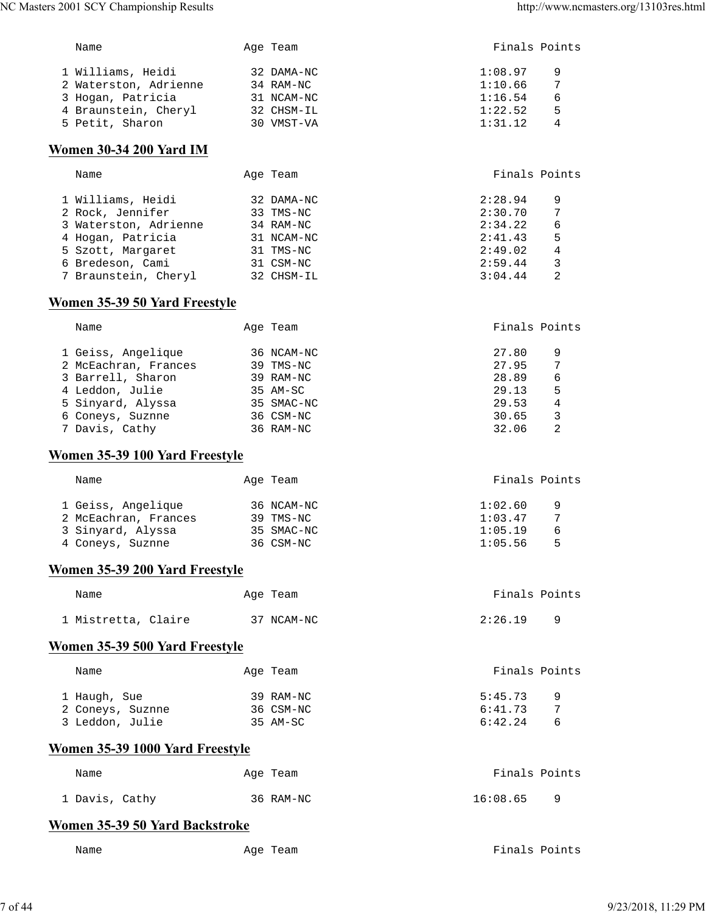| NC Masters 2001 SCY Championship Results     |            | http://www.ncmasters.org/13103res.html |
|----------------------------------------------|------------|----------------------------------------|
| Name                                         | Age Team   | Finals Points                          |
| 1 Williams, Heidi                            | 32 DAMA-NC | 1:08.97<br>9                           |
| 2 Waterston, Adrienne 34 RAM-NC              |            | 1:10.66<br>7                           |
| 3 Hogan, Patricia                            | 31 NCAM-NC | 1:16.54<br>6                           |
| 4 Braunstein, Cheryl 32 CHSM-IL              |            | 1:22.52<br>5                           |
| 5 Petit, Sharon                              | 30 VMST-VA | 1:31.12<br>4                           |
| <b>Women 30-34 200 Yard IM</b>               |            |                                        |
| Name                                         | Age Team   | Finals Points                          |
| 1 Williams, Heidi                            | 32 DAMA-NC | 2:28.94<br>9                           |
| 2 Rock, Jennifer 33 TMS-NC                   |            | 2:30.70<br>7                           |
| 3 Waterston, Adrienne 34 RAM-NC              |            | 2:34.22<br>6                           |
| 4 Hogan, Patricia                            | 31 NCAM-NC | 2:41.43<br>5                           |
| 5 Szott, Margaret 31 TMS-NC                  |            | 2:49.02<br>4                           |
| 6 Bredeson, Cami 31 CSM-NC                   |            | 2:59.44<br>3                           |
| 7 Braunstein, Cheryl 32 CHSM-IL              |            | 2<br>3:04.44                           |
| Women 35-39 50 Yard Freestyle                |            |                                        |
| Name                                         | Age Team   | Finals Points                          |
| 1 Geiss, Angelique                           | 36 NCAM-NC | 27.80<br>9                             |
| 2 McEachran, Frances                         | 39 TMS-NC  | 27.95<br>7                             |
| 3 Barrell, Sharon                            | 39 RAM-NC  | 28.89<br>6                             |
| 4 Leddon, Julie 35 AM-SC                     |            | 29.13<br>5                             |
| 5 Sinyard, Alyssa 35 SMAC-NC                 |            | 29.53<br>4                             |
|                                              |            |                                        |
| 6 Coneys, Suznne 36 CSM-NC<br>7 Davis, Cathy | 36 RAM-NC  | 30.65<br>3<br>2<br>32.06               |
| Women 35-39 100 Yard Freestyle               |            |                                        |
| Name                                         | Age Team   | Finals Points                          |
|                                              |            |                                        |
| 1 Geiss, Angelique                           | 36 NCAM-NC | 1:02.60<br>9                           |
| 2 McEachran, Frances                         | 39 TMS-NC  | $7\phantom{.0}$<br>1:03.47             |
| 3 Sinyard, Alyssa                            | 35 SMAC-NC | 1:05.19<br>6                           |
| 4 Coneys, Suznne                             | 36 CSM-NC  | 1:05.56<br>5                           |
| Women 35-39 200 Yard Freestyle               |            |                                        |
| Name                                         | Age Team   | Finals Points                          |
| 1 Mistretta, Claire                          | 37 NCAM-NC | 2:26.19<br>9                           |
| Women 35-39 500 Yard Freestyle               |            |                                        |
| Name                                         | Age Team   | Finals Points                          |
| 1 Haugh, Sue                                 | 39 RAM-NC  | 5:45.73<br>9                           |
| 2 Coneys, Suznne                             | 36 CSM-NC  | 6:41.73<br>7                           |
| 3 Leddon, Julie                              | 35 AM-SC   | 6:42.24<br>6                           |
| Women 35-39 1000 Yard Freestyle              |            |                                        |
| Name                                         | Age Team   | Finals Points                          |
| 1 Davis, Cathy                               | 36 RAM-NC  | 16:08.65<br>9                          |
| Women 35-39 50 Yard Backstroke               |            |                                        |
|                                              |            | Finals Points                          |
| Name                                         | Age Team   |                                        |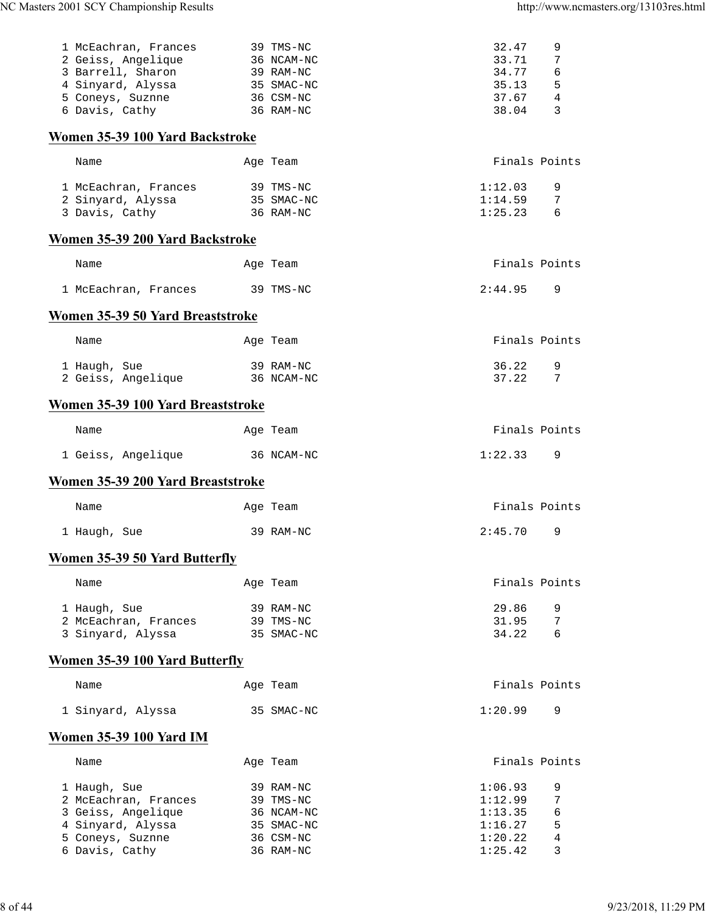| 1 McEachran, Frances                  | 39 TMS-NC  | 32.47   | 9             |
|---------------------------------------|------------|---------|---------------|
| 2 Geiss, Angelique                    | 36 NCAM-NC | 33.71   | 7             |
| 3 Barrell, Sharon                     | 39 RAM-NC  | 34.77   | 6             |
| 4 Sinyard, Alyssa                     | 35 SMAC-NC | 35.13   | 5             |
| 5 Coneys, Suznne                      | 36 CSM-NC  | 37.67   | 4             |
| 6 Davis, Cathy                        | 36 RAM-NC  | 38.04   | 3             |
|                                       |            |         |               |
| Women 35-39 100 Yard Backstroke       |            |         |               |
| Name                                  | Age Team   |         | Finals Points |
| 1 McEachran, Frances                  | 39 TMS-NC  | 1:12.03 | 9             |
| 2 Sinyard, Alyssa                     | 35 SMAC-NC | 1:14.59 | 7             |
| 3 Davis, Cathy                        | 36 RAM-NC  | 1:25.23 | 6             |
| Women 35-39 200 Yard Backstroke       |            |         |               |
| Name                                  | Age Team   |         | Finals Points |
|                                       |            |         |               |
| 1 McEachran, Frances                  | 39 TMS-NC  | 2:44.95 | 9             |
| Women 35-39 50 Yard Breaststroke      |            |         |               |
| Name                                  | Age Team   |         | Finals Points |
| 1 Haugh, Sue                          | 39 RAM-NC  | 36.22   | 9             |
| 2 Geiss, Angelique                    | 36 NCAM-NC | 37.22   | 7             |
|                                       |            |         |               |
| Women 35-39 100 Yard Breaststroke     |            |         |               |
| Name                                  | Age Team   |         | Finals Points |
| 1 Geiss, Angelique                    | 36 NCAM-NC | 1:22.33 | 9             |
| Women 35-39 200 Yard Breaststroke     |            |         |               |
| Name                                  | Age Team   |         | Finals Points |
| 1 Haugh, Sue                          | 39 RAM-NC  | 2:45.70 | 9             |
| <b>Women 35-39 50 Yard Butterfly</b>  |            |         |               |
|                                       |            |         |               |
| Name                                  | Age Team   |         | Finals Points |
| 1 Haugh, Sue                          | 39 RAM-NC  | 29.86   | 9             |
| 2 McEachran, Frances                  | 39 TMS-NC  | 31.95   | 7             |
| 3 Sinyard, Alyssa                     | 35 SMAC-NC | 34.22   | 6             |
| <b>Women 35-39 100 Yard Butterfly</b> |            |         |               |
| Name                                  | Age Team   |         | Finals Points |
|                                       |            |         | 9             |
| 1 Sinyard, Alyssa                     | 35 SMAC-NC | 1:20.99 |               |
| <b>Women 35-39 100 Yard IM</b>        |            |         |               |
| Name                                  | Age Team   |         | Finals Points |
| 1 Haugh, Sue                          | 39 RAM-NC  | 1:06.93 | 9             |
| 2 McEachran, Frances                  | 39 TMS-NC  | 1:12.99 | 7             |
| 3 Geiss, Angelique                    | 36 NCAM-NC | 1:13.35 | 6             |
| 4 Sinyard, Alyssa                     | 35 SMAC-NC | 1:16.27 | 5             |
| 5 Coneys, Suznne                      | 36 CSM-NC  | 1:20.22 | 4             |
| 6 Davis, Cathy                        | 36 RAM-NC  | 1:25.42 | 3             |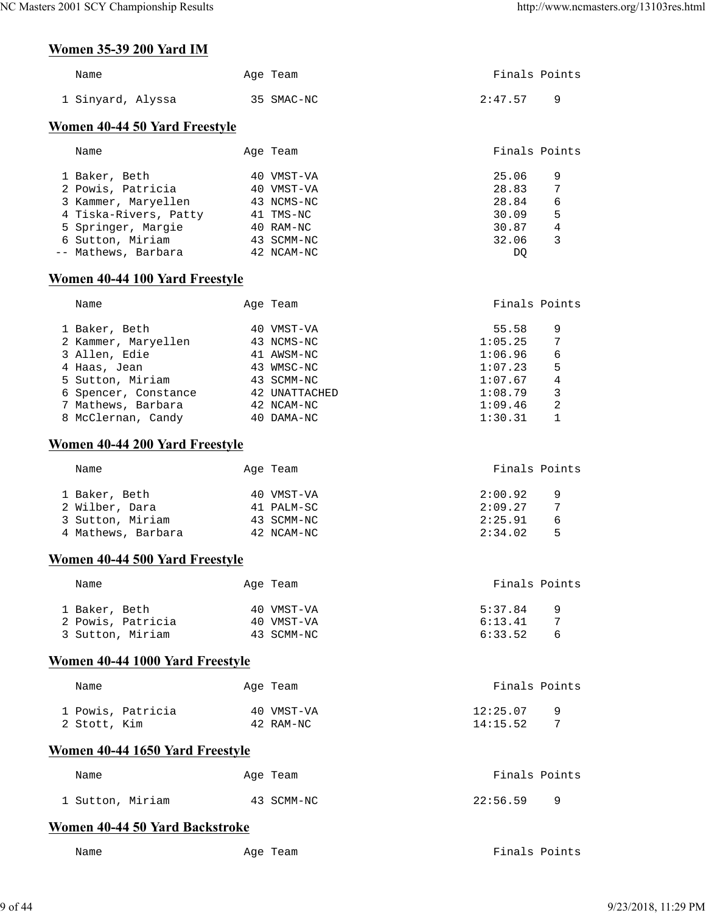# **Women 35-39 200 Yard IM**

| WOMEN 33-39 ZUU YAFU IM              |            |               |                |
|--------------------------------------|------------|---------------|----------------|
| Name                                 | Age Team   | Finals Points |                |
| 1 Sinyard, Alyssa                    | 35 SMAC-NC | 2:47.57       | 9              |
| <b>Women 40-44 50 Yard Freestyle</b> |            |               |                |
| Name                                 | Age Team   | Finals Points |                |
| 1 Baker, Beth                        | 40 VMST-VA | 25.06         | 9              |
| 2 Powis, Patricia                    | 40 VMST-VA | 28.83         | 7              |
| 3 Kammer, Maryellen                  | 43 NCMS-NC | 28.84         | 6              |
| 4 Tiska-Rivers, Patty                | 41 TMS-NC  | 30.09         | 5              |
| 5 Springer, Margie                   | 40 RAM-NC  | 30.87         | $\overline{4}$ |
| 6 Sutton, Miriam                     | 43 SCMM-NC | 32.06         | 3              |
| Mathews, Barbara                     | 42 NCAM-NC | DQ            |                |
| Women 40-44 100 Yard Freestyle       |            |               |                |
| Name                                 | Age Team   | Finals Points |                |

| 1 Baker, Beth        | 40 VMST-VA    | 55.58   | 9 |
|----------------------|---------------|---------|---|
| 2 Kammer, Maryellen  | 43 NCMS-NC    | 1:05.25 | 7 |
| 3 Allen, Edie        | 41 AWSM-NC    | 1:06.96 | 6 |
| 4 Haas, Jean         | 43 WMSC-NC    | 1:07.23 | 5 |
| 5 Sutton, Miriam     | 43 SCMM-NC    | 1:07.67 | 4 |
| 6 Spencer, Constance | 42 UNATTACHED | 1:08.79 | 3 |
| 7 Mathews, Barbara   | 42 NCAM-NC    | 1:09.46 | 2 |
| 8 McClernan, Candy   | 40 DAMA-NC    | 1:30.31 |   |

## **Women 40-44 200 Yard Freestyle**

| Name               | Age Team   | Finals Points |
|--------------------|------------|---------------|
| 1 Baker, Beth      | 40 VMST-VA | 2:00.92<br>9  |
| 2 Wilber, Dara     | 41 PALM-SC | 2:09.27<br>7  |
| 3 Sutton, Miriam   | 43 SCMM-NC | 2:25.91<br>6  |
| 4 Mathews, Barbara | 42 NCAM-NC | 2:34.02<br>Б. |

## **Women 40-44 500 Yard Freestyle**

| Age Team   | Finals Points         |
|------------|-----------------------|
| 40 VMST-VA | 5:37.84<br>a q        |
| 40 VMST-VA | 6:13.41               |
| 43 SCMM-NC | 6:33.52<br>$\sqrt{2}$ |
|            |                       |

## **Women 40-44 1000 Yard Freestyle**

| Name              | Age Team   | Finals Points |
|-------------------|------------|---------------|
| 1 Powis, Patricia | 40 VMST-VA | 12:25.07      |
| 2 Stott, Kim      | 42 RAM-NC  | 14:15.52      |

## **Women 40-44 1650 Yard Freestyle**

| Name             | Age Team   | Finals Points |
|------------------|------------|---------------|
| 1 Sutton, Miriam | 43 SCMM-NC | 22:56.59      |

## **Women 40-44 50 Yard Backstroke**

Name **Age Team** Age Team Finals Points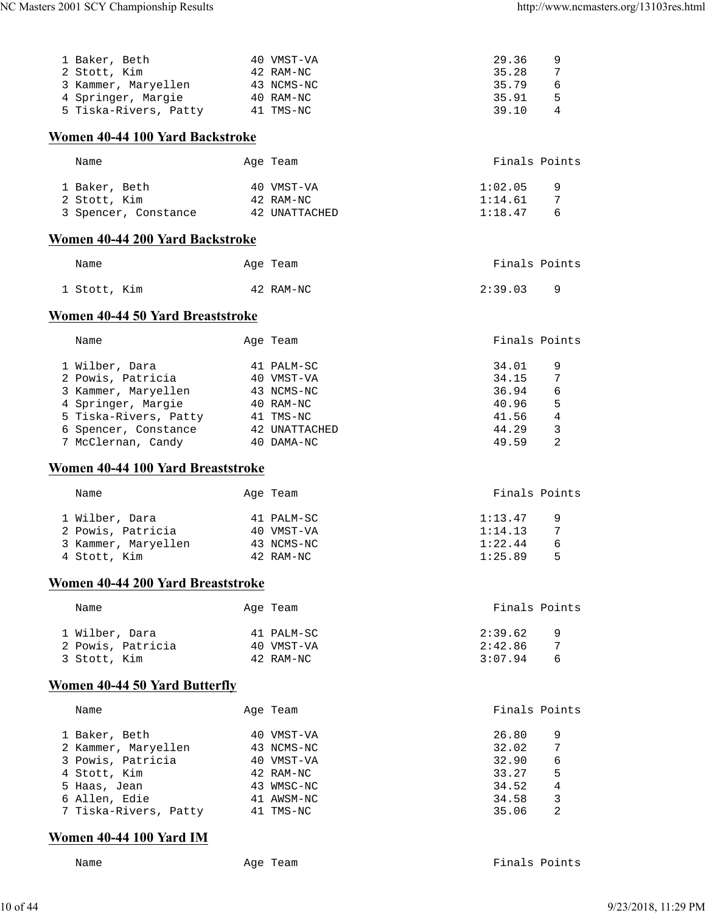| 1 Baker, Beth                        | 40 VMST-VA    | 29.36   | 9             |
|--------------------------------------|---------------|---------|---------------|
| 2 Stott, Kim                         | 42 RAM-NC     | 35.28   | 7             |
|                                      | 43 NCMS-NC    | 35.79   | 6             |
| 3 Kammer, Maryellen                  |               |         |               |
| 4 Springer, Margie                   | 40 RAM-NC     | 35.91   | 5             |
| 5 Tiska-Rivers, Patty                | 41 TMS-NC     | 39.10   | 4             |
| Women 40-44 100 Yard Backstroke      |               |         |               |
|                                      |               |         |               |
| Name                                 | Age Team      |         | Finals Points |
| 1 Baker, Beth                        | 40 VMST-VA    | 1:02.05 | 9             |
| 2 Stott, Kim                         | 42 RAM-NC     | 1:14.61 | 7             |
| 3 Spencer, Constance                 | 42 UNATTACHED | 1:18.47 | 6             |
|                                      |               |         |               |
| Women 40-44 200 Yard Backstroke      |               |         |               |
| Name                                 | Age Team      |         | Finals Points |
| 1 Stott, Kim                         | 42 RAM-NC     | 2:39.03 | 9             |
| Women 40-44 50 Yard Breaststroke     |               |         |               |
|                                      |               |         |               |
| Name                                 | Age Team      |         | Finals Points |
| 1 Wilber, Dara                       | 41 PALM-SC    | 34.01   | 9             |
| 2 Powis, Patricia                    | 40 VMST-VA    | 34.15   | 7             |
| 3 Kammer, Maryellen                  | 43 NCMS-NC    | 36.94   | 6             |
| 4 Springer, Margie                   | 40 RAM-NC     | 40.96   | 5             |
| 5 Tiska-Rivers, Patty                | 41 TMS-NC     | 41.56   | $\sqrt{4}$    |
| 6 Spencer, Constance                 | 42 UNATTACHED | 44.29   | 3             |
| 7 McClernan, Candy                   | 40 DAMA-NC    | 49.59   | 2             |
|                                      |               |         |               |
| Women 40-44 100 Yard Breaststroke    |               |         |               |
| Name                                 | Age Team      |         | Finals Points |
|                                      |               |         |               |
| 1 Wilber, Dara                       | 41 PALM-SC    | 1:13.47 | 9             |
| 2 Powis, Patricia                    | 40 VMST-VA    | 1:14.13 | 7             |
| 3 Kammer, Maryellen                  | 43 NCMS-NC    | 1:22.44 | 6             |
| 4 Stott, Kim                         | 42 RAM-NC     | 1:25.89 | 5             |
| Women 40-44 200 Yard Breaststroke    |               |         |               |
| Name                                 |               |         | Finals Points |
|                                      | Age Team      |         |               |
| 1 Wilber, Dara                       | 41 PALM-SC    | 2:39.62 | 9             |
| 2 Powis, Patricia                    | 40 VMST-VA    | 2:42.86 | 7             |
| 3 Stott, Kim                         | 42 RAM-NC     | 3:07.94 | 6             |
| <b>Women 40-44 50 Yard Butterfly</b> |               |         |               |
| Name                                 | Age Team      |         | Finals Points |
|                                      |               |         |               |
| 1 Baker, Beth                        | 40 VMST-VA    | 26.80   | 9             |
| 2 Kammer, Maryellen                  | 43 NCMS-NC    | 32.02   | 7             |
| 3 Powis, Patricia                    | 40 VMST-VA    | 32.90   | 6             |
| 4 Stott, Kim                         | 42 RAM-NC     | 33.27   | 5             |
| 5 Haas, Jean                         | 43 WMSC-NC    | 34.52   | 4             |
| 6 Allen, Edie                        | 41 AWSM-NC    | 34.58   | 3             |
| 7 Tiska-Rivers, Patty                | 41 TMS-NC     | 35.06   | 2             |

## **Women 40-44 100 Yard IM**

Name Age Team Age Team Finals Points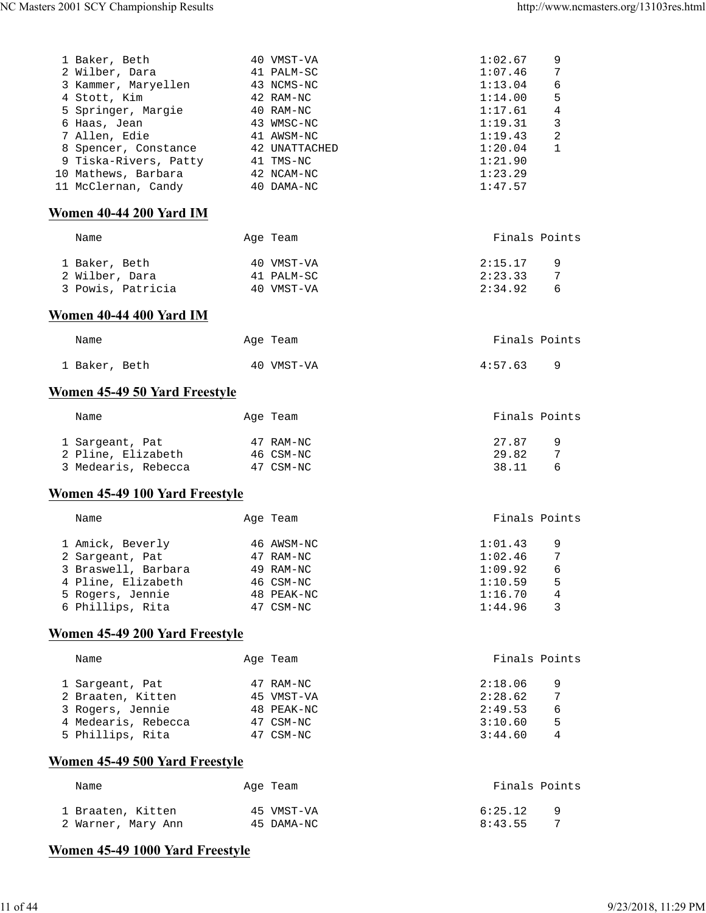| 3 Kammer, Maryellen             | 43 NCMS-NC    | 1:13.04<br>6              |
|---------------------------------|---------------|---------------------------|
| 4 Stott, Kim                    | 42 RAM-NC     | 5<br>1:14.00              |
| 5 Springer, Margie              | 40 RAM-NC     | $\overline{4}$<br>1:17.61 |
| 6 Haas, Jean                    | 43 WMSC-NC    | 3<br>1:19.31              |
| 7 Allen, Edie                   | 41 AWSM-NC    | $\overline{2}$<br>1:19.43 |
| 8 Spencer, Constance            | 42 UNATTACHED | 1<br>1:20.04              |
| 9 Tiska-Rivers, Patty           | 41 TMS-NC     | 1:21.90                   |
| 10 Mathews, Barbara             | 42 NCAM-NC    | 1:23.29                   |
| 11 McClernan, Candy             | 40 DAMA-NC    | 1:47.57                   |
|                                 |               |                           |
| Women 40-44 200 Yard IM         |               |                           |
| Name                            | Age Team      | Finals Points             |
| 1 Baker, Beth                   | 40 VMST-VA    | 2:15.17<br>9              |
| 2 Wilber, Dara                  | 41 PALM-SC    | 2:23.33<br>7              |
| 3 Powis, Patricia               | 40 VMST-VA    | 2:34.92<br>6              |
|                                 |               |                           |
| Women 40-44 400 Yard IM         |               |                           |
| Name                            | Age Team      | Finals Points             |
| 1 Baker, Beth                   | 40 VMST-VA    | 4:57.63<br>9              |
| Women 45-49 50 Yard Freestyle   |               |                           |
| Name                            | Age Team      | Finals Points             |
| 1 Sargeant, Pat                 | 47 RAM-NC     | 27.87<br>9                |
| 2 Pline, Elizabeth              | 46 CSM-NC     | 29.82<br>7                |
| 3 Medearis, Rebecca             | 47 CSM-NC     | 38.11<br>6                |
| Women 45-49 100 Yard Freestyle  |               |                           |
|                                 |               |                           |
| Name                            | Age Team      | Finals Points             |
| 1 Amick, Beverly                | 46 AWSM-NC    | 1:01.43<br>9              |
| 2 Sargeant, Pat                 | 47 RAM-NC     | 1:02.46<br>7              |
| 3 Braswell, Barbara             | 49 RAM-NC     | 6<br>1:09.92              |
| 4 Pline, Elizabeth              | 46 CSM-NC     | 1:10.59<br>5              |
| 5 Rogers, Jennie                | 48 PEAK-NC    | 4<br>1:16.70              |
| 6 Phillips, Rita                | 47 CSM-NC     | 1:44.96<br>3              |
| Women 45-49 200 Yard Freestyle  |               |                           |
|                                 |               | Finals Points             |
| Name                            | Age Team      |                           |
| 1 Sargeant, Pat                 | 47 RAM-NC     | 2:18.06<br>9              |
| 2 Braaten, Kitten               | 45 VMST-VA    | 7<br>2:28.62              |
| 3 Rogers, Jennie                | 48 PEAK-NC    | 2:49.53<br>6              |
| 4 Medearis, Rebecca             | 47 CSM-NC     | 5<br>3:10.60              |
| 5 Phillips, Rita                | 47 CSM-NC     | 3:44.60<br>4              |
| Women 45-49 500 Yard Freestyle  |               |                           |
|                                 |               |                           |
| Name                            | Age Team      | Finals Points             |
| 1 Braaten, Kitten               | 45 VMST-VA    | 6:25.12<br>9              |
| 2 Warner, Mary Ann              | 45 DAMA-NC    | 8:43.55<br>7              |
| Women 45-49 1000 Yard Freestyle |               |                           |

 1 Baker, Beth 40 VMST-VA 1:02.67 9 2 Wilber, Dara 41 PALM-SC 1:07.46 7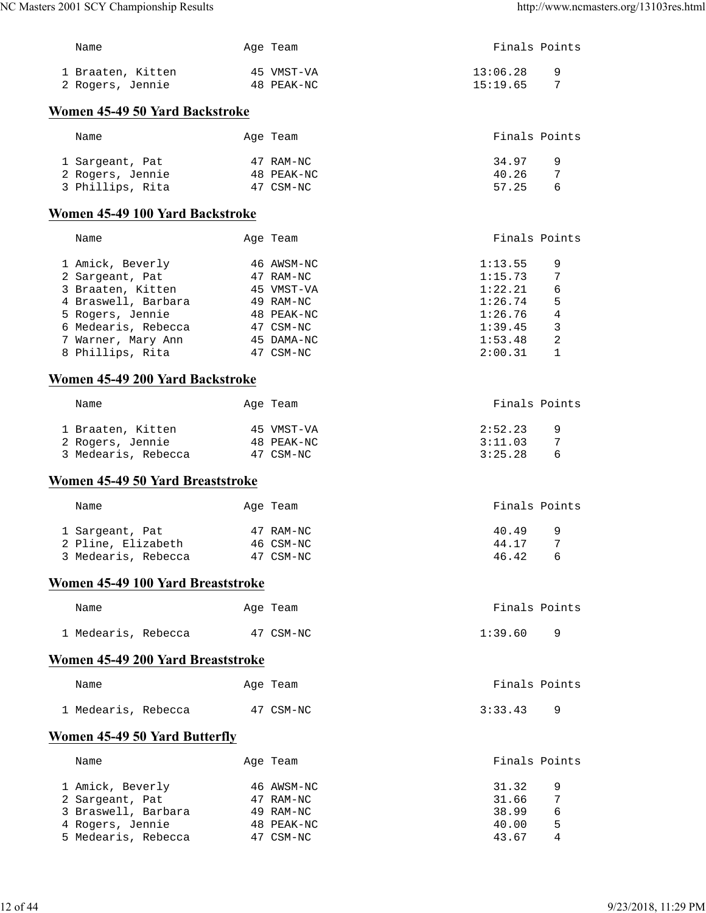| NC Masters 2001 SCY Championship Results |           |            |               | http://www.ncmasters.org/13103res.html |
|------------------------------------------|-----------|------------|---------------|----------------------------------------|
| Name                                     |           | Age Team   |               | Finals Points                          |
| 1 Braaten, Kitten                        |           | 45 VMST-VA | 13:06.28      | 9                                      |
| 2 Rogers, Jennie                         |           | 48 PEAK-NC | 15:19.65      | 7                                      |
| Women 45-49 50 Yard Backstroke           |           |            |               |                                        |
| Name                                     |           | Age Team   |               | Finals Points                          |
| 1 Sargeant, Pat                          |           | 47 RAM-NC  | 34.97         | 9                                      |
| 2 Rogers, Jennie                         |           | 48 PEAK-NC | 40.26         | 7                                      |
| 3 Phillips, Rita                         |           | 47 CSM-NC  | 57.25         | 6                                      |
| Women 45-49 100 Yard Backstroke          |           |            |               |                                        |
| Name                                     |           | Age Team   |               | Finals Points                          |
| 1 Amick, Beverly                         |           | 46 AWSM-NC | 1:13.55       | 9                                      |
| 2 Sargeant, Pat 47 RAM-NC                |           |            | 1:15.73       | 7                                      |
| 3 Braaten, Kitten 45 VMST-VA             |           |            | 1:22.21       | 6                                      |
| 4 Braswell, Barbara <a> 49 RAM-NC</a>    |           |            | 1:26.74       | 5                                      |
|                                          |           |            | 1:26.76       | $\overline{4}$                         |
|                                          |           |            | 1:39.45       | 3                                      |
|                                          |           |            | 1:53.48       | 2                                      |
| 8 Phillips, Rita                         | 47 CSM-NC |            | 2:00.31       | 1                                      |
| Women 45-49 200 Yard Backstroke          |           |            |               |                                        |
| Name                                     |           | Age Team   |               | Finals Points                          |
| 1 Braaten, Kitten                        |           | 45 VMST-VA | 2:52.23       | 9                                      |
| 2 Rogers, Jennie 48 PEAK-NC              |           |            | 3:11.03       | 7                                      |
| 3 Medearis, Rebecca 47 CSM-NC            |           |            | 3:25.28       | 6                                      |
| Women 45-49 50 Yard Breaststroke         |           |            |               |                                        |
| Name                                     |           | Age Team   | Finals Points |                                        |
| 1 Sargeant, Pat                          |           | 47 RAM-NC  | 40.49         | 9                                      |
| 2 Pline, Elizabeth 46 CSM-NC             |           |            | 44.17         | 7                                      |
| 3 Medearis, Rebecca 47 CSM-NC            |           |            | 46.42         | 6                                      |
| Women 45-49 100 Yard Breaststroke        |           |            |               |                                        |
| Name                                     |           | Age Team   |               | Finals Points                          |
| 1 Medearis, Rebecca                      |           | 47 CSM-NC  | 1:39.60       | 9                                      |
| Women 45-49 200 Yard Breaststroke        |           |            |               |                                        |
| Name                                     |           | Age Team   |               | Finals Points                          |
| 1 Medearis, Rebecca                      |           | 47 CSM-NC  | 3:33.43       | 9                                      |
| Women 45-49 50 Yard Butterfly            |           |            |               |                                        |
| Name                                     |           | Age Team   |               | Finals Points                          |
| 1 Amick, Beverly                         |           | 46 AWSM-NC | 31.32         | 9                                      |
| 2 Sargeant, Pat                          |           | 47 RAM-NC  | 31.66         | 7                                      |
| 3 Braswell, Barbara                      |           | 49 RAM-NC  | 38.99         | 6                                      |
| 4 Rogers, Jennie                         |           | 48 PEAK-NC | 40.00         | 5                                      |
| 5 Medearis, Rebecca                      |           | 47 CSM-NC  | 43.67         | 4                                      |
|                                          |           |            |               |                                        |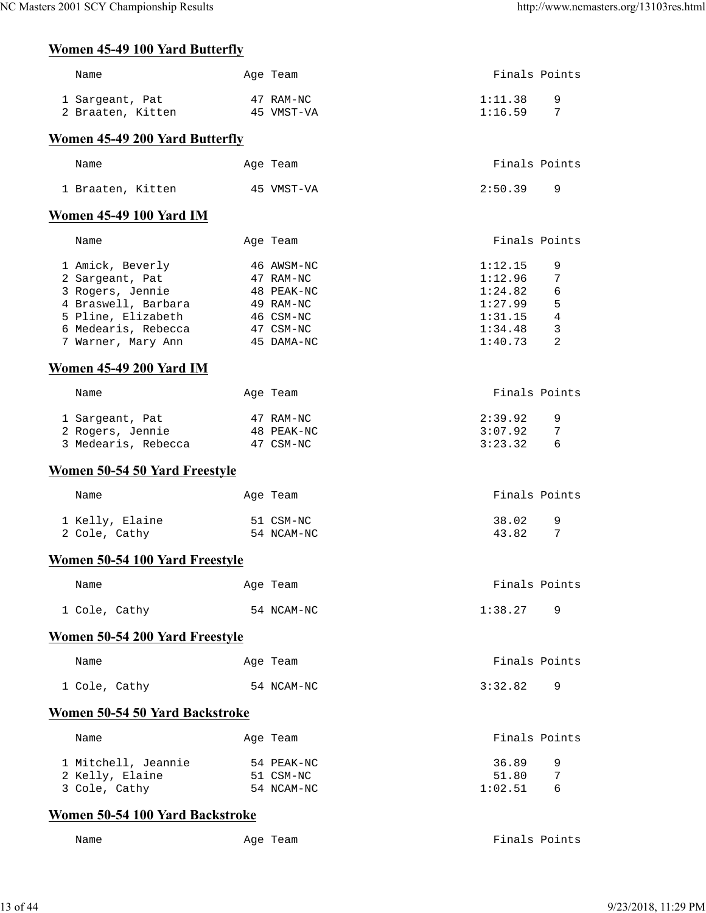# **Women 45-49 100 Yard Butterfly**

| Name                                                                                                                                              | Age Team                                                                                   | Finals Points                                                             |                                 |
|---------------------------------------------------------------------------------------------------------------------------------------------------|--------------------------------------------------------------------------------------------|---------------------------------------------------------------------------|---------------------------------|
| 1 Sargeant, Pat<br>2 Braaten, Kitten                                                                                                              | 47 RAM-NC<br>45 VMST-VA                                                                    | 1:11.38<br>1:16.59                                                        | 9<br>7                          |
| Women 45-49 200 Yard Butterfly                                                                                                                    |                                                                                            |                                                                           |                                 |
| Name                                                                                                                                              | Age Team                                                                                   | Finals Points                                                             |                                 |
| 1 Braaten, Kitten                                                                                                                                 | 45 VMST-VA                                                                                 | 2:50.39                                                                   | 9                               |
| <b>Women 45-49 100 Yard IM</b>                                                                                                                    |                                                                                            |                                                                           |                                 |
| Name                                                                                                                                              | Age Team                                                                                   | Finals Points                                                             |                                 |
| 1 Amick, Beverly<br>2 Sargeant, Pat<br>3 Rogers, Jennie<br>4 Braswell, Barbara<br>5 Pline, Elizabeth<br>6 Medearis, Rebecca<br>7 Warner, Mary Ann | 46 AWSM-NC<br>47 RAM-NC<br>48 PEAK-NC<br>49 RAM-NC<br>46 CSM-NC<br>47 CSM-NC<br>45 DAMA-NC | 1:12.15<br>1:12.96<br>1:24.82<br>1:27.99<br>1:31.15<br>1:34.48<br>1:40.73 | 9<br>7<br>6<br>5<br>4<br>3<br>2 |
| <b>Women 45-49 200 Yard IM</b>                                                                                                                    |                                                                                            |                                                                           |                                 |
| Name                                                                                                                                              | Age Team                                                                                   | Finals Points                                                             |                                 |
| 1 Sargeant, Pat<br>2 Rogers, Jennie<br>3 Medearis, Rebecca                                                                                        | 47 RAM-NC<br>48 PEAK-NC<br>47 CSM-NC                                                       | 2:39.92<br>3:07.92<br>3:23.32                                             | 9<br>7<br>6                     |
| <b>Women 50-54 50 Yard Freestyle</b>                                                                                                              |                                                                                            |                                                                           |                                 |
| Name                                                                                                                                              | Age Team                                                                                   | Finals Points                                                             |                                 |
| 1 Kelly, Elaine<br>2 Cole, Cathy                                                                                                                  | 51 CSM-NC<br>54 NCAM-NC                                                                    | 38.02<br>43.82                                                            | 9<br>7                          |
| Women 50-54 100 Yard Freestyle                                                                                                                    |                                                                                            |                                                                           |                                 |
| Name                                                                                                                                              | Age Team                                                                                   | Finals Points                                                             |                                 |
| 1 Cole, Cathy                                                                                                                                     | 54 NCAM-NC                                                                                 | 1:38.27                                                                   | 9                               |
| <b>Women 50-54 200 Yard Freestyle</b>                                                                                                             |                                                                                            |                                                                           |                                 |
| Name                                                                                                                                              | Age Team                                                                                   | Finals Points                                                             |                                 |
| 1 Cole, Cathy                                                                                                                                     | 54 NCAM-NC                                                                                 | 3:32.82                                                                   | 9                               |
| Women 50-54 50 Yard Backstroke                                                                                                                    |                                                                                            |                                                                           |                                 |
| Name                                                                                                                                              | Age Team                                                                                   | Finals Points                                                             |                                 |
| 1 Mitchell, Jeannie<br>2 Kelly, Elaine<br>3 Cole, Cathy                                                                                           | 54 PEAK-NC<br>51 CSM-NC<br>54 NCAM-NC                                                      | 36.89<br>51.80<br>1:02.51                                                 | 9<br>7<br>6                     |

# **Women 50-54 100 Yard Backstroke**

| Name | Age Team | Finals Points |  |
|------|----------|---------------|--|
|      |          |               |  |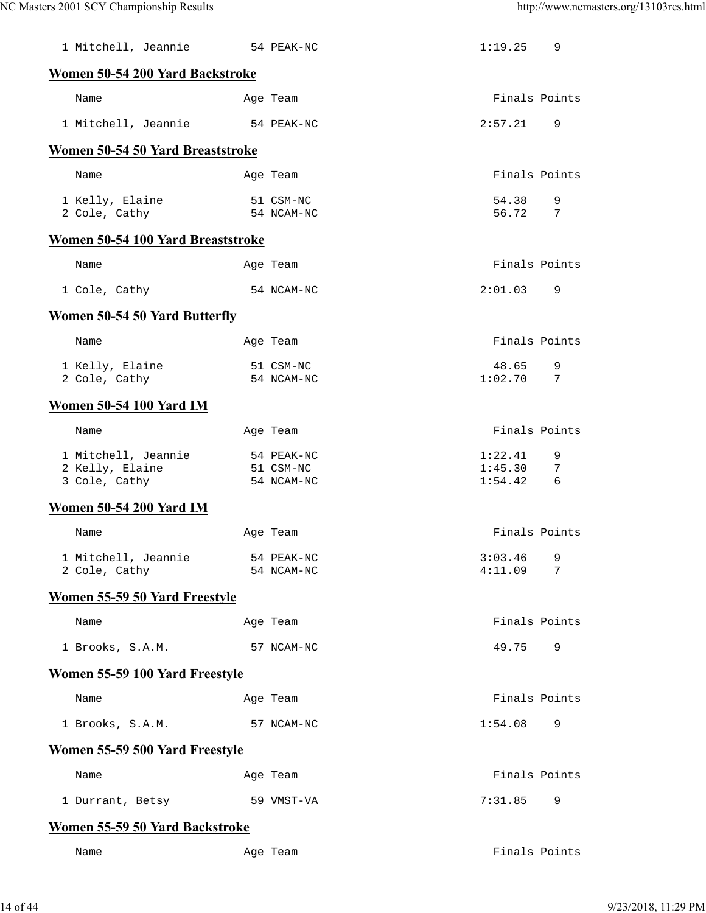| 1 Mitchell, Jeannie 54 PEAK-NC                          |                                       | 1:19.25                       | 9             |
|---------------------------------------------------------|---------------------------------------|-------------------------------|---------------|
| Women 50-54 200 Yard Backstroke                         |                                       |                               |               |
| Name                                                    | Age Team                              |                               | Finals Points |
| 1 Mitchell, Jeannie                                     | 54 PEAK-NC                            | 2:57.21                       | 9             |
| Women 50-54 50 Yard Breaststroke                        |                                       |                               |               |
| Name                                                    | Age Team                              |                               | Finals Points |
| 1 Kelly, Elaine<br>2 Cole, Cathy                        | 51 CSM-NC<br>54 NCAM-NC               | 54.38<br>56.72                | 9<br>7        |
| Women 50-54 100 Yard Breaststroke                       |                                       |                               |               |
| Name                                                    | Age Team                              |                               | Finals Points |
| 1 Cole, Cathy                                           | 54 NCAM-NC                            | 2:01.03                       | 9             |
| Women 50-54 50 Yard Butterfly                           |                                       |                               |               |
| Name                                                    | Age Team                              |                               | Finals Points |
| 1 Kelly, Elaine<br>2 Cole, Cathy                        | 51 CSM-NC<br>54 NCAM-NC               | 48.65<br>1:02.70              | 9<br>7        |
| <b>Women 50-54 100 Yard IM</b>                          |                                       |                               |               |
| Name                                                    | Age Team                              |                               | Finals Points |
| 1 Mitchell, Jeannie<br>2 Kelly, Elaine<br>3 Cole, Cathy | 54 PEAK-NC<br>51 CSM-NC<br>54 NCAM-NC | 1:22.41<br>1:45.30<br>1:54.42 | 9<br>7<br>6   |
| <b>Women 50-54 200 Yard IM</b>                          |                                       |                               |               |
| Name                                                    | Age Team                              |                               | Finals Points |
| 1 Mitchell, Jeannie<br>2 Cole, Cathy                    | 54 PEAK-NC<br>54 NCAM-NC              | 3:03.46<br>4:11.09            | 9<br>7        |
| Women 55-59 50 Yard Freestyle                           |                                       |                               |               |
| Name                                                    | Age Team                              |                               | Finals Points |
| 1 Brooks, S.A.M.                                        | 57 NCAM-NC                            | 49.75                         | 9             |
| <b>Women 55-59 100 Yard Freestyle</b>                   |                                       |                               |               |
| Name                                                    | Age Team                              |                               | Finals Points |
| 1 Brooks, S.A.M.                                        | 57 NCAM-NC                            | 1:54.08                       | 9             |
| Women 55-59 500 Yard Freestyle                          |                                       |                               |               |
| Name                                                    | Age Team                              |                               | Finals Points |
| 1 Durrant, Betsy                                        | 59 VMST-VA                            | 7:31.85                       | 9             |
| Women 55-59 50 Yard Backstroke                          |                                       |                               |               |
| Name                                                    | Age Team                              |                               | Finals Points |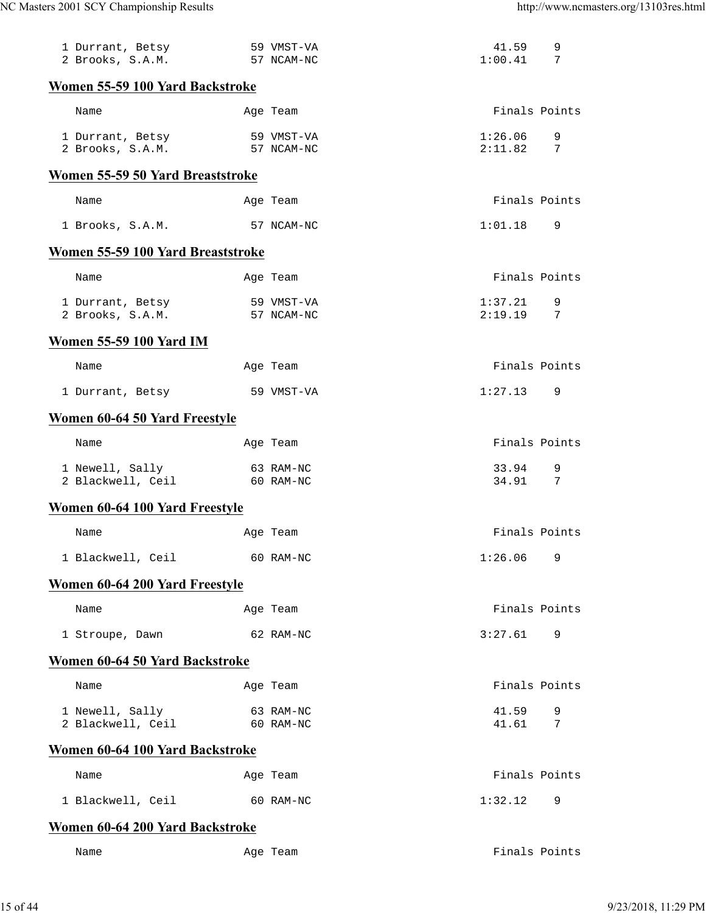| 1 Durrant, Betsy<br>2 Brooks, S.A.M. |  | 59 VMST-VA<br>57 NCAM-NC | 41.59<br>1:00.41   | 9<br>7 |  |
|--------------------------------------|--|--------------------------|--------------------|--------|--|
| Women 55-59 100 Yard Backstroke      |  |                          |                    |        |  |
| Name                                 |  | Age Team                 | Finals Points      |        |  |
| 1 Durrant, Betsy<br>2 Brooks, S.A.M. |  | 59 VMST-VA<br>57 NCAM-NC | 1:26.06<br>2:11.82 | 9<br>7 |  |
| Women 55-59 50 Yard Breaststroke     |  |                          |                    |        |  |
| Name                                 |  | Age Team                 | Finals Points      |        |  |
| 1 Brooks, S.A.M.                     |  | 57 NCAM-NC               | 1:01.18            | 9      |  |
| Women 55-59 100 Yard Breaststroke    |  |                          |                    |        |  |
| Name                                 |  | Age Team                 | Finals Points      |        |  |
| 1 Durrant, Betsy<br>2 Brooks, S.A.M. |  | 59 VMST-VA<br>57 NCAM-NC | 1:37.21<br>2:19.19 | 9<br>7 |  |
| <b>Women 55-59 100 Yard IM</b>       |  |                          |                    |        |  |
| Name                                 |  | Age Team                 | Finals Points      |        |  |
| 1 Durrant, Betsy                     |  | 59 VMST-VA               | 1:27.13            | 9      |  |
| Women 60-64 50 Yard Freestyle        |  |                          |                    |        |  |
| Name                                 |  | Age Team                 | Finals Points      |        |  |
| 1 Newell, Sally<br>2 Blackwell, Ceil |  | 63 RAM-NC<br>60 RAM-NC   | 33.94<br>34.91     | 9<br>7 |  |
| Women 60-64 100 Yard Freestyle       |  |                          |                    |        |  |
| Name                                 |  | Age Team                 | Finals Points      |        |  |
| 1 Blackwell, Ceil                    |  | 60 RAM-NC                | 1:26.06            | 9      |  |
| Women 60-64 200 Yard Freestyle       |  |                          |                    |        |  |
| Name                                 |  | Age Team                 | Finals Points      |        |  |
| 1 Stroupe, Dawn                      |  | 62 RAM-NC                | 3:27.61            | 9      |  |
| Women 60-64 50 Yard Backstroke       |  |                          |                    |        |  |
| Name                                 |  | Age Team                 | Finals Points      |        |  |
| 1 Newell, Sally<br>2 Blackwell, Ceil |  | 63 RAM-NC<br>60 RAM-NC   | 41.59<br>41.61     | 9<br>7 |  |
| Women 60-64 100 Yard Backstroke      |  |                          |                    |        |  |
| Name                                 |  | Age Team                 | Finals Points      |        |  |
| 1 Blackwell, Ceil                    |  | 60 RAM-NC                | 1:32.12            | 9      |  |
| Women 60-64 200 Yard Backstroke      |  |                          |                    |        |  |
| Name                                 |  | Age Team                 | Finals Points      |        |  |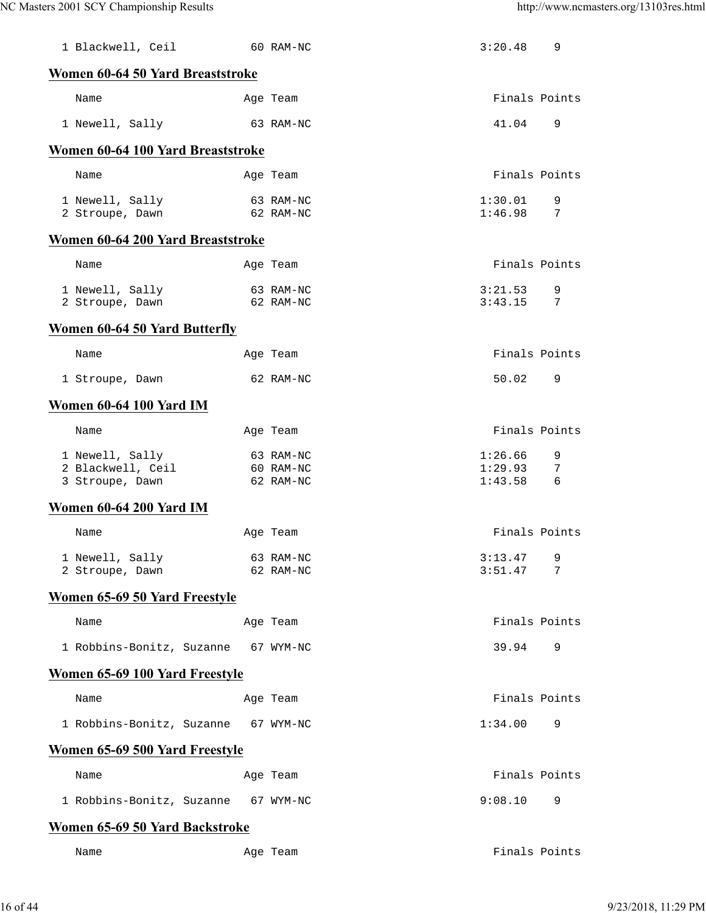| 1 Blackwell, Ceil                    | 60 RAM-NC              | 3:20.48            | 9             |
|--------------------------------------|------------------------|--------------------|---------------|
| Women 60-64 50 Yard Breaststroke     |                        |                    |               |
| Name                                 | Age Team               |                    | Finals Points |
| 1 Newell, Sally                      | 63 RAM-NC              | 41.04              | 9             |
| Women 60-64 100 Yard Breaststroke    |                        |                    |               |
| Name                                 | Age Team               | Finals Points      |               |
| 1 Newell, Sally<br>2 Stroupe, Dawn   | 63 RAM-NC<br>62 RAM-NC | 1:30.01<br>1:46.98 | 9<br>7        |
| Women 60-64 200 Yard Breaststroke    |                        |                    |               |
| Name                                 | Age Team               | Finals Points      |               |
| 1 Newell, Sally<br>2 Stroupe, Dawn   | 63 RAM-NC<br>62 RAM-NC | 3:21.53<br>3:43.15 | 9<br>7        |
| Women 60-64 50 Yard Butterfly        |                        |                    |               |
| Name                                 | Age Team               | Finals Points      |               |
| 1 Stroupe, Dawn                      | 62 RAM-NC              | 50.02              | 9             |
| Women 60-64 100 Yard IM              |                        |                    |               |
| Name                                 | Age Team               | Finals Points      |               |
| 1 Newell, Sally                      | 63 RAM-NC              | 1:26.66            | 9             |
| 2 Blackwell, Ceil<br>3 Stroupe, Dawn | 60 RAM-NC<br>62 RAM-NC | 1:29.93<br>1:43.58 | 7<br>6        |
| Women 60-64 200 Yard IM              |                        |                    |               |
| Name                                 | Age Team               |                    | Finals Points |
| 1 Newell, Sally                      | 63 RAM-NC              | 3:13.47            | 9             |
| 2 Stroupe, Dawn                      | 62 RAM-NC              | 3:51.47            | 7             |
| Women 65-69 50 Yard Freestyle        |                        |                    |               |
| Name                                 | Age Team               |                    | Finals Points |
| 1 Robbins-Bonitz, Suzanne            | 67 WYM-NC              | 39.94              | 9             |
| Women 65-69 100 Yard Freestyle       |                        |                    |               |
| Name                                 | Age Team               | Finals Points      |               |
| 1 Robbins-Bonitz, Suzanne            | 67 WYM-NC              | 1:34.00            | 9             |
| Women 65-69 500 Yard Freestyle       |                        |                    |               |
| Name                                 | Age Team               | Finals Points      |               |
| 1 Robbins-Bonitz, Suzanne            | 67 WYM-NC              | 9:08.10            | 9             |
| Women 65-69 50 Yard Backstroke       |                        |                    |               |
| Name                                 | Age Team               | Finals Points      |               |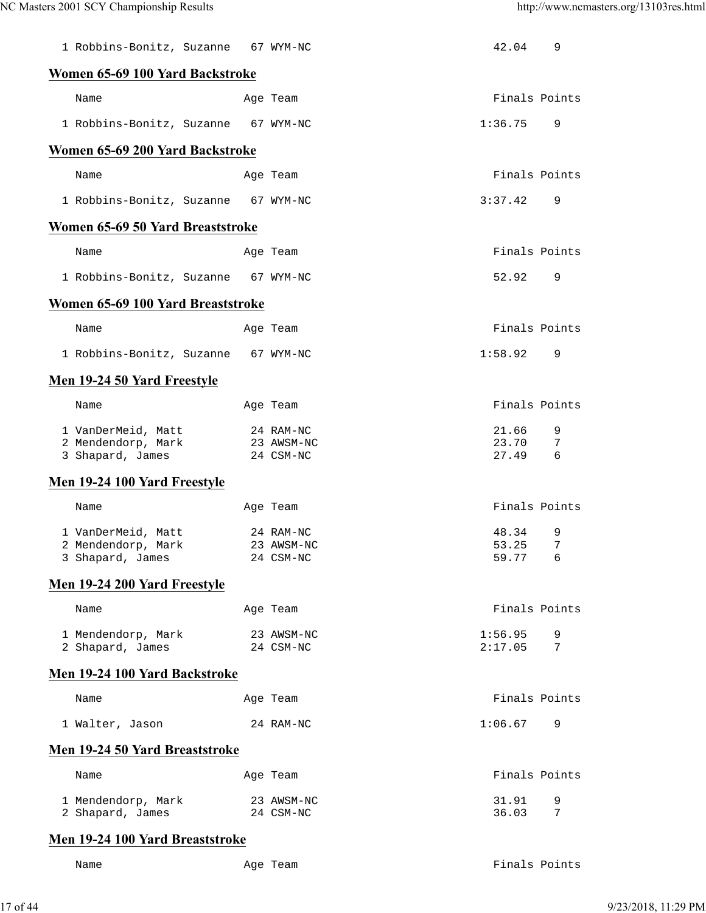| 1 Robbins-Bonitz, Suzanne                | 67 WYM-NC               | 42.04          | 9      |
|------------------------------------------|-------------------------|----------------|--------|
| Women 65-69 100 Yard Backstroke          |                         |                |        |
| Name                                     | Age Team                | Finals Points  |        |
| 1 Robbins-Bonitz, Suzanne                | 67 WYM-NC               | 1:36.75        | 9      |
| Women 65-69 200 Yard Backstroke          |                         |                |        |
| Name                                     | Age Team                | Finals Points  |        |
| 1 Robbins-Bonitz, Suzanne                | 67 WYM-NC               | 3:37.42        | 9      |
| Women 65-69 50 Yard Breaststroke         |                         |                |        |
| Name                                     | Age Team                | Finals Points  |        |
| 1 Robbins-Bonitz, Suzanne                | 67 WYM-NC               | 52.92          | 9      |
| Women 65-69 100 Yard Breaststroke        |                         |                |        |
| Name                                     | Age Team                | Finals Points  |        |
| 1 Robbins-Bonitz, Suzanne 67 WYM-NC      |                         | 1:58.92        | 9      |
| Men 19-24 50 Yard Freestyle              |                         |                |        |
| Name                                     | Age Team                | Finals Points  |        |
| 1 VanDerMeid, Matt<br>2 Mendendorp, Mark | 24 RAM-NC<br>23 AWSM-NC | 21.66<br>23.70 | 9<br>7 |
| 3 Shapard, James                         | 24 CSM-NC               | 27.49          | 6      |
|                                          |                         |                |        |
| Men 19-24 100 Yard Freestyle             |                         |                |        |
| Name                                     | Age Team                | Finals Points  |        |
| 1 VanDerMeid, Matt                       | 24 RAM-NC               | 48.34          | 9      |
| 2 Mendendorp, Mark<br>3 Shapard, James   | 23 AWSM-NC<br>24 CSM-NC | 53.25<br>59.77 | 7<br>6 |
| Men 19-24 200 Yard Freestyle             |                         |                |        |
| Name                                     | Age Team                | Finals Points  |        |
| 1 Mendendorp, Mark                       | 23 AWSM-NC              | 1:56.95        | 9      |
| 2 Shapard, James                         | 24 CSM-NC               | 2:17.05        | 7      |
| Men 19-24 100 Yard Backstroke            |                         |                |        |
| Name                                     | Age Team                | Finals Points  |        |
| 1 Walter, Jason                          | 24 RAM-NC               | 1:06.67        | 9      |
| Men 19-24 50 Yard Breaststroke           |                         |                |        |
| Name                                     | Age Team                | Finals Points  |        |
| 1 Mendendorp, Mark<br>2 Shapard, James   | 23 AWSM-NC<br>24 CSM-NC | 31.91<br>36.03 | 9<br>7 |

## **Men 19-24 100 Yard Breaststroke**

Name Age Team Age Team Finals Points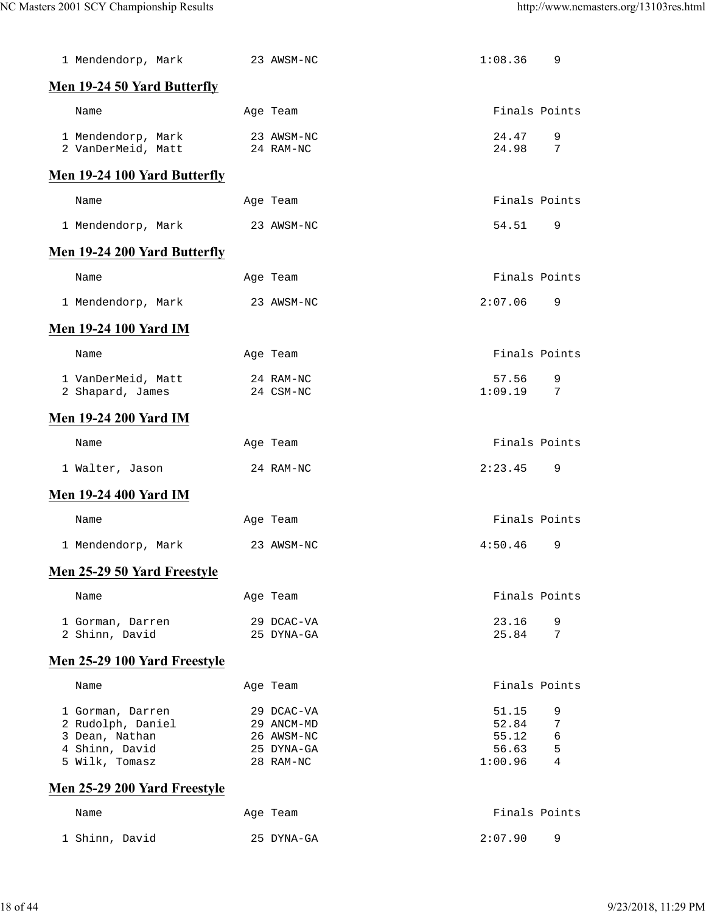| 1 Mendendorp, Mark                                                                          | 23 AWSM-NC                                                        | 1:08.36<br>9                                                         |
|---------------------------------------------------------------------------------------------|-------------------------------------------------------------------|----------------------------------------------------------------------|
| Men 19-24 50 Yard Butterfly                                                                 |                                                                   |                                                                      |
| Name                                                                                        | Age Team                                                          | Finals Points                                                        |
| 1 Mendendorp, Mark<br>2 VanDerMeid, Matt                                                    | 23 AWSM-NC<br>24 RAM-NC                                           | 9<br>24.47<br>24.98<br>7                                             |
| <b>Men 19-24 100 Yard Butterfly</b>                                                         |                                                                   |                                                                      |
| Name                                                                                        | Age Team                                                          | Finals Points                                                        |
| 1 Mendendorp, Mark                                                                          | 23 AWSM-NC                                                        | 54.51<br>9                                                           |
| Men 19-24 200 Yard Butterfly                                                                |                                                                   |                                                                      |
| Name                                                                                        | Age Team                                                          | Finals Points                                                        |
| 1 Mendendorp, Mark                                                                          | 23 AWSM-NC                                                        | 9<br>2:07.06                                                         |
| <b>Men 19-24 100 Yard IM</b>                                                                |                                                                   |                                                                      |
| Name                                                                                        | Age Team                                                          | Finals Points                                                        |
| 1 VanDerMeid, Matt<br>2 Shapard, James                                                      | 24 RAM-NC<br>24 CSM-NC                                            | 57.56<br>9<br>1:09.19<br>7                                           |
| <b>Men 19-24 200 Yard IM</b>                                                                |                                                                   |                                                                      |
| Name                                                                                        | Age Team                                                          | Finals Points                                                        |
| 1 Walter, Jason                                                                             | 24 RAM-NC                                                         | 2:23.45<br>9                                                         |
| <b>Men 19-24 400 Yard IM</b>                                                                |                                                                   |                                                                      |
| Name                                                                                        | Age Team                                                          | Finals Points                                                        |
| 1 Mendendorp, Mark                                                                          | 23 AWSM-NC                                                        | 4:50.46<br>9                                                         |
| Men 25-29 50 Yard Freestyle                                                                 |                                                                   |                                                                      |
| Name                                                                                        | Age Team                                                          | Finals Points                                                        |
| 1 Gorman, Darren<br>2 Shinn, David                                                          | 29 DCAC-VA<br>25 DYNA-GA                                          | 23.16<br>9<br>7<br>25.84                                             |
| Men 25-29 100 Yard Freestyle                                                                |                                                                   |                                                                      |
| Name                                                                                        | Age Team                                                          | Finals Points                                                        |
| 1 Gorman, Darren<br>2 Rudolph, Daniel<br>3 Dean, Nathan<br>4 Shinn, David<br>5 Wilk, Tomasz | 29 DCAC-VA<br>29 ANCM-MD<br>26 AWSM-NC<br>25 DYNA-GA<br>28 RAM-NC | 51.15<br>9<br>52.84<br>7<br>55.12<br>6<br>56.63<br>5<br>1:00.96<br>4 |
| Men 25-29 200 Yard Freestyle                                                                |                                                                   |                                                                      |
| Name                                                                                        | Age Team                                                          | Finals Points                                                        |
| 1 Shinn, David                                                                              | 25 DYNA-GA                                                        | 2:07.90<br>9                                                         |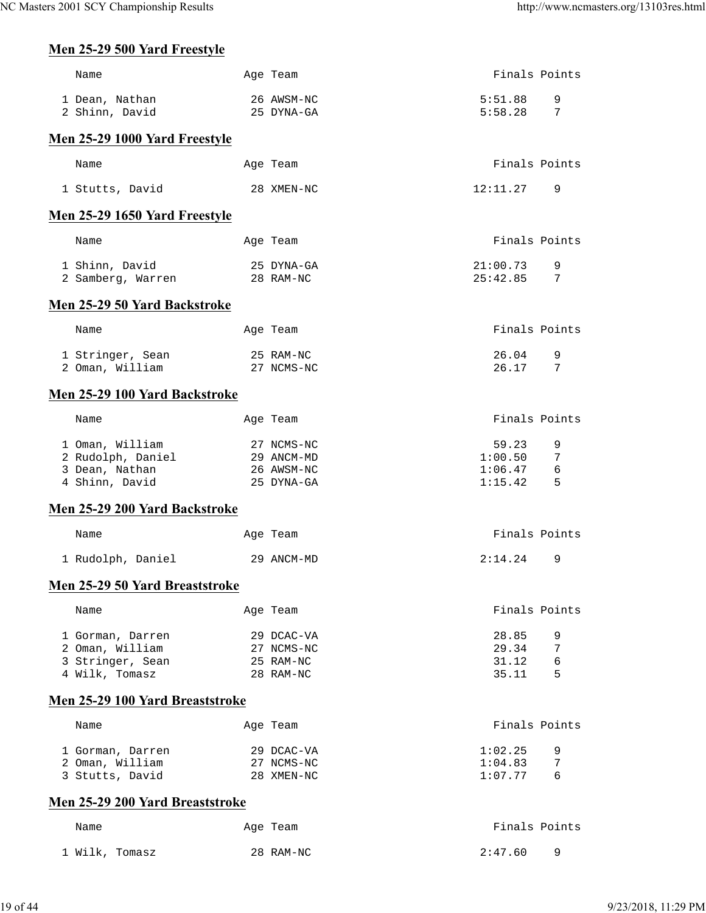# **Men 25-29 500 Yard Freestyle**

| Name                                  | Age Team                 | Finals Points      |        |
|---------------------------------------|--------------------------|--------------------|--------|
| 1 Dean, Nathan                        | 26 AWSM-NC               | 5:51.88            | 9      |
| 2 Shinn, David                        | 25 DYNA-GA               | 5:58.28            | 7      |
| Men 25-29 1000 Yard Freestyle         |                          |                    |        |
| Name                                  | Age Team                 | Finals Points      |        |
| 1 Stutts, David                       | 28 XMEN-NC               | 12:11.27           | 9      |
| Men 25-29 1650 Yard Freestyle         |                          |                    |        |
| Name                                  | Age Team                 | Finals Points      |        |
| 1 Shinn, David                        | 25 DYNA-GA               | 21:00.73           | 9      |
| 2 Samberg, Warren                     | 28 RAM-NC                | 25:42.85           | 7      |
| Men 25-29 50 Yard Backstroke          |                          |                    |        |
| Name                                  | Age Team                 | Finals Points      |        |
| 1 Stringer, Sean                      | 25 RAM-NC                | 26.04              | 9      |
| 2 Oman, William                       | 27 NCMS-NC               | 26.17              | 7      |
| Men 25-29 100 Yard Backstroke         |                          |                    |        |
| Name                                  | Age Team                 | Finals Points      |        |
| 1 Oman, William                       | 27 NCMS-NC               | 59.23              | 9      |
| 2 Rudolph, Daniel                     | 29 ANCM-MD               | 1:00.50            | 7      |
| 3 Dean, Nathan<br>4 Shinn, David      | 26 AWSM-NC<br>25 DYNA-GA | 1:06.47<br>1:15.42 | 6<br>5 |
| Men 25-29 200 Yard Backstroke         |                          |                    |        |
|                                       |                          | Finals Points      |        |
| Name                                  | Age Team                 |                    |        |
| 1 Rudolph, Daniel                     | 29 ANCM-MD               | 2:14.24            | 9      |
| <b>Men 25-29 50 Yard Breaststroke</b> |                          |                    |        |
| Name                                  | Age Team                 | Finals Points      |        |
| 1 Gorman, Darren                      | 29 DCAC-VA               | 28.85              | 9      |
| 2 Oman, William                       | 27 NCMS-NC               | 29.34              | 7      |
| 3 Stringer, Sean<br>4 Wilk, Tomasz    | 25 RAM-NC<br>28 RAM-NC   | 31.12<br>35.11     | 6<br>5 |
| Men 25-29 100 Yard Breaststroke       |                          |                    |        |
|                                       |                          |                    |        |
| Name                                  | Age Team                 | Finals Points      |        |
| 1 Gorman, Darren                      | 29 DCAC-VA               | 1:02.25            | 9      |
| 2 Oman, William                       | 27 NCMS-NC<br>28 XMEN-NC | 1:04.83<br>1:07.77 | 7<br>6 |
| 3 Stutts, David                       |                          |                    |        |
| Men 25-29 200 Yard Breaststroke       |                          |                    |        |
| Name                                  | Age Team                 | Finals Points      |        |
| 1 Wilk, Tomasz                        | 28 RAM-NC                | 2:47.60            | 9      |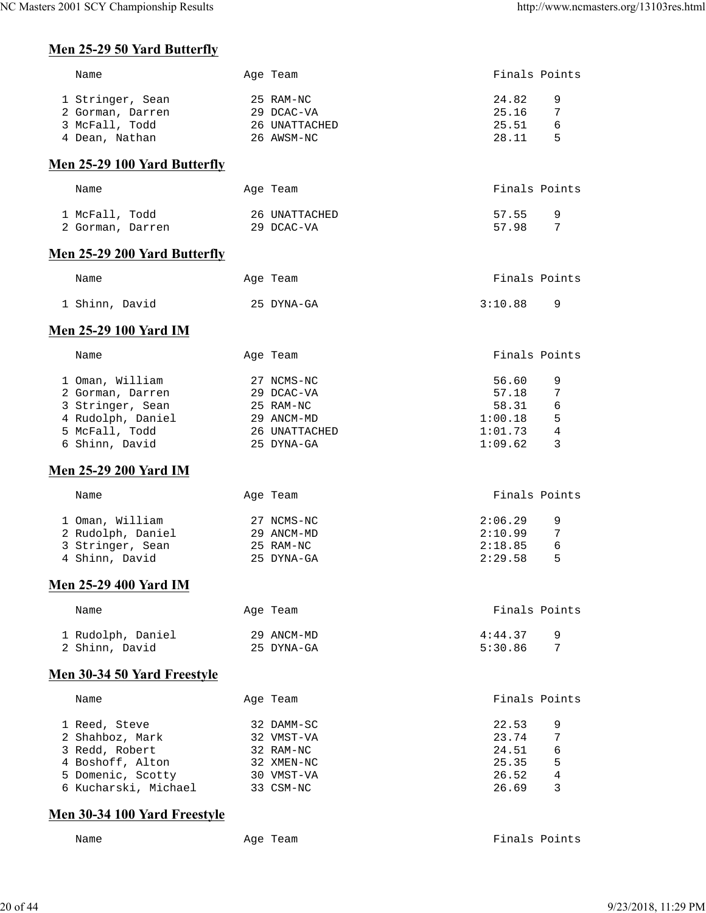## **Men 25-29 50 Yard Butterfly**

| Name                                | Age Team      | Finals Points             |
|-------------------------------------|---------------|---------------------------|
| 1 Stringer, Sean                    | 25 RAM-NC     | 24.82<br>9                |
| 2 Gorman, Darren                    | 29 DCAC-VA    | 25.16<br>7                |
| 3 McFall, Todd                      | 26 UNATTACHED | 25.51<br>6                |
| 4 Dean, Nathan                      | 26 AWSM-NC    | 28.11<br>5                |
|                                     |               |                           |
| Men 25-29 100 Yard Butterfly        |               |                           |
| Name                                | Age Team      | Finals Points             |
| 1 McFall, Todd                      | 26 UNATTACHED | 57.55<br>9                |
| 2 Gorman, Darren                    | 29 DCAC-VA    | 57.98<br>7                |
| <b>Men 25-29 200 Yard Butterfly</b> |               |                           |
| Name                                | Age Team      | Finals Points             |
| 1 Shinn, David                      | 25 DYNA-GA    | 3:10.88<br>9              |
|                                     |               |                           |
| <b>Men 25-29 100 Yard IM</b>        |               |                           |
| Name                                | Age Team      | Finals Points             |
| 1 Oman, William                     | 27 NCMS-NC    | 56.60<br>9                |
| 2 Gorman, Darren                    | 29 DCAC-VA    | 57.18<br>7                |
| 3 Stringer, Sean                    | 25 RAM-NC     | 58.31<br>6                |
| 4 Rudolph, Daniel                   | 29 ANCM-MD    | 1:00.18<br>5              |
| 5 McFall, Todd                      | 26 UNATTACHED | $\overline{4}$<br>1:01.73 |
| 6 Shinn, David                      | 25 DYNA-GA    | 1:09.62<br>3              |
| <b>Men 25-29 200 Yard IM</b>        |               |                           |
| Name                                | Age Team      | Finals Points             |
|                                     |               |                           |
| 1 Oman, William                     | 27 NCMS-NC    | 2:06.29<br>9              |
| 2 Rudolph, Daniel                   | 29 ANCM-MD    | 2:10.99<br>$\overline{7}$ |
| 3 Stringer, Sean                    | 25 RAM-NC     | 2:18.85<br>6              |
| 4 Shinn, David                      | 25 DYNA-GA    | 2:29.58<br>5              |
| <b>Men 25-29 400 Yard IM</b>        |               |                           |
| Name                                | Age Team      | Finals Points             |
|                                     |               |                           |
| 1 Rudolph, Daniel                   | 29 ANCM-MD    | 4:44.37<br>9              |
| 2 Shinn, David                      | 25 DYNA-GA    | 5:30.86<br>7              |
| <b>Men 30-34 50 Yard Freestyle</b>  |               |                           |
| Name                                | Age Team      | Finals Points             |
| 1 Reed, Steve                       | 32 DAMM-SC    | 22.53<br>9                |
| 2 Shahboz, Mark                     | 32 VMST-VA    | 23.74<br>7                |
| 3 Redd, Robert                      | 32 RAM-NC     | 24.51<br>6                |
| 4 Boshoff, Alton                    | 32 XMEN-NC    | 5<br>25.35                |
| 5 Domenic, Scotty                   | 30 VMST-VA    | $\overline{4}$<br>26.52   |
| 6 Kucharski, Michael                | 33 CSM-NC     | 3<br>26.69                |
| <b>Men 30-34 100 Yard Freestyle</b> |               |                           |

Name Age Team Age Team Finals Points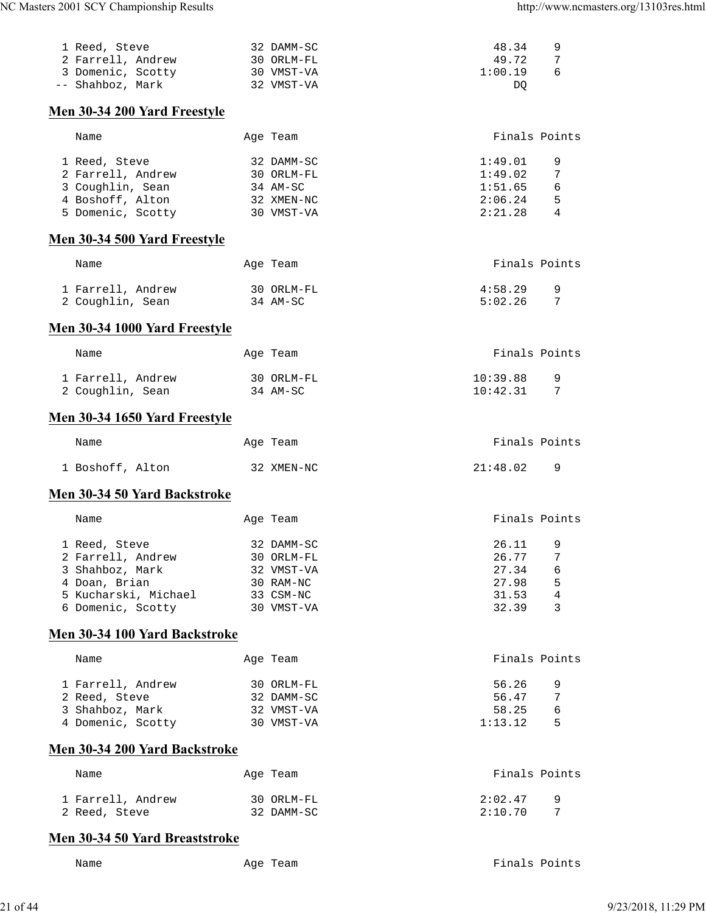| 1 Reed, Steve                  | 32 DAMM-SC | 48.34         | 9 |
|--------------------------------|------------|---------------|---|
| 2 Farrell, Andrew              | 30 ORLM-FL | 49.72         | 7 |
| 3 Domenic, Scotty              | 30 VMST-VA | 1:00.19       | 6 |
| -- Shahboz, Mark               | 32 VMST-VA | DQ            |   |
| Men 30-34 200 Yard Freestyle   |            |               |   |
| Name                           | Age Team   | Finals Points |   |
| 1 Reed, Steve                  | 32 DAMM-SC | 1:49.01       | 9 |
| 2 Farrell, Andrew              | 30 ORLM-FL | 1:49.02       | 7 |
| 3 Coughlin, Sean               | 34 AM-SC   | 1:51.65       | 6 |
| 4 Boshoff, Alton               | 32 XMEN-NC | 2:06.24       | 5 |
| 5 Domenic, Scotty              | 30 VMST-VA | 2:21.28       | 4 |
| Men 30-34 500 Yard Freestyle   |            |               |   |
| Name                           | Age Team   | Finals Points |   |
| 1 Farrell, Andrew              | 30 ORLM-FL | 4:58.29       | 9 |
| 2 Coughlin, Sean               | 34 AM-SC   | 5:02.26       | 7 |
| Men 30-34 1000 Yard Freestyle  |            |               |   |
| Name                           | Age Team   | Finals Points |   |
| 1 Farrell, Andrew              | 30 ORLM-FL | 10:39.88      | 9 |
| 2 Coughlin, Sean               | 34 AM-SC   | 10:42.31      | 7 |
| Men 30-34 1650 Yard Freestyle  |            |               |   |
| Name                           | Age Team   | Finals Points |   |
| 1 Boshoff, Alton               | 32 XMEN-NC | 21:48.02      | 9 |
| Men 30-34 50 Yard Backstroke   |            |               |   |
|                                |            |               |   |
| Name                           | Age Team   | Finals Points |   |
| 1 Reed, Steve                  | 32 DAMM-SC | 26.11         | 9 |
| 2 Farrell, Andrew              | 30 ORLM-FL | 26.77         | 7 |
| 3 Shahboz, Mark                | 32 VMST-VA | 27.34         | 6 |
| 4 Doan, Brian                  | 30 RAM-NC  | 27.98         | 5 |
| 5 Kucharski, Michael           | 33 CSM-NC  | 31.53         | 4 |
| 6 Domenic, Scotty              | 30 VMST-VA | 32.39         | 3 |
| Men 30-34 100 Yard Backstroke  |            |               |   |
| Name                           | Age Team   | Finals Points |   |
| 1 Farrell, Andrew              | 30 ORLM-FL | 56.26         | 9 |
| 2 Reed, Steve                  | 32 DAMM-SC | 56.47         | 7 |
| 3 Shahboz, Mark                | 32 VMST-VA | 58.25         | 6 |
| 4 Domenic, Scotty              | 30 VMST-VA | 1:13.12       | 5 |
| Men 30-34 200 Yard Backstroke  |            |               |   |
| Name                           | Age Team   | Finals Points |   |
| 1 Farrell, Andrew              | 30 ORLM-FL | 2:02.47       | 9 |
| 2 Reed, Steve                  | 32 DAMM-SC | 2:10.70       | 7 |
| Men 30-34 50 Yard Breaststroke |            |               |   |

Name Age Team Age Team Finals Points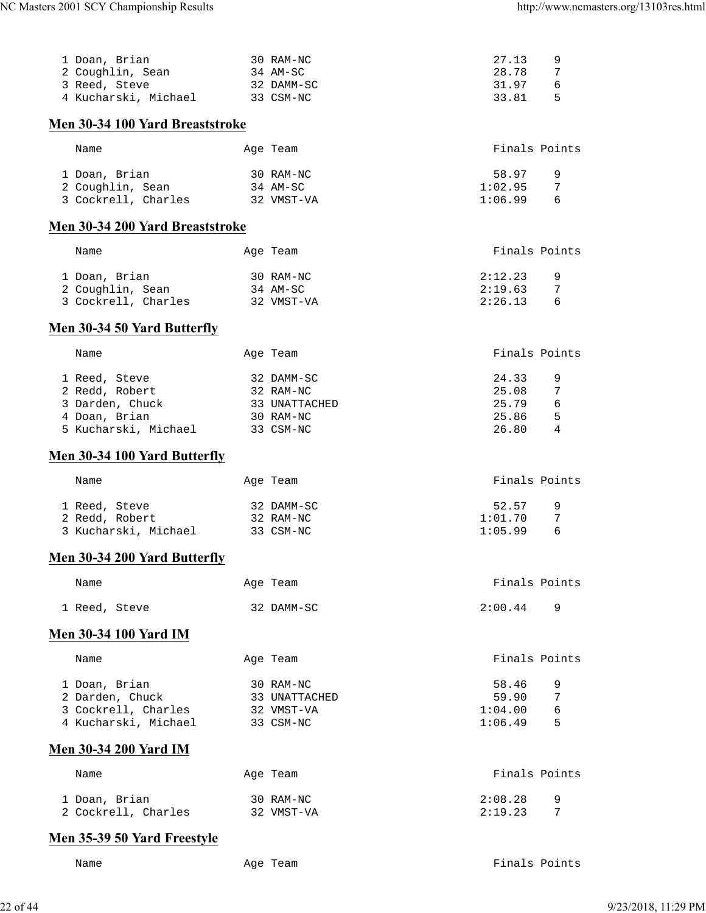| 1 Doan, Brian<br>2 Coughlin, Sean<br>3 Reed, Steve 32 DAMM-SC<br>4 Kucharski, Michael 33 CSM-NC | 30 RAM-NC                                | 9<br>27.13<br>7<br>28.78<br>31.97<br>6<br>33.81 5 |
|-------------------------------------------------------------------------------------------------|------------------------------------------|---------------------------------------------------|
| Men 30-34 100 Yard Breaststroke                                                                 |                                          |                                                   |
| Name                                                                                            | Age Team                                 | Finals Points                                     |
| 1 Doan, Brian                                                                                   | 30 RAM-NC                                | 58.97<br>9                                        |
| 2 Coughlin, Sean 34 AM-SC                                                                       |                                          | 1:02.95<br>7                                      |
| 3 Cockrell, Charles 32 VMST-VA                                                                  |                                          | $1:06.99$ 6                                       |
| Men 30-34 200 Yard Breaststroke                                                                 |                                          |                                                   |
| Name                                                                                            | Age Team                                 | Finals Points                                     |
| 1 Doan, Brian                                                                                   | 30 RAM-NC                                | 2:12.23<br>9                                      |
| 2 Coughlin, Sean                                                                                | $34$ AM-SC                               | 2:19.63<br>$\overline{7}$                         |
| 3 Cockrell, Charles 32 VMST-VA                                                                  |                                          | 2:26.13<br>6                                      |
| Men 30-34 50 Yard Butterfly                                                                     |                                          |                                                   |
| Name                                                                                            | Age Team                                 | Finals Points                                     |
| 1 Reed, Steve                                                                                   |                                          | 24.33<br>9                                        |
| 2 Redd, Robert                                                                                  | 32 DAMM-SC<br>32 RAM-NC<br>33 UNATTACHED | 25.08<br>7                                        |
| 3 Darden, Chuck                                                                                 |                                          | $25.79$ 6<br>25.86 5                              |
| 4 Doan, Brian<br>5 Kucharski, Michael 33 CSM-NC                                                 | 30 RAM-NC                                | 26.80 4                                           |
|                                                                                                 |                                          |                                                   |
| Men 30-34 100 Yard Butterfly                                                                    |                                          |                                                   |
| Name                                                                                            | Age Team                                 | Finals Points                                     |
| 1 Reed, Steve                                                                                   | 32 DAMM-SC                               | 52.57<br>9                                        |
| 2 Redd, Robert                                                                                  | 32 RAM-NC                                | 1:01.70<br>7                                      |
| 3 Kucharski, Michael 33 CSM-NC                                                                  |                                          | 6<br>1:05.99                                      |
| Men 30-34 200 Yard Butterfly                                                                    |                                          |                                                   |
| Name                                                                                            | Age Team                                 | Finals Points                                     |
| 1 Reed, Steve                                                                                   | 32 DAMM-SC                               | 2:00.44<br>9                                      |
| <b>Men 30-34 100 Yard IM</b>                                                                    |                                          |                                                   |
| Name                                                                                            | Age Team                                 | Finals Points                                     |
| 1 Doan, Brian                                                                                   | 30 RAM-NC                                | 58.46<br>9                                        |
| 2 Darden, Chuck                                                                                 | 33 UNATTACHED                            | 59.90<br>7                                        |
| 3 Cockrell, Charles                                                                             | 32 VMST-VA                               | 6<br>1:04.00                                      |
| 4 Kucharski, Michael                                                                            | 33 CSM-NC                                | 1:06.49<br>5                                      |
| <b>Men 30-34 200 Yard IM</b>                                                                    |                                          |                                                   |
| Name                                                                                            | Age Team                                 | Finals Points                                     |
| 1 Doan, Brian                                                                                   | 30 RAM-NC                                | 2:08.28<br>9                                      |
| 2 Cockrell, Charles                                                                             | 32 VMST-VA                               | 7<br>2:19.23                                      |
| Men 35-39 50 Yard Freestyle                                                                     |                                          |                                                   |

Name Age Team Age Team Finals Points

22 of 44 9/23/2018, 11:29 PM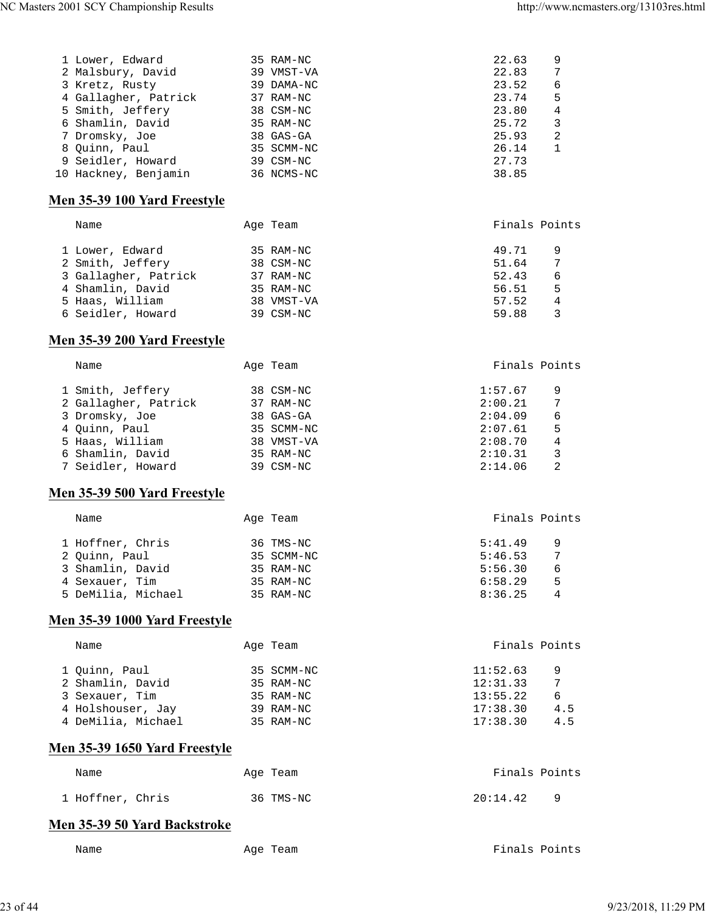| 1 Lower, Edward      | 35 RAM-NC  | 22.63 | 9            |
|----------------------|------------|-------|--------------|
| 2 Malsbury, David    | 39 VMST-VA | 22.83 | 7            |
| 3 Kretz, Rusty       | 39 DAMA-NC | 23.52 | 6            |
| 4 Gallagher, Patrick | 37 RAM-NC  | 23.74 | 5            |
| 5 Smith, Jeffery     | 38 CSM-NC  | 23.80 | 4            |
| 6 Shamlin, David     | 35 RAM-NC  | 25.72 | 3            |
| 7 Dromsky, Joe       | 38 GAS-GA  | 25.93 | 2            |
| 8 Ouinn, Paul        | 35 SCMM-NC | 26.14 | $\mathbf{1}$ |
| 9 Seidler, Howard    | 39 CSM-NC  | 27.73 |              |
| 10 Hackney, Benjamin | 36 NCMS-NC | 38.85 |              |
|                      |            |       |              |

## **Men 35-39 100 Yard Freestyle**

| Name                 | Age Team   | Finals Points |   |
|----------------------|------------|---------------|---|
| 1 Lower, Edward      | 35 RAM-NC  | 49.71         | 9 |
| 2 Smith, Jeffery     | 38 CSM-NC  | 51.64         | 7 |
| 3 Gallagher, Patrick | 37 RAM-NC  | 52.43         | 6 |
| 4 Shamlin, David     | 35 RAM-NC  | 56.51         | 5 |
| 5 Haas, William      | 38 VMST-VA | 57.52         | 4 |
| 6 Seidler, Howard    | 39 CSM-NC  | 59.88         | 3 |

## **Men 35-39 200 Yard Freestyle**

| Name                 | Age Team   | Finals Points |
|----------------------|------------|---------------|
| 1 Smith, Jeffery     | 38 CSM-NC  | 1:57.67<br>9  |
| 2 Gallagher, Patrick | 37 RAM-NC  | 7<br>2:00.21  |
| 3 Dromsky, Joe       | 38 GAS-GA  | 6<br>2:04.09  |
| 4 Ouinn, Paul        | 35 SCMM-NC | 5<br>2:07.61  |
| 5 Haas, William      | 38 VMST-VA | 4<br>2:08.70  |
| 6 Shamlin, David     | 35 RAM-NC  | 3<br>2:10.31  |
| 7 Seidler, Howard    | 39 CSM-NC  | 2:14.06<br>2  |

## **Men 35-39 500 Yard Freestyle**

| Name               | Age Team   | Finals Points |
|--------------------|------------|---------------|
| 1 Hoffner, Chris   | 36 TMS-NC  | 5:41.49<br>9  |
| 2 Quinn, Paul      | 35 SCMM-NC | 7<br>5:46.53  |
| 3 Shamlin, David   | 35 RAM-NC  | 5:56.30<br>6  |
| 4 Sexauer, Tim     | 35 RAM-NC  | 6:58.29<br>5  |
| 5 DeMilia, Michael | 35 RAM-NC  | 8:36.25<br>4  |
|                    |            |               |

## **Men 35-39 1000 Yard Freestyle**

| Name               | Age Team   | Finals Points |     |
|--------------------|------------|---------------|-----|
| 1 Quinn, Paul      | 35 SCMM-NC | 11:52.63      | 9   |
| 2 Shamlin, David   | 35 RAM-NC  | 12:31.33      | 7   |
| 3 Sexauer, Tim     | 35 RAM-NC  | 13:55.22      | 6   |
| 4 Holshouser, Jay  | 39 RAM-NC  | 17:38.30      | 4.5 |
| 4 DeMilia, Michael | 35 RAM-NC  | 17:38.30      | 4.5 |

## **Men 35-39 1650 Yard Freestyle**

| Name             | Age Team  | Finals Points        |
|------------------|-----------|----------------------|
| 1 Hoffner, Chris | 36 TMS-NC | 20:14.42<br><u>a</u> |

# **Men 35-39 50 Yard Backstroke**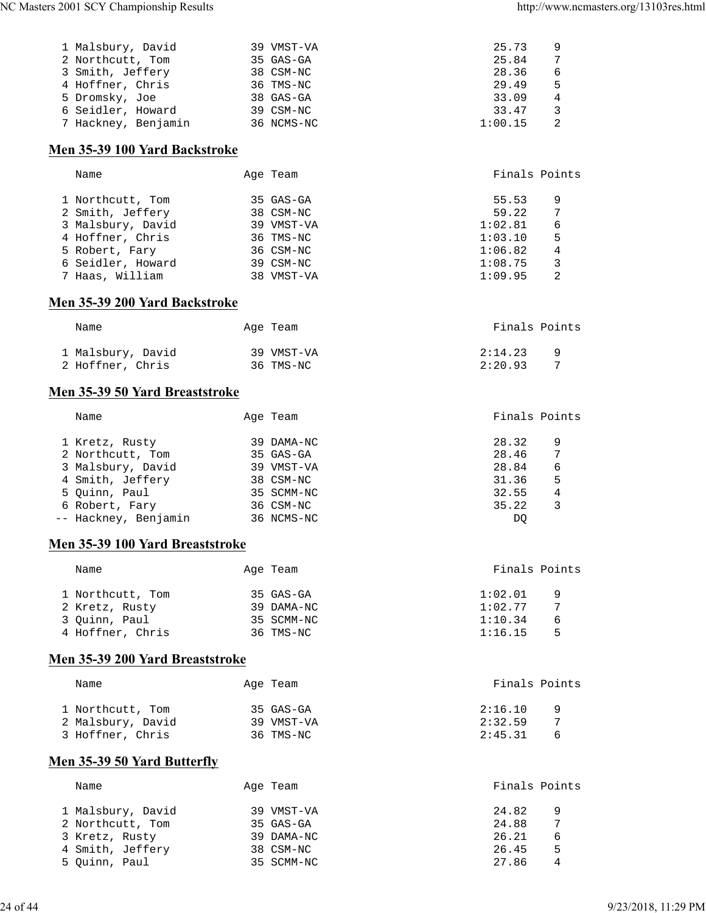| 1 Malsbury, David   | 39 VMST-VA | 25.73   |   |
|---------------------|------------|---------|---|
| 2 Northcutt, Tom    | 35 GAS-GA  | 25.84   |   |
| 3 Smith, Jeffery    | 38 CSM-NC  | 28.36   | 6 |
| 4 Hoffner, Chris    | 36 TMS-NC  | 29.49   | 5 |
| 5 Dromsky, Joe      | 38 GAS-GA  | 33.09   |   |
| 6 Seidler, Howard   | 39 CSM-NC  | 33.47   |   |
| 7 Hackney, Benjamin | 36 NCMS-NC | 1:00.15 |   |
|                     |            |         |   |

## **Men 35-39 100 Yard Backstroke**

| Name              | Age Team   | Finals Points |   |
|-------------------|------------|---------------|---|
| 1 Northcutt, Tom  | 35 GAS-GA  | 55.53         | 9 |
| 2 Smith, Jeffery  | 38 CSM-NC  | 59.22         | 7 |
| 3 Malsbury, David | 39 VMST-VA | 1:02.81       | 6 |
| 4 Hoffner, Chris  | 36 TMS-NC  | 1:03.10       | 5 |
| 5 Robert, Fary    | 36 CSM-NC  | 1:06.82       | 4 |
| 6 Seidler, Howard | 39 CSM-NC  | 1:08.75       | 3 |
| 7 Haas, William   | 38 VMST-VA | 1:09.95       | 2 |
|                   |            |               |   |

#### **Men 35-39 200 Yard Backstroke**

| Name              | Age Team   | Finals Points |
|-------------------|------------|---------------|
| 1 Malsbury, David | 39 VMST-VA | 2:14.23       |
| 2 Hoffner, Chris  | 36 TMS-NC  | 2:20.93       |

## **Men 35-39 50 Yard Breaststroke**

| Name                 | Age Team   | Finals Points |   |
|----------------------|------------|---------------|---|
| 1 Kretz, Rusty       | 39 DAMA-NC | 28.32         | 9 |
| 2 Northcutt, Tom     | 35 GAS-GA  | 28.46         | 7 |
| 3 Malsbury, David    | 39 VMST-VA | 28.84         | 6 |
| 4 Smith, Jeffery     | 38 CSM-NC  | 31.36         | 5 |
| 5 Ouinn, Paul        | 35 SCMM-NC | 32.55         | 4 |
| 6 Robert, Fary       | 36 CSM-NC  | 35.22         | 3 |
| -- Hackney, Benjamin | 36 NCMS-NC | DO            |   |

## **Men 35-39 100 Yard Breaststroke**

| Name             | Age Team |             | Finals Points |   |
|------------------|----------|-------------|---------------|---|
| 1 Northcutt, Tom |          | $35$ GAS-GA | 1:02.01       | 9 |
| 2 Kretz, Rusty   |          | 39 DAMA-NC  | 1:02.77       |   |
| 3 Ouinn, Paul    |          | 35 SCMM-NC  | 1:10.34       | 6 |
| 4 Hoffner, Chris |          | 36 TMS-NC   | 1:16.15       | 5 |
|                  |          |             |               |   |

## **Men 35-39 200 Yard Breaststroke**

| Name              | Age Team   | Finals Points  |
|-------------------|------------|----------------|
| 1 Northcutt, Tom  | 35 GAS-GA  | 2:16.10<br>- q |
| 2 Malsbury, David | 39 VMST-VA | 2:32.59        |
| 3 Hoffner, Chris  | 36 TMS-NC  | 2:45.31<br>h   |

## **Men 35-39 50 Yard Butterfly**

| Name              | Age Team    | Finals Points |   |
|-------------------|-------------|---------------|---|
| 1 Malsbury, David | 39 VMST-VA  | 24.82         | 9 |
| 2 Northcutt, Tom  | $35$ GAS-GA | 24.88         |   |
| 3 Kretz, Rusty    | 39 DAMA-NC  | 26.21         | 6 |
| 4 Smith, Jeffery  | 38 CSM-NC   | 26.45         | 5 |
| 5 Ouinn, Paul     | 35 SCMM-NC  | 27.86         | 4 |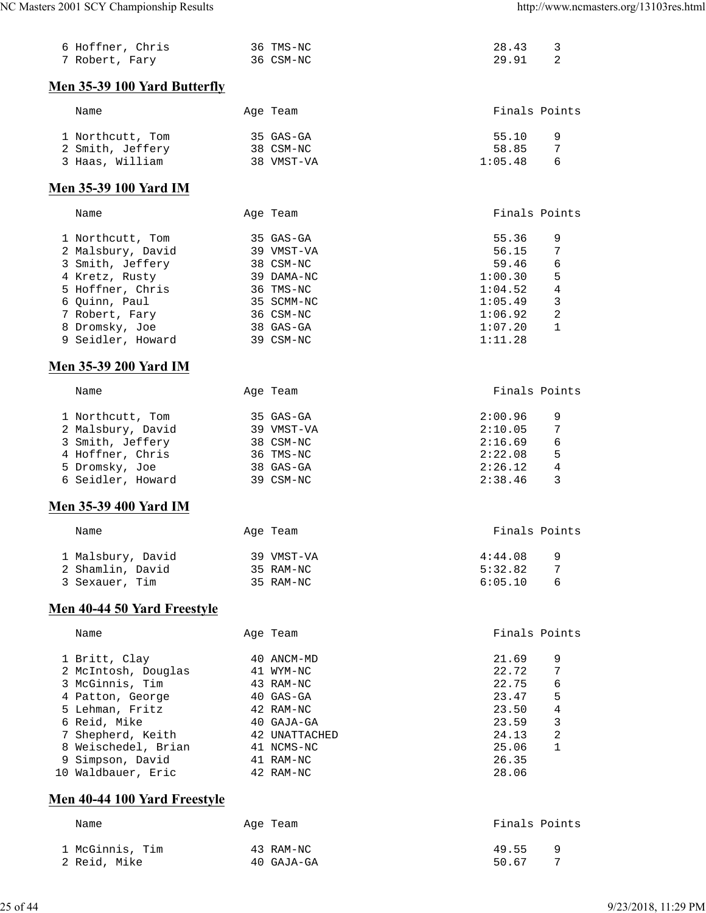| 6 Hoffner, Chris<br>7 Robert, Fary  | 36 TMS-NC<br>36 CSM-NC | 28.43<br>3<br>29.91<br>2  |
|-------------------------------------|------------------------|---------------------------|
| <b>Men 35-39 100 Yard Butterfly</b> |                        |                           |
| Name                                | Age Team               | Finals Points             |
| 1 Northcutt, Tom                    | 35 GAS-GA              | 55.10<br>9                |
| 2 Smith, Jeffery                    | 38 CSM-NC              | 58.85<br>7                |
| 3 Haas, William                     | 38 VMST-VA             | 1:05.48<br>6              |
| <b>Men 35-39 100 Yard IM</b>        |                        |                           |
| Name                                | Age Team               | Finals Points             |
| 1 Northcutt, Tom                    | 35 GAS-GA              | 55.36<br>9                |
| 2 Malsbury, David                   | 39 VMST-VA             | 56.15<br>7                |
| 3 Smith, Jeffery                    | 38 CSM-NC              | 6<br>59.46                |
| 4 Kretz, Rusty                      | 39 DAMA-NC             | 1:00.30<br>5              |
| 5 Hoffner, Chris                    | 36 TMS-NC              | $\overline{4}$<br>1:04.52 |
| 6 Quinn, Paul                       | 35 SCMM-NC             | 1:05.49<br>3              |
| 7 Robert, Fary                      | 36 CSM-NC              | 2<br>1:06.92              |
| 8 Dromsky, Joe                      | 38 GAS-GA              | 1:07.20<br>1              |
| 9 Seidler, Howard                   | 39 CSM-NC              | 1:11.28                   |
| <b>Men 35-39 200 Yard IM</b>        |                        |                           |
| Name                                | Age Team               | Finals Points             |
| 1 Northcutt, Tom                    | 35 GAS-GA              | 2:00.96<br>9              |
| 2 Malsbury, David                   | 39 VMST-VA             | 7<br>2:10.05              |
| 3 Smith, Jeffery                    | 38 CSM-NC              | 2:16.69<br>6              |
| 4 Hoffner, Chris                    | 36 TMS-NC              | 2:22.08<br>5              |
| 5 Dromsky, Joe                      | 38 GAS-GA              | 2:26.12<br>4              |
| 6 Seidler, Howard                   | 39 CSM-NC              | 2:38.46<br>3              |
| <b>Men 35-39 400 Yard IM</b>        |                        |                           |
| Name                                | Age Team               | Finals Points             |
| 1 Malsbury, David                   | 39 VMST-VA             | 4:44.08<br>9              |
| 2 Shamlin, David                    | 35 RAM-NC              | 5:32.82<br>7              |
| 3 Sexauer, Tim                      | 35 RAM-NC              | 6:05.10<br>6              |
| Men 40-44 50 Yard Freestyle         |                        |                           |
| Name                                | Age Team               | Finals Points             |
| 1 Britt, Clay                       | 40 ANCM-MD             | 21.69<br>9                |
| 2 McIntosh, Douglas                 | 41 WYM-NC              | 22.72<br>7                |
| 3 McGinnis, Tim                     | 43 RAM-NC              | 22.75<br>6                |
| 4 Patton, George                    | 40 GAS-GA              | 23.47<br>5                |
| 5 Lehman, Fritz                     | 42 RAM-NC              | 23.50<br>4                |
| 6 Reid, Mike                        | 40 GAJA-GA             | 23.59<br>3                |
| 7 Shepherd, Keith                   | 42 UNATTACHED          | 2<br>24.13                |
| 8 Weischedel, Brian                 | 41 NCMS-NC             | 1<br>25.06                |
| 9 Simpson, David                    | 41 RAM-NC              | 26.35                     |
| 10 Waldbauer, Eric                  | 42 RAM-NC              | 28.06                     |
| Men 40-44 100 Yard Freestyle        |                        |                           |
| Name                                | Age Team               | Finals Points             |
| 1 McGinnis, Tim                     | 43 RAM-NC              | 49.55<br>9                |

2 Reid, Mike 40 GAJA-GA 50.67 7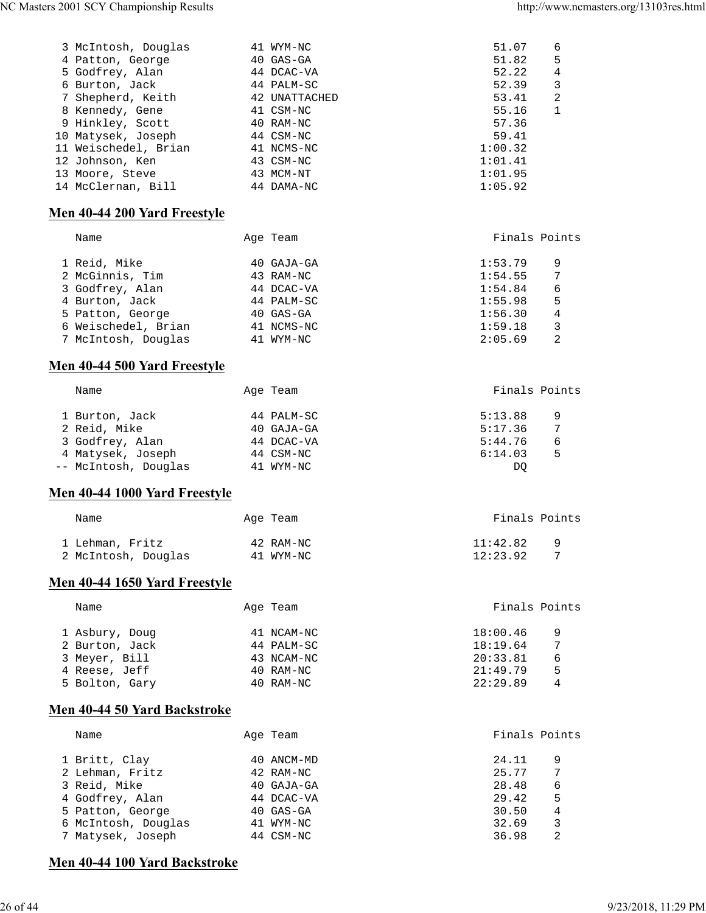| 3 McIntosh, Douglas           | 41 WYM-NC     | 51.07         | 6              |
|-------------------------------|---------------|---------------|----------------|
| 4 Patton, George              | 40 GAS-GA     | 51.82         | 5              |
| 5 Godfrey, Alan               | 44 DCAC-VA    | 52.22         | $\overline{4}$ |
| 6 Burton, Jack                | 44 PALM-SC    | 52.39         | 3              |
| 7 Shepherd, Keith             | 42 UNATTACHED | 53.41         | 2              |
| 8 Kennedy, Gene               | 41 CSM-NC     | 55.16         | 1              |
| 9 Hinkley, Scott              | 40 RAM-NC     | 57.36         |                |
| 10 Matysek, Joseph            | 44 CSM-NC     | 59.41         |                |
| 11 Weischedel, Brian          | 41 NCMS-NC    | 1:00.32       |                |
| 12 Johnson, Ken               | 43 CSM-NC     | 1:01.41       |                |
| 13 Moore, Steve               | 43 MCM-NT     | 1:01.95       |                |
| 14 McClernan, Bill 44 DAMA-NC |               | 1:05.92       |                |
| Men 40-44 200 Yard Freestyle  |               |               |                |
| Name                          | Age Team      | Finals Points |                |
| 1 Reid, Mike                  | 40 GAJA-GA    | 1:53.79       | 9              |
| 2 McGinnis, Tim               | 43 RAM-NC     | 1:54.55       | 7              |
| 3 Godfrey, Alan               | 44 DCAC-VA    | 1:54.84       | 6              |
| 4 Burton, Jack                | 44 PALM-SC    | 1:55.98       | 5              |
| 5 Patton, George              | 40 GAS-GA     | 1:56.30       | $\sqrt{4}$     |
| 6 Weischedel, Brian           | 41 NCMS-NC    | 1:59.18       | 3              |
| 7 McIntosh, Douglas 41 WYM-NC |               | 2:05.69       | 2              |
| Men 40-44 500 Yard Freestyle  |               |               |                |
| Name                          | Age Team      |               | Finals Points  |
| 1 Burton, Jack                | 44 PALM-SC    | 5:13.88       | 9              |
| 2 Reid, Mike                  | 40 GAJA-GA    | 5:17.36       | 7              |
| 3 Godfrey, Alan               | 44 DCAC-VA    | 5:44.76       | 6              |
| 4 Matysek, Joseph             | 44 CSM-NC     | 6:14.03       | 5              |
| -- McIntosh, Douglas          | 41 WYM-NC     | DQ            |                |
| Men 40-44 1000 Yard Freestyle |               |               |                |
| Name                          | Age Team      | Finals Points |                |
| 1 Lehman, Fritz               | 42 RAM-NC     | 11:42.82 9    |                |
| 2 McIntosh, Douglas           | 41 WYM-NC     | 12:23.92      | 7              |
| Men 40-44 1650 Yard Freestyle |               |               |                |
| Name                          | Age Team      |               | Finals Points  |
| 1 Asbury, Doug                | 41 NCAM-NC    | 18:00.46      | 9              |
| 2 Burton, Jack                | 44 PALM-SC    | 18:19.64      | 7              |
| 3 Meyer, Bill                 | 43 NCAM-NC    | 20:33.81      | 6              |
| 4 Reese, Jeff                 | 40 RAM-NC     | 21:49.79      | 5              |
| 5 Bolton, Gary                | 40 RAM-NC     | 22:29.89      | 4              |
| Men 40-44 50 Yard Backstroke  |               |               |                |
| Name                          | Age Team      |               | Finals Points  |
| 1 Britt, Clay                 | 40 ANCM-MD    | 24.11         | 9              |
| 2 Lehman, Fritz               | 42 RAM-NC     | 25.77         | 7              |
| 3 Reid, Mike                  | 40 GAJA-GA    | 28.48         | 6              |
| 4 Godfrey, Alan               | 44 DCAC-VA    | 29.42         | 5              |
| 5 Patton, George              | 40 GAS-GA     | 30.50         | $\,4$          |
| 6 McIntosh, Douglas           | 41 WYM-NC     | 32.69         | 3              |

7 Matysek, Joseph 44 CSM-NC 36.98 2

## **Men 40-44 100 Yard Backstroke**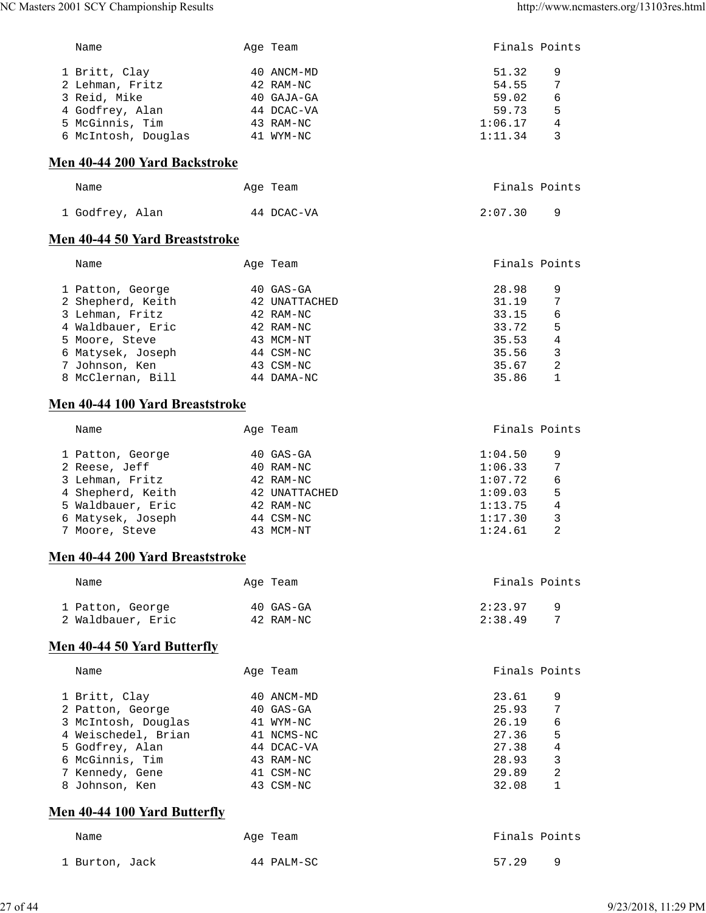| NC Masters 2001 SCY Championship Results |               | http://www.ncmasters.org/13103res.html |
|------------------------------------------|---------------|----------------------------------------|
| Name                                     | Age Team      | Finals Points                          |
| 1 Britt, Clay                            | 40 ANCM-MD    | 51.32<br>9                             |
| 2 Lehman, Fritz                          | 42 RAM-NC     | 54.55<br>7                             |
| 3 Reid, Mike                             | 40 GAJA-GA    | 59.02<br>6                             |
| 4 Godfrey, Alan                          | 44 DCAC-VA    | 59.73<br>5                             |
|                                          | 43 RAM-NC     | 1:06.17<br>4                           |
| 5 McGinnis, Tim                          |               |                                        |
| 6 McIntosh, Douglas 41 WYM-NC            |               | 1:11.34<br>3                           |
| Men 40-44 200 Yard Backstroke            |               |                                        |
| Name                                     | Age Team      | Finals Points                          |
| 1 Godfrey, Alan                          | 44 DCAC-VA    | 2:07.30<br>9                           |
| Men 40-44 50 Yard Breaststroke           |               |                                        |
| Name                                     | Age Team      | Finals Points                          |
| 1 Patton, George                         | 40 GAS-GA     | 28.98<br>9                             |
| 2 Shepherd, Keith                        | 42 UNATTACHED | 31.19<br>7                             |
| 3 Lehman, Fritz                          | 42 RAM-NC     | 33.15<br>6                             |
| 4 Waldbauer, Eric                        | 42 RAM-NC     | 5<br>33.72                             |
| 5 Moore, Steve                           | 43 MCM-NT     | 35.53<br>4                             |
|                                          |               |                                        |
| 6 Matysek, Joseph                        | 44 CSM-NC     | 35.56<br>3                             |
| 7 Johnson, Ken                           | 43 CSM-NC     | 35.67<br>2                             |
| 8 McClernan, Bill                        | 44 DAMA-NC    | 35.86<br>1                             |
| Men 40-44 100 Yard Breaststroke          |               |                                        |
| Name                                     | Age Team      | Finals Points                          |
| 1 Patton, George                         | 40 GAS-GA     | 1:04.50<br>9                           |
| 2 Reese, Jeff                            | 40 RAM-NC     | 1:06.33<br>7                           |
| 3 Lehman, Fritz                          | 42 RAM-NC     | 1:07.72<br>6                           |
| 4 Shepherd, Keith                        | 42 UNATTACHED | 5<br>1:09.03                           |
| 5 Waldbauer, Eric                        | 42 RAM-NC     | 4<br>1:13.75                           |
| 6 Matysek, Joseph                        | 44 CSM-NC     | 1:17.30<br>3                           |
|                                          | 43 MCM-NT     |                                        |
| 7 Moore, Steve                           |               | 1:24.61<br>2                           |
| Men 40-44 200 Yard Breaststroke          |               |                                        |
| Name                                     | Age Team      | Finals Points                          |
| 1 Patton, George                         | 40 GAS-GA     | 2:23.97<br>9                           |
| 2 Waldbauer, Eric                        | 42 RAM-NC     | 2:38.49<br>7                           |
| Men 40-44 50 Yard Butterfly              |               |                                        |
| Name                                     | Age Team      | Finals Points                          |
| 1 Britt, Clay                            | 40 ANCM-MD    | 23.61<br>9                             |
| 2 Patton, George                         | 40 GAS-GA     | 25.93<br>7                             |
| 3 McIntosh, Douglas                      | 41 WYM-NC     | 26.19<br>6                             |
| 4 Weischedel, Brian                      | 41 NCMS-NC    | 27.36<br>5                             |
| 5 Godfrey, Alan                          | 44 DCAC-VA    | 27.38<br>4                             |
| 6 McGinnis, Tim                          | 43 RAM-NC     | 28.93<br>3                             |
|                                          |               | 29.89                                  |
| 7 Kennedy, Gene                          | 41 CSM-NC     | 2                                      |
| 8 Johnson, Ken                           | 43 CSM-NC     | 32.08<br>1                             |
| Men 40-44 100 Yard Butterfly             |               |                                        |
| Name                                     | Age Team      | Finals Points                          |
|                                          |               |                                        |

1 Burton, Jack 14 PALM-SC 57.29 9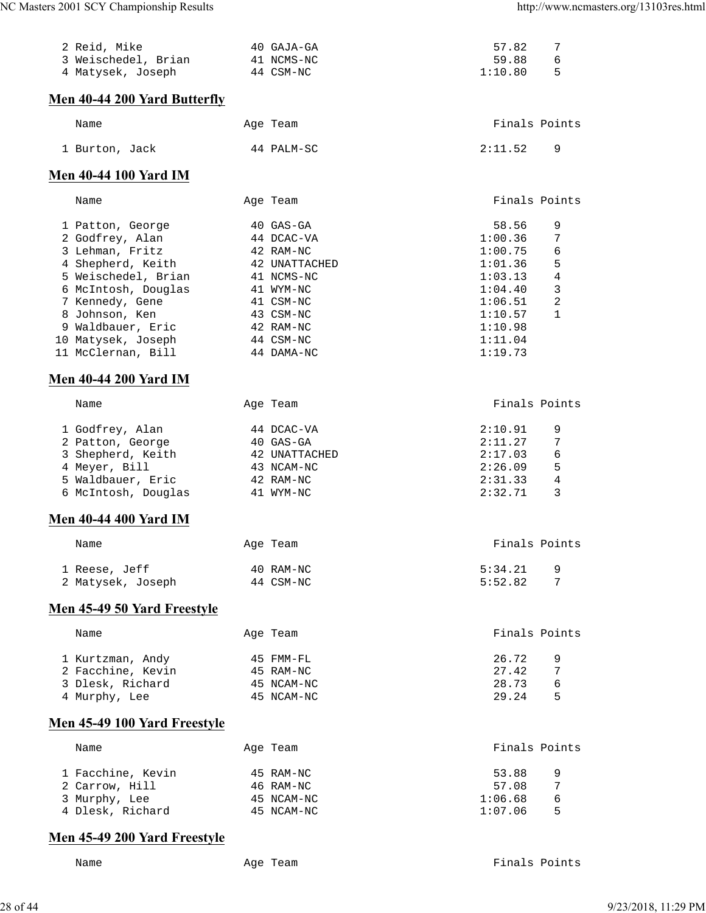| 2 Reid, Mike<br>3 Weischedel, Brian<br>4 Matysek, Joseph                                                                                                                                                                                                        | 40 GAJA-GA<br>41 NCMS-NC<br>44 CSM-NC                                                                                                              | 57.82<br>7<br>59.88<br>6<br>5<br>1:10.80                                                                                                                               |
|-----------------------------------------------------------------------------------------------------------------------------------------------------------------------------------------------------------------------------------------------------------------|----------------------------------------------------------------------------------------------------------------------------------------------------|------------------------------------------------------------------------------------------------------------------------------------------------------------------------|
| Men 40-44 200 Yard Butterfly                                                                                                                                                                                                                                    |                                                                                                                                                    |                                                                                                                                                                        |
| Name                                                                                                                                                                                                                                                            | Age Team                                                                                                                                           | Finals Points                                                                                                                                                          |
| 1 Burton, Jack                                                                                                                                                                                                                                                  | 44 PALM-SC                                                                                                                                         | 2:11.52<br>9                                                                                                                                                           |
| <b>Men 40-44 100 Yard IM</b>                                                                                                                                                                                                                                    |                                                                                                                                                    |                                                                                                                                                                        |
| Name                                                                                                                                                                                                                                                            | Age Team                                                                                                                                           | Finals Points                                                                                                                                                          |
| 1 Patton, George<br>2 Godfrey, Alan<br>3 Lehman, Fritz<br>4 Shepherd, Keith<br>5 Weischedel, Brian<br>6 McIntosh, Douglas<br>7 Kennedy, Gene<br>8 Johnson, Ken<br>9 Waldbauer, Eric<br>10 Matysek, Joseph<br>11 McClernan, Bill<br><b>Men 40-44 200 Yard IM</b> | 40 GAS-GA<br>44 DCAC-VA<br>42 RAM-NC<br>42 UNATTACHED<br>41 NCMS-NC<br>41 WYM-NC<br>41 CSM-NC<br>43 CSM-NC<br>42 RAM-NC<br>44 CSM-NC<br>44 DAMA-NC | 58.56<br>9<br>7<br>1:00.36<br>6<br>1:00.75<br>5<br>1:01.36<br>4<br>1:03.13<br>3<br>1:04.40<br>2<br>1:06.51<br>$\mathbf{1}$<br>1:10.57<br>1:10.98<br>1:11.04<br>1:19.73 |
| Name                                                                                                                                                                                                                                                            | Age Team                                                                                                                                           | Finals Points                                                                                                                                                          |
| 1 Godfrey, Alan<br>2 Patton, George<br>3 Shepherd, Keith<br>4 Meyer, Bill<br>5 Waldbauer, Eric<br>6 McIntosh, Douglas<br><b>Men 40-44 400 Yard IM</b>                                                                                                           | 44 DCAC-VA<br>40 GAS-GA<br>42 UNATTACHED<br>43 NCAM-NC<br>42 RAM-NC<br>41 WYM-NC                                                                   | 2:10.91<br>9<br>2:11.27<br>7<br>6<br>2:17.03<br>2:26.09<br>5<br>2:31.33<br>4<br>3<br>2:32.71                                                                           |
| Name                                                                                                                                                                                                                                                            | Age Team                                                                                                                                           | Finals Points                                                                                                                                                          |
| 1 Reese, Jeff<br>2 Matysek, Joseph                                                                                                                                                                                                                              | 40 RAM-NC<br>44 CSM-NC                                                                                                                             | 9<br>5:34.21<br>5:52.82<br>7                                                                                                                                           |
| Men 45-49 50 Yard Freestyle                                                                                                                                                                                                                                     |                                                                                                                                                    |                                                                                                                                                                        |
| Name                                                                                                                                                                                                                                                            | Age Team                                                                                                                                           | Finals Points                                                                                                                                                          |
| 1 Kurtzman, Andy<br>2 Facchine, Kevin<br>3 Dlesk, Richard<br>4 Murphy, Lee                                                                                                                                                                                      | 45 FMM-FL<br>45 RAM-NC<br>45 NCAM-NC<br>45 NCAM-NC                                                                                                 | 26.72<br>9<br>27.42<br>7<br>28.73<br>6<br>29.24<br>5                                                                                                                   |
| Men 45-49 100 Yard Freestyle                                                                                                                                                                                                                                    |                                                                                                                                                    |                                                                                                                                                                        |
| Name                                                                                                                                                                                                                                                            | Age Team                                                                                                                                           | Finals Points                                                                                                                                                          |
| 1 Facchine, Kevin<br>2 Carrow, Hill<br>3 Murphy, Lee<br>4 Dlesk, Richard                                                                                                                                                                                        | 45 RAM-NC<br>46 RAM-NC<br>45 NCAM-NC<br>45 NCAM-NC                                                                                                 | 53.88<br>9<br>57.08<br>7<br>1:06.68<br>6<br>5<br>1:07.06                                                                                                               |
| Men 45-49 200 Yard Freestyle                                                                                                                                                                                                                                    |                                                                                                                                                    |                                                                                                                                                                        |

Name Age Team Age Team Finals Points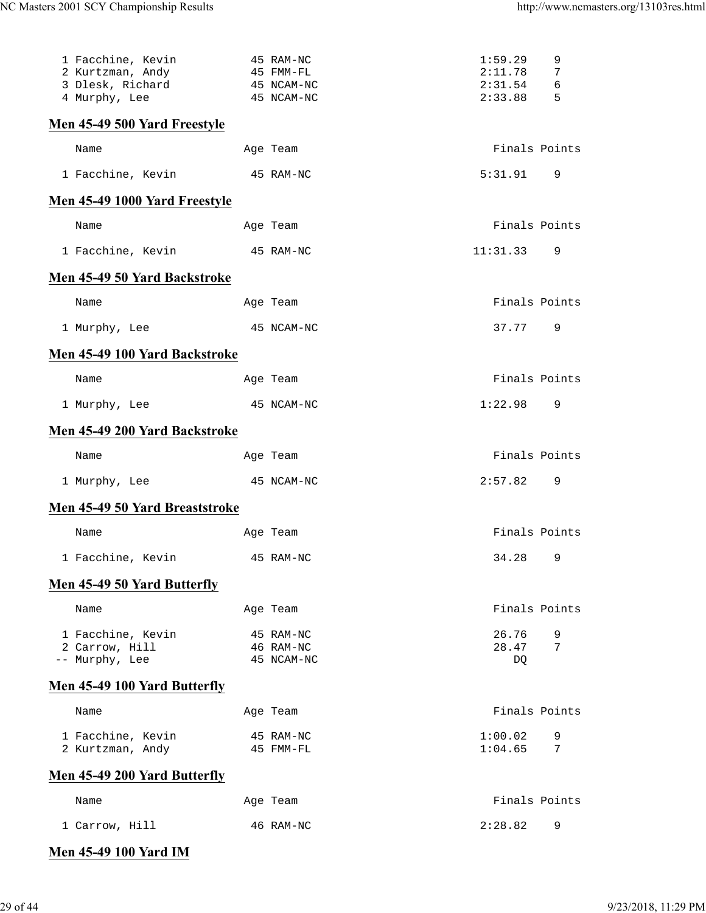| 1 Facchine, Kevin<br>2 Kurtzman, Andy<br>3 Dlesk, Richard<br>4 Murphy, Lee | 45 RAM-NC<br>45 FMM-FL<br>45 NCAM-NC<br>45 NCAM-NC | 1:59.29<br>2:11.78<br>2:31.54<br>2:33.88 | 9<br>7<br>6<br>5 |
|----------------------------------------------------------------------------|----------------------------------------------------|------------------------------------------|------------------|
| Men 45-49 500 Yard Freestyle                                               |                                                    |                                          |                  |
| Name                                                                       | Age Team                                           | Finals Points                            |                  |
| 1 Facchine, Kevin<br>45 RAM-NC                                             |                                                    | 5:31.91                                  | 9                |
| Men 45-49 1000 Yard Freestyle                                              |                                                    |                                          |                  |
| Name                                                                       | Age Team                                           | Finals Points                            |                  |
| 1 Facchine, Kevin                                                          | 45 RAM-NC                                          | 11:31.33                                 | 9                |
| <b>Men 45-49 50 Yard Backstroke</b>                                        |                                                    |                                          |                  |
| Name                                                                       | Age Team                                           | Finals Points                            |                  |
| 1 Murphy, Lee                                                              | 45 NCAM-NC                                         | 37.77                                    | 9                |
| Men 45-49 100 Yard Backstroke                                              |                                                    |                                          |                  |
| Name                                                                       | Age Team                                           | Finals Points                            |                  |
| 1 Murphy, Lee                                                              | 45 NCAM-NC                                         | 1:22.98                                  | 9                |
| Men 45-49 200 Yard Backstroke                                              |                                                    |                                          |                  |
| Name                                                                       | Age Team                                           | Finals Points                            |                  |
| 1 Murphy, Lee                                                              | 45 NCAM-NC                                         | 2:57.82                                  | 9                |
| Men 45-49 50 Yard Breaststroke                                             |                                                    |                                          |                  |
| Name                                                                       | Age Team                                           | Finals Points                            |                  |
| 1 Facchine, Kevin                                                          | 45 RAM-NC                                          | 34.28                                    | 9                |
| Men 45-49 50 Yard Butterfly                                                |                                                    |                                          |                  |
| Name                                                                       | Age Team                                           | Finals Points                            |                  |
| 1 Facchine, Kevin<br>2 Carrow, Hill<br>-- Murphy, Lee                      | 45 RAM-NC<br>46 RAM-NC<br>45 NCAM-NC               | 26.76<br>28.47<br>DQ                     | 9<br>7           |
| <b>Men 45-49 100 Yard Butterfly</b>                                        |                                                    |                                          |                  |
| Name                                                                       | Age Team                                           | Finals Points                            |                  |
| 1 Facchine, Kevin<br>2 Kurtzman, Andy                                      | 45 RAM-NC<br>45 FMM-FL                             | 1:00.02<br>1:04.65                       | 9<br>7           |
| <b>Men 45-49 200 Yard Butterfly</b>                                        |                                                    |                                          |                  |
| Name                                                                       | Age Team                                           | Finals Points                            |                  |
| 1 Carrow, Hill                                                             | 46 RAM-NC                                          | 2:28.82                                  | 9                |

# **Men 45-49 100 Yard IM**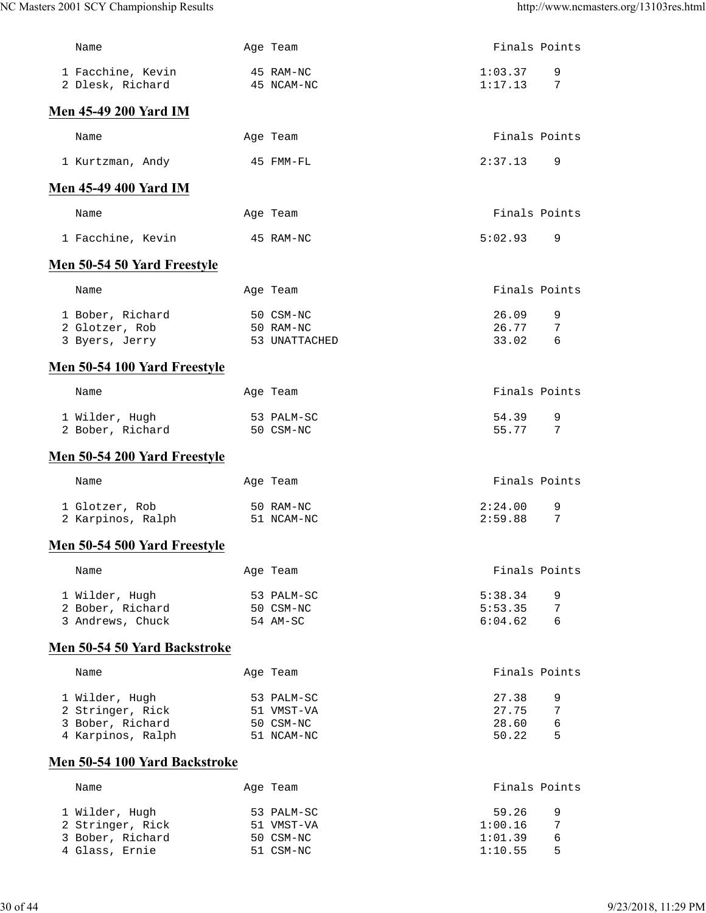| Name                                  | Age Team                | Finals Points      |               |
|---------------------------------------|-------------------------|--------------------|---------------|
| 1 Facchine, Kevin<br>2 Dlesk, Richard | 45 RAM-NC<br>45 NCAM-NC | 1:03.37<br>1:17.13 | 9<br>7        |
| <b>Men 45-49 200 Yard IM</b>          |                         |                    |               |
| Name                                  | Age Team                | Finals Points      |               |
| 1 Kurtzman, Andy                      | 45 FMM-FL               | 2:37.13            | 9             |
| <b>Men 45-49 400 Yard IM</b>          |                         |                    |               |
| Name                                  | Age Team                |                    | Finals Points |
| 1 Facchine, Kevin                     | 45 RAM-NC               | 5:02.93            | 9             |
| Men 50-54 50 Yard Freestyle           |                         |                    |               |
| Name                                  | Age Team                | Finals Points      |               |
| 1 Bober, Richard                      | 50 CSM-NC               | 26.09              | 9             |
| 2 Glotzer, Rob                        | 50 RAM-NC               | 26.77              | 7             |
| 3 Byers, Jerry                        | 53 UNATTACHED           | 33.02              | 6             |
| Men 50-54 100 Yard Freestyle          |                         |                    |               |
| Name                                  | Age Team                | Finals Points      |               |
| 1 Wilder, Hugh                        | 53 PALM-SC              | 54.39              | 9             |
| 2 Bober, Richard                      | 50 CSM-NC               | 55.77              | 7             |
| Men 50-54 200 Yard Freestyle          |                         |                    |               |
| Name                                  | Age Team                | Finals Points      |               |
| 1 Glotzer, Rob                        | 50 RAM-NC               | 2:24.00            | 9             |
| 2 Karpinos, Ralph                     | 51 NCAM-NC              | 2:59.88            | 7             |
| Men 50-54 500 Yard Freestyle          |                         |                    |               |
| Name                                  | Age Team                |                    | Finals Points |
| 1 Wilder, Hugh                        | 53 PALM-SC              | 5:38.34            | 9             |
| 2 Bober, Richard                      | 50 CSM-NC               | 5:53.35            | 7             |
| 3 Andrews, Chuck                      | 54 AM-SC                | 6:04.62            | 6             |
| Men 50-54 50 Yard Backstroke          |                         |                    |               |
| Name                                  | Age Team                |                    | Finals Points |
| 1 Wilder, Hugh                        | 53 PALM-SC              | 27.38              | 9             |
| 2 Stringer, Rick<br>3 Bober, Richard  | 51 VMST-VA              | 27.75<br>28.60     | 7<br>6        |
| 4 Karpinos, Ralph                     | 50 CSM-NC<br>51 NCAM-NC | 50.22              | 5             |
| Men 50-54 100 Yard Backstroke         |                         |                    |               |
|                                       |                         |                    |               |
| Name                                  | Age Team                |                    | Finals Points |
| 1 Wilder, Hugh                        | 53 PALM-SC              | 59.26              | 9             |
| 2 Stringer, Rick                      | 51 VMST-VA              | 1:00.16            | 7             |
| 3 Bober, Richard<br>4 Glass, Ernie    | 50 CSM-NC<br>51 CSM-NC  | 1:01.39<br>1:10.55 | 6<br>5        |
|                                       |                         |                    |               |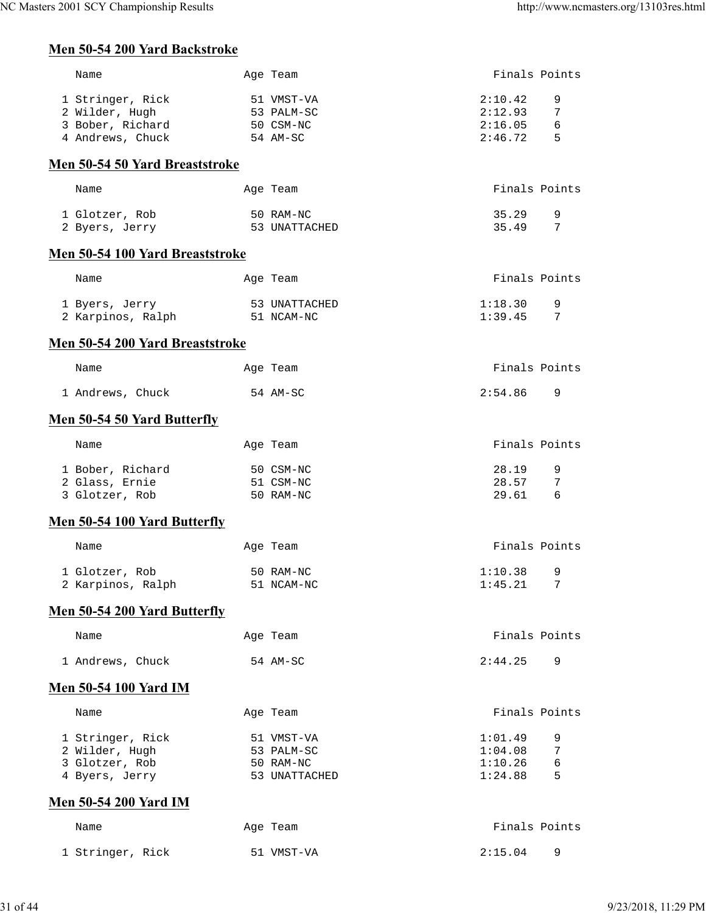## **Men 50-54 200 Yard Backstroke**

| Name                                                                       | Age Team                                               | Finals Points                            |                      |
|----------------------------------------------------------------------------|--------------------------------------------------------|------------------------------------------|----------------------|
| 1 Stringer, Rick<br>2 Wilder, Hugh<br>3 Bober, Richard<br>4 Andrews, Chuck | 51 VMST-VA<br>53 PALM-SC<br>50 CSM-NC<br>54 AM-SC      | 2:10.42<br>2:12.93<br>2:16.05<br>2:46.72 | 9<br>7<br>6<br>5     |
| <b>Men 50-54 50 Yard Breaststroke</b>                                      |                                                        |                                          |                      |
| Name                                                                       | Age Team                                               | Finals Points                            |                      |
| 1 Glotzer, Rob<br>2 Byers, Jerry                                           | 50 RAM-NC<br>53 UNATTACHED                             | 35.29<br>35.49                           | 9<br>7               |
| Men 50-54 100 Yard Breaststroke                                            |                                                        |                                          |                      |
| Name                                                                       | Age Team                                               | Finals Points                            |                      |
| 1 Byers, Jerry<br>2 Karpinos, Ralph 51 NCAM-NC                             | 53 UNATTACHED                                          | 1:18.30<br>1:39.45                       | 9<br>7               |
| Men 50-54 200 Yard Breaststroke                                            |                                                        |                                          |                      |
| Name                                                                       | Age Team                                               | Finals Points                            |                      |
| 1 Andrews, Chuck                                                           | 54 AM-SC                                               | 2:54.86                                  | 9                    |
| <b>Men 50-54 50 Yard Butterfly</b>                                         |                                                        |                                          |                      |
| Name                                                                       | Age Team                                               | Finals Points                            |                      |
| 1 Bober, Richard<br>2 Glass, Ernie<br>3 Glotzer, Rob                       | 50 CSM-NC<br>51 CSM-NC<br>50 RAM-NC                    | 28.19<br>28.57<br>29.61                  | 9<br>7<br>6          |
| Men 50-54 100 Yard Butterfly                                               |                                                        |                                          |                      |
| Name                                                                       | Age Team                                               | Finals Points                            |                      |
| 1 Glotzer, Rob<br>2 Karpinos, Ralph                                        | 50 RAM-NC<br>51 NCAM-NC                                | 1:10.38<br>1:45.21                       | 9<br>$7\phantom{.0}$ |
| <b>Men 50-54 200 Yard Butterfly</b>                                        |                                                        |                                          |                      |
| Name                                                                       | Age Team                                               | Finals Points                            |                      |
| 1 Andrews, Chuck                                                           | 54 AM-SC                                               | 2:44.25                                  | 9                    |
| Men 50-54 100 Yard IM                                                      |                                                        |                                          |                      |
| Name                                                                       | Age Team                                               | Finals Points                            |                      |
| 1 Stringer, Rick<br>2 Wilder, Hugh<br>3 Glotzer, Rob<br>4 Byers, Jerry     | 51 VMST-VA<br>53 PALM-SC<br>50 RAM-NC<br>53 UNATTACHED | 1:01.49<br>1:04.08<br>1:10.26<br>1:24.88 | 9<br>7<br>6<br>5     |
| <b>Men 50-54 200 Yard IM</b>                                               |                                                        |                                          |                      |
| Name                                                                       | Age Team                                               | Finals Points                            |                      |
| 1 Stringer, Rick                                                           | 51 VMST-VA                                             | 2:15.04                                  | 9                    |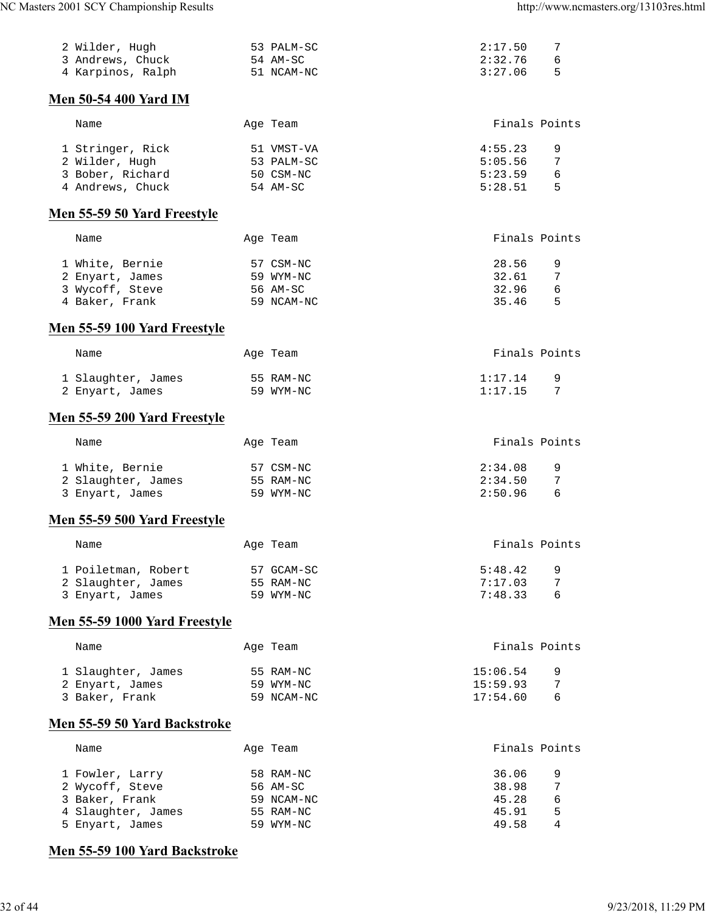| 2 Wilder, Hugh                       | 53 PALM-SC | 2:17.50  | 7             |
|--------------------------------------|------------|----------|---------------|
| 3 Andrews, Chuck                     | 54 AM-SC   | 2:32.76  | 6             |
| 4 Karpinos, Ralph                    | 51 NCAM-NC | 3:27.06  | 5             |
| Men 50-54 400 Yard IM                |            |          |               |
| Name                                 | Age Team   |          | Finals Points |
| 1 Stringer, Rick                     | 51 VMST-VA | 4:55.23  | 9             |
| 2 Wilder, Hugh                       | 53 PALM-SC | 5:05.56  | 7             |
| 3 Bober, Richard                     | 50 CSM-NC  | 5:23.59  | 6             |
| 4 Andrews, Chuck                     | 54 AM-SC   | 5:28.51  | 5             |
| Men 55-59 50 Yard Freestyle          |            |          |               |
| Name                                 | Age Team   |          | Finals Points |
|                                      |            |          |               |
| 1 White, Bernie                      | 57 CSM-NC  | 28.56    | 9             |
| 2 Enyart, James                      | 59 WYM-NC  | 32.61    | 7             |
| 3 Wycoff, Steve                      | 56 AM-SC   | 32.96    | 6             |
| 4 Baker, Frank                       | 59 NCAM-NC | 35.46    | 5             |
| Men 55-59 100 Yard Freestyle         |            |          |               |
| Name                                 | Age Team   |          | Finals Points |
|                                      |            |          |               |
| 1 Slaughter, James                   | 55 RAM-NC  | 1:17.14  | 9             |
| 2 Enyart, James                      | 59 WYM-NC  | 1:17.15  | 7             |
| Men 55-59 200 Yard Freestyle         |            |          |               |
| Name                                 | Age Team   |          | Finals Points |
|                                      |            |          |               |
| 1 White, Bernie                      | 57 CSM-NC  | 2:34.08  | 9             |
| 2 Slaughter, James                   | 55 RAM-NC  | 2:34.50  | 7             |
| 3 Enyart, James                      | 59 WYM-NC  | 2:50.96  | 6             |
| Men 55-59 500 Yard Freestyle         |            |          |               |
|                                      |            |          |               |
| Name                                 | Age Team   |          | Finals Points |
| 1 Poiletman, Robert                  | 57 GCAM-SC | 5:48.42  | 9             |
| 2 Slaughter, James                   | 55 RAM-NC  | 7:17.03  | 7             |
| 3 Enyart, James                      | 59 WYM-NC  | 7:48.33  | 6             |
| <b>Men 55-59 1000 Yard Freestyle</b> |            |          |               |
| Name                                 | Age Team   |          | Finals Points |
| 1 Slaughter, James                   | 55 RAM-NC  | 15:06.54 | 9             |
| 2 Enyart, James                      | 59 WYM-NC  | 15:59.93 | 7             |
| 3 Baker, Frank                       | 59 NCAM-NC | 17:54.60 | 6             |
|                                      |            |          |               |
| Men 55-59 50 Yard Backstroke         |            |          |               |
| Name                                 | Age Team   |          | Finals Points |
| 1 Fowler, Larry                      | 58 RAM-NC  | 36.06    | 9             |
| 2 Wycoff, Steve                      | 56 AM-SC   | 38.98    | 7             |
| 3 Baker, Frank                       | 59 NCAM-NC | 45.28    | 6             |
| 4 Slaughter, James                   | 55 RAM-NC  | 45.91    | 5             |
| 5 Enyart, James                      | 59 WYM-NC  | 49.58    | 4             |
| Men 55-59 100 Yard Backstroke        |            |          |               |
|                                      |            |          |               |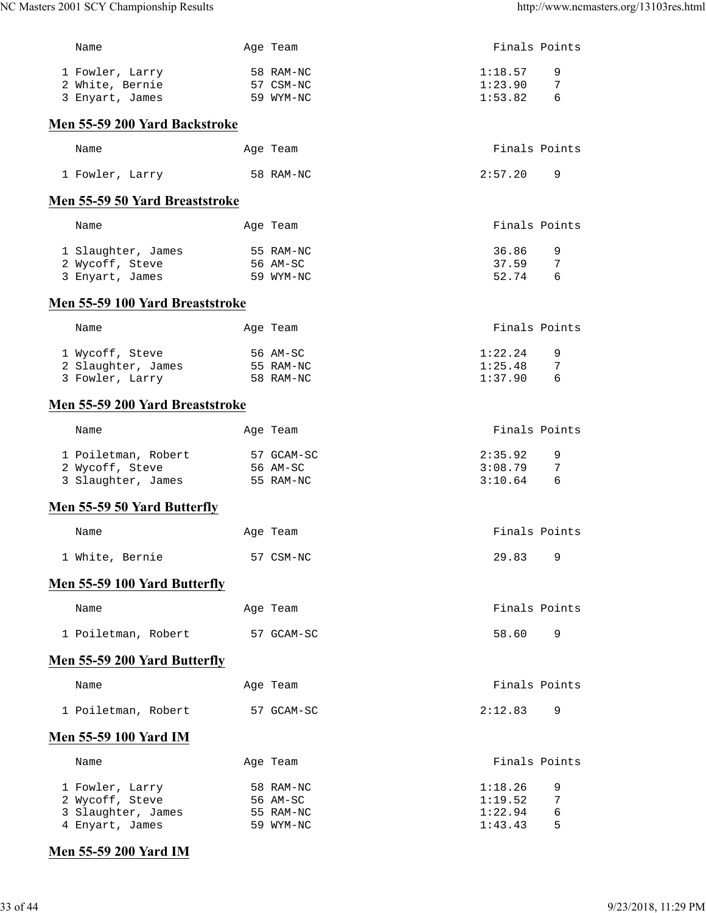| Name                                  | Age Team               |                    | Finals Points |
|---------------------------------------|------------------------|--------------------|---------------|
| 1 Fowler, Larry                       | 58 RAM-NC              | 1:18.57            | 9             |
| 2 White, Bernie                       | 57 CSM-NC              | 1:23.90            | 7             |
| 3 Enyart, James                       | 59 WYM-NC              | 1:53.82            | 6             |
| Men 55-59 200 Yard Backstroke         |                        |                    |               |
| Name                                  | Age Team               |                    | Finals Points |
| 1 Fowler, Larry                       | 58 RAM-NC              | 2:57.20            | 9             |
| Men 55-59 50 Yard Breaststroke        |                        |                    |               |
| Name                                  | Age Team               |                    | Finals Points |
| 1 Slaughter, James                    | 55 RAM-NC              | 36.86              | 9             |
| 2 Wycoff, Steve                       | 56 AM-SC               | 37.59              | 7             |
| 3 Enyart, James                       | 59 WYM-NC              | 52.74              | 6             |
| Men 55-59 100 Yard Breaststroke       |                        |                    |               |
| Name                                  | Age Team               |                    | Finals Points |
| 1 Wycoff, Steve                       | 56 AM-SC               | 1:22.24            | 9             |
| 2 Slaughter, James                    | 55 RAM-NC              | 1:25.48            | 7             |
| 3 Fowler, Larry                       | 58 RAM-NC              | 1:37.90            | 6             |
| Men 55-59 200 Yard Breaststroke       |                        |                    |               |
| Name                                  | Age Team               |                    | Finals Points |
| 1 Poiletman, Robert                   | 57 GCAM-SC             | 2:35.92            | 9             |
| 2 Wycoff, Steve                       | 56 AM-SC               | 3:08.79            | 7             |
| 3 Slaughter, James                    | 55 RAM-NC              | 3:10.64            | 6             |
| Men 55-59 50 Yard Butterfly           |                        |                    |               |
| Name                                  | Age Team               |                    | Finals Points |
| 1 White, Bernie                       | 57 CSM-NC              | 29.83              | 9             |
| <b>Men 55-59 100 Yard Butterfly</b>   |                        |                    |               |
| Name                                  | Age Team               |                    | Finals Points |
| 1 Poiletman, Robert                   | 57 GCAM-SC             | 58.60              | 9             |
| <b>Men 55-59 200 Yard Butterfly</b>   |                        |                    |               |
| Name                                  | Age Team               |                    | Finals Points |
| 1 Poiletman, Robert                   | 57 GCAM-SC             | 2:12.83            | 9             |
| <b>Men 55-59 100 Yard IM</b>          |                        |                    |               |
| Name                                  | Age Team               |                    | Finals Points |
| 1 Fowler, Larry                       | 58 RAM-NC              | 1:18.26            | 9             |
| 2 Wycoff, Steve                       | 56 AM-SC               | 1:19.52            | 7             |
| 3 Slaughter, James<br>4 Enyart, James | 55 RAM-NC<br>59 WYM-NC | 1:22.94<br>1:43.43 | 6<br>5        |
|                                       |                        |                    |               |

# **Men 55-59 200 Yard IM**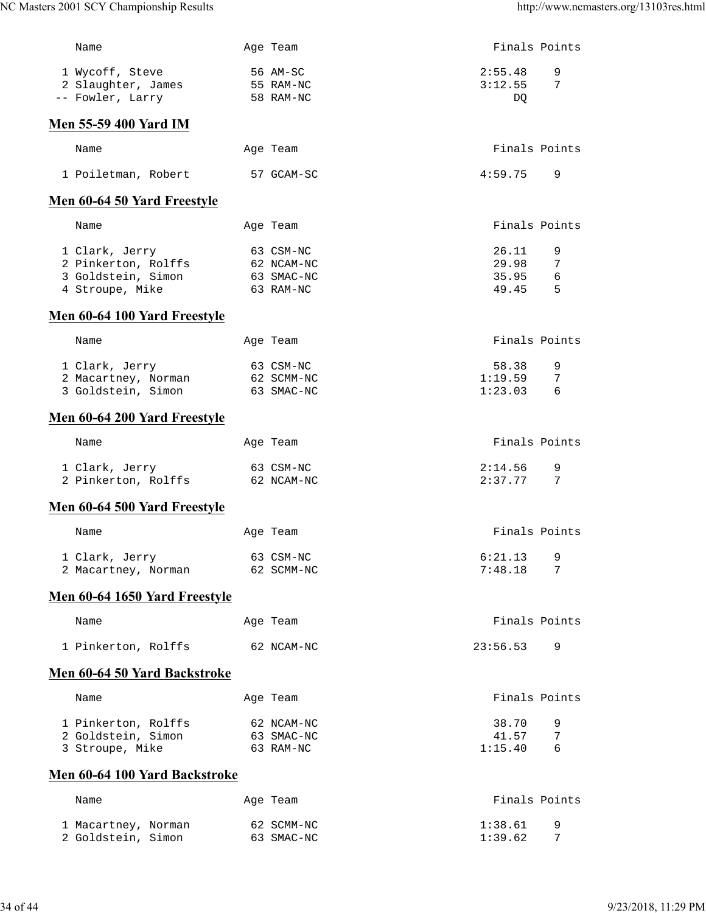| Name                                                                           | Age Team                                           | Finals Points                    |                           |
|--------------------------------------------------------------------------------|----------------------------------------------------|----------------------------------|---------------------------|
| 1 Wycoff, Steve<br>2 Slaughter, James<br>-- Fowler, Larry                      | 56 AM-SC<br>55 RAM-NC<br>58 RAM-NC                 | 2:55.48<br>3:12.55<br>DO.        | 9<br>7                    |
| Men 55-59 400 Yard IM                                                          |                                                    |                                  |                           |
| Name                                                                           | Age Team                                           | Finals Points                    |                           |
| 1 Poiletman, Robert                                                            | 57 GCAM-SC                                         | 4:59.75                          | 9                         |
| Men 60-64 50 Yard Freestyle                                                    |                                                    |                                  |                           |
| Name                                                                           | Age Team                                           | Finals Points                    |                           |
| 1 Clark, Jerry<br>2 Pinkerton, Rolffs<br>3 Goldstein, Simon<br>4 Stroupe, Mike | 63 CSM-NC<br>62 NCAM-NC<br>63 SMAC-NC<br>63 RAM-NC | 26.11<br>29.98<br>35.95<br>49.45 | 9<br>7<br>$\epsilon$<br>5 |
| Men 60-64 100 Yard Freestyle                                                   |                                                    |                                  |                           |
| Name                                                                           | Age Team                                           | Finals Points                    |                           |
| 1 Clark, Jerry<br>2 Macartney, Norman<br>3 Goldstein, Simon                    | 63 CSM-NC<br>62 SCMM-NC<br>63 SMAC-NC              | 58.38<br>1:19.59<br>1:23.03      | 9<br>7<br>6               |
| Men 60-64 200 Yard Freestyle                                                   |                                                    |                                  |                           |
| Name                                                                           | Age Team                                           | Finals Points                    |                           |
| 1 Clark, Jerry<br>2 Pinkerton, Rolffs 62 NCAM-NC                               | 63 CSM-NC                                          | 2:14.56<br>2:37.77               | 9<br>7                    |
| Men 60-64 500 Yard Freestyle                                                   |                                                    |                                  |                           |
| Name                                                                           | Age Team                                           | Finals Points                    |                           |
| 1 Clark, Jerry<br>2 Macartney, Norman                                          | 63 CSM-NC<br>62 SCMM-NC                            | 6:21.13<br>7:48.18               | 9<br>7                    |
| Men 60-64 1650 Yard Freestyle                                                  |                                                    |                                  |                           |
| Name                                                                           | Age Team                                           | Finals Points                    |                           |
| 1 Pinkerton, Rolffs                                                            | 62 NCAM-NC                                         | 23:56.53                         | 9                         |
| Men 60-64 50 Yard Backstroke                                                   |                                                    |                                  |                           |
| Name                                                                           | Age Team                                           | Finals Points                    |                           |
| 1 Pinkerton, Rolffs<br>2 Goldstein, Simon<br>3 Stroupe, Mike                   | 62 NCAM-NC<br>63 SMAC-NC<br>63 RAM-NC              | 38.70<br>41.57<br>1:15.40        | 9<br>7<br>6               |
| Men 60-64 100 Yard Backstroke                                                  |                                                    |                                  |                           |
| Name                                                                           | Age Team                                           | Finals Points                    |                           |
| 1 Macartney, Norman<br>2 Goldstein, Simon                                      | 62 SCMM-NC<br>63 SMAC-NC                           | 1:38.61<br>1:39.62               | 9<br>7                    |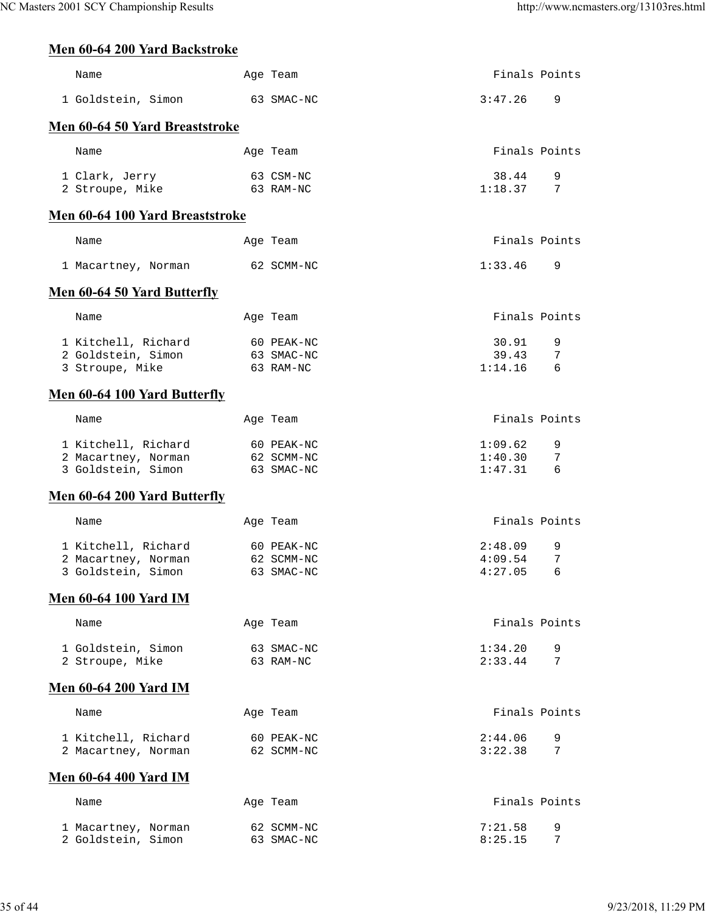# **Men 60-64 200 Yard Backstroke**

| Name                                                             | Age Team                               | Finals Points                 |             |
|------------------------------------------------------------------|----------------------------------------|-------------------------------|-------------|
| 1 Goldstein, Simon                                               | 63 SMAC-NC                             | 3:47.26                       | 9           |
| Men 60-64 50 Yard Breaststroke                                   |                                        |                               |             |
| Name                                                             | Age Team                               | Finals Points                 |             |
| 1 Clark, Jerry<br>2 Stroupe, Mike                                | 63 CSM-NC<br>63 RAM-NC                 | 38.44<br>1:18.37              | 9<br>7      |
| Men 60-64 100 Yard Breaststroke                                  |                                        |                               |             |
| Name                                                             | Age Team                               | Finals Points                 |             |
| 1 Macartney, Norman                                              | 62 SCMM-NC                             | 1:33.46                       | 9           |
| Men 60-64 50 Yard Butterfly                                      |                                        |                               |             |
| Name                                                             | Age Team                               | Finals Points                 |             |
| 1 Kitchell, Richard<br>2 Goldstein, Simon<br>3 Stroupe, Mike     | 60 PEAK-NC<br>63 SMAC-NC<br>63 RAM-NC  | 30.91<br>39.43<br>1:14.16     | 9<br>7<br>6 |
| Men 60-64 100 Yard Butterfly                                     |                                        |                               |             |
| Name                                                             | Age Team                               | Finals Points                 |             |
| 1 Kitchell, Richard<br>2 Macartney, Norman<br>3 Goldstein, Simon | 60 PEAK-NC<br>62 SCMM-NC<br>63 SMAC-NC | 1:09.62<br>1:40.30<br>1:47.31 | 9<br>7<br>6 |
| <b>Men 60-64 200 Yard Butterfly</b>                              |                                        |                               |             |
| Name                                                             | Age Team                               | Finals Points                 |             |
| 1 Kitchell, Richard<br>2 Macartney, Norman<br>3 Goldstein, Simon | 60 PEAK-NC<br>62 SCMM-NC<br>63 SMAC-NC | 2:48.09<br>4:09.54<br>4:27.05 | 9<br>7<br>6 |
| <b>Men 60-64 100 Yard IM</b>                                     |                                        |                               |             |
| Name                                                             | Age Team                               | Finals Points                 |             |
| 1 Goldstein, Simon<br>2 Stroupe, Mike                            | 63 SMAC-NC<br>63 RAM-NC                | 1:34.20<br>2:33.44            | 9<br>7      |
| <b>Men 60-64 200 Yard IM</b>                                     |                                        |                               |             |
| Name                                                             | Age Team                               | Finals Points                 |             |
| 1 Kitchell, Richard<br>2 Macartney, Norman                       | 60 PEAK-NC<br>62 SCMM-NC               | 2:44.06<br>3:22.38            | 9<br>7      |
| <b>Men 60-64 400 Yard IM</b>                                     |                                        |                               |             |
| Name                                                             | Age Team                               | Finals Points                 |             |
| 1 Macartney, Norman<br>2 Goldstein, Simon                        | 62 SCMM-NC<br>63 SMAC-NC               | 7:21.58<br>8:25.15            | 9<br>7      |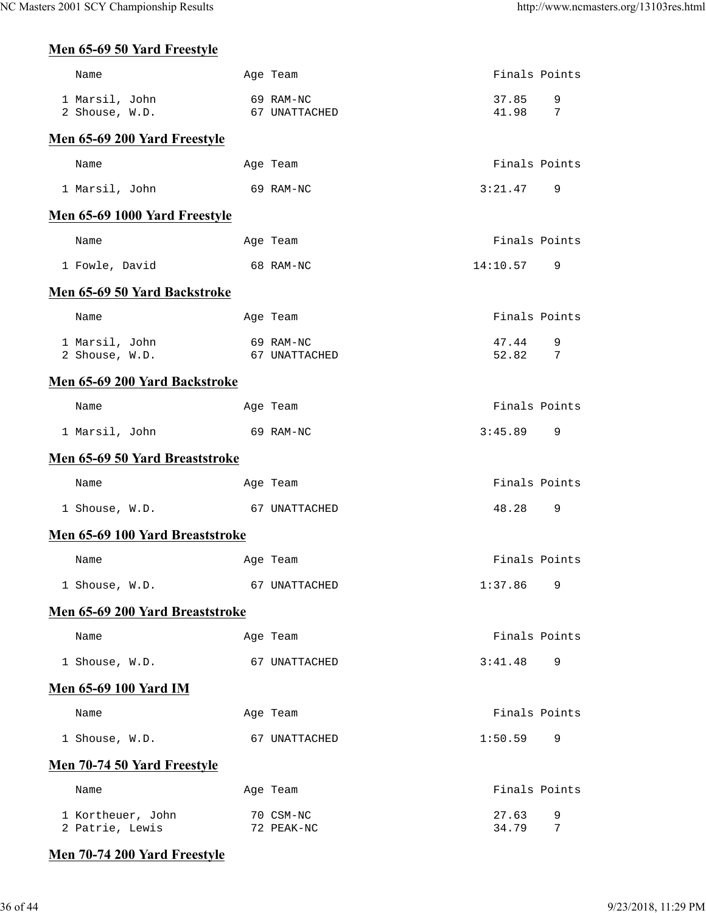## **Men 65-69 50 Yard Freestyle**

| Name                                 | Age Team                   | Finals Points    |                |
|--------------------------------------|----------------------------|------------------|----------------|
| 1 Marsil, John                       | 69 RAM-NC                  | 37.85            | 9              |
| 2 Shouse, W.D.                       | 67 UNATTACHED              | 41.98            | $\overline{7}$ |
| Men 65-69 200 Yard Freestyle         |                            |                  |                |
| Name                                 | Age Team                   | Finals Points    |                |
| 1 Marsil, John                       | 69 RAM-NC                  | 3:21.47          | 9              |
| Men 65-69 1000 Yard Freestyle        |                            |                  |                |
| Name                                 | Age Team                   | Finals Points    |                |
| 1 Fowle, David                       | 68 RAM-NC                  | 14:10.57         | 9              |
| Men 65-69 50 Yard Backstroke         |                            |                  |                |
| Name                                 | Age Team                   | Finals Points    |                |
| 1 Marsil, John<br>2 Shouse, W.D.     | 69 RAM-NC<br>67 UNATTACHED | 47.44<br>52.82 7 | 9              |
|                                      |                            |                  |                |
| Men 65-69 200 Yard Backstroke        |                            |                  |                |
| Name                                 | Age Team                   | Finals Points    |                |
| 1 Marsil, John                       | 69 RAM-NC                  | 3:45.89          | 9              |
| Men 65-69 50 Yard Breaststroke       |                            |                  |                |
| Name                                 | Age Team                   | Finals Points    |                |
| 1 Shouse, W.D.                       | 67 UNATTACHED              | 48.28            | 9              |
| Men 65-69 100 Yard Breaststroke      |                            |                  |                |
| Name                                 | Age Team                   | Finals Points    |                |
| 1 Shouse, W.D.                       | 67 UNATTACHED              | $1:37.86$ 9      |                |
| Men 65-69 200 Yard Breaststroke      |                            |                  |                |
| Name                                 | Age Team                   | Finals Points    |                |
| 1 Shouse, W.D.                       | 67 UNATTACHED              | 3:41.48          | 9              |
| <b>Men 65-69 100 Yard IM</b>         |                            |                  |                |
| Name                                 | Age Team                   | Finals Points    |                |
| 1 Shouse, W.D.                       | 67 UNATTACHED              | 1:50.59          | 9              |
| <b>Men 70-74 50 Yard Freestyle</b>   |                            |                  |                |
| Name                                 | Age Team                   | Finals Points    |                |
| 1 Kortheuer, John<br>2 Patrie, Lewis | 70 CSM-NC<br>72 PEAK-NC    | 27.63<br>34.79   | 9<br>7         |
|                                      |                            |                  |                |

## **Men 70-74 200 Yard Freestyle**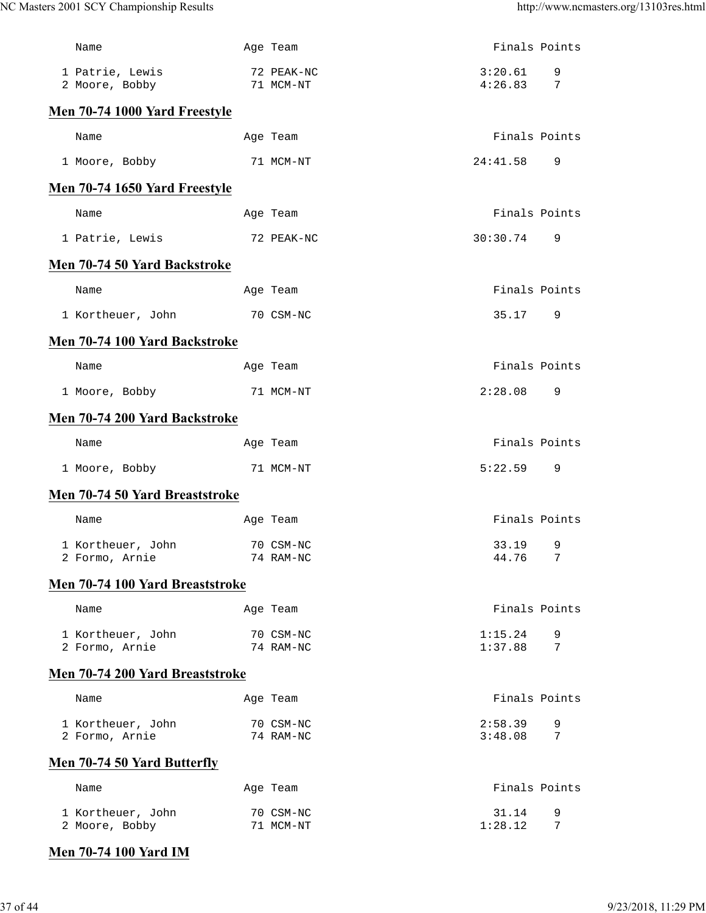| 72 PEAK-NC<br>3:20.61<br>1 Patrie, Lewis<br>9<br>4:26.83<br>7<br>2 Moore, Bobby<br>71 MCM-NT<br>Men 70-74 1000 Yard Freestyle<br>Finals Points<br>Name<br>Age Team<br>1 Moore, Bobby<br>71 MCM-NT<br>24:41.58<br>9<br>Men 70-74 1650 Yard Freestyle<br>Finals Points<br>Name<br>Age Team<br>30:30.74<br>1 Patrie, Lewis<br>72 PEAK-NC<br>9<br>Men 70-74 50 Yard Backstroke<br>Finals Points<br>Name<br>Age Team<br>70 CSM-NC<br>35.17<br>1 Kortheuer, John<br>9<br>Men 70-74 100 Yard Backstroke<br>Finals Points<br>Name<br>Age Team<br>2:28.08<br>1 Moore, Bobby<br>71 MCM-NT<br>9<br>Men 70-74 200 Yard Backstroke<br>Finals Points<br>Name<br>Age Team<br>5:22.59<br>1 Moore, Bobby<br>71 MCM-NT<br>9<br>Men 70-74 50 Yard Breaststroke<br>Finals Points<br>Name<br>Age Team<br>33.19<br>9<br>1 Kortheuer, John<br>70 CSM-NC<br>44.76 7<br>74 RAM-NC<br>2 Formo, Arnie<br>Men 70-74 100 Yard Breaststroke<br>Finals Points<br>Name<br>Age Team<br>1:15.24<br>1 Kortheuer, John<br>70 CSM-NC<br>9<br>1:37.88<br>7<br>2 Formo, Arnie<br>74 RAM-NC<br>Men 70-74 200 Yard Breaststroke<br>Finals Points<br>Name<br>Age Team<br>2:58.39<br>1 Kortheuer, John<br>70 CSM-NC<br>9<br>3:48.08<br>2 Formo, Arnie<br>74 RAM-NC<br>7<br>Men 70-74 50 Yard Butterfly<br>Finals Points<br>Name<br>Age Team<br>70 CSM-NC<br>31.14<br>9<br>1 Kortheuer, John<br>1:28.12<br>2 Moore, Bobby<br>71 MCM-NT<br>7 | Name | Age Team | Finals Points |  |
|-------------------------------------------------------------------------------------------------------------------------------------------------------------------------------------------------------------------------------------------------------------------------------------------------------------------------------------------------------------------------------------------------------------------------------------------------------------------------------------------------------------------------------------------------------------------------------------------------------------------------------------------------------------------------------------------------------------------------------------------------------------------------------------------------------------------------------------------------------------------------------------------------------------------------------------------------------------------------------------------------------------------------------------------------------------------------------------------------------------------------------------------------------------------------------------------------------------------------------------------------------------------------------------------------------------------------------------------------------------------------------------------------|------|----------|---------------|--|
|                                                                                                                                                                                                                                                                                                                                                                                                                                                                                                                                                                                                                                                                                                                                                                                                                                                                                                                                                                                                                                                                                                                                                                                                                                                                                                                                                                                                 |      |          |               |  |
|                                                                                                                                                                                                                                                                                                                                                                                                                                                                                                                                                                                                                                                                                                                                                                                                                                                                                                                                                                                                                                                                                                                                                                                                                                                                                                                                                                                                 |      |          |               |  |
|                                                                                                                                                                                                                                                                                                                                                                                                                                                                                                                                                                                                                                                                                                                                                                                                                                                                                                                                                                                                                                                                                                                                                                                                                                                                                                                                                                                                 |      |          |               |  |
|                                                                                                                                                                                                                                                                                                                                                                                                                                                                                                                                                                                                                                                                                                                                                                                                                                                                                                                                                                                                                                                                                                                                                                                                                                                                                                                                                                                                 |      |          |               |  |
|                                                                                                                                                                                                                                                                                                                                                                                                                                                                                                                                                                                                                                                                                                                                                                                                                                                                                                                                                                                                                                                                                                                                                                                                                                                                                                                                                                                                 |      |          |               |  |
|                                                                                                                                                                                                                                                                                                                                                                                                                                                                                                                                                                                                                                                                                                                                                                                                                                                                                                                                                                                                                                                                                                                                                                                                                                                                                                                                                                                                 |      |          |               |  |
|                                                                                                                                                                                                                                                                                                                                                                                                                                                                                                                                                                                                                                                                                                                                                                                                                                                                                                                                                                                                                                                                                                                                                                                                                                                                                                                                                                                                 |      |          |               |  |
|                                                                                                                                                                                                                                                                                                                                                                                                                                                                                                                                                                                                                                                                                                                                                                                                                                                                                                                                                                                                                                                                                                                                                                                                                                                                                                                                                                                                 |      |          |               |  |
|                                                                                                                                                                                                                                                                                                                                                                                                                                                                                                                                                                                                                                                                                                                                                                                                                                                                                                                                                                                                                                                                                                                                                                                                                                                                                                                                                                                                 |      |          |               |  |
|                                                                                                                                                                                                                                                                                                                                                                                                                                                                                                                                                                                                                                                                                                                                                                                                                                                                                                                                                                                                                                                                                                                                                                                                                                                                                                                                                                                                 |      |          |               |  |
|                                                                                                                                                                                                                                                                                                                                                                                                                                                                                                                                                                                                                                                                                                                                                                                                                                                                                                                                                                                                                                                                                                                                                                                                                                                                                                                                                                                                 |      |          |               |  |
|                                                                                                                                                                                                                                                                                                                                                                                                                                                                                                                                                                                                                                                                                                                                                                                                                                                                                                                                                                                                                                                                                                                                                                                                                                                                                                                                                                                                 |      |          |               |  |
|                                                                                                                                                                                                                                                                                                                                                                                                                                                                                                                                                                                                                                                                                                                                                                                                                                                                                                                                                                                                                                                                                                                                                                                                                                                                                                                                                                                                 |      |          |               |  |
|                                                                                                                                                                                                                                                                                                                                                                                                                                                                                                                                                                                                                                                                                                                                                                                                                                                                                                                                                                                                                                                                                                                                                                                                                                                                                                                                                                                                 |      |          |               |  |
|                                                                                                                                                                                                                                                                                                                                                                                                                                                                                                                                                                                                                                                                                                                                                                                                                                                                                                                                                                                                                                                                                                                                                                                                                                                                                                                                                                                                 |      |          |               |  |
|                                                                                                                                                                                                                                                                                                                                                                                                                                                                                                                                                                                                                                                                                                                                                                                                                                                                                                                                                                                                                                                                                                                                                                                                                                                                                                                                                                                                 |      |          |               |  |
|                                                                                                                                                                                                                                                                                                                                                                                                                                                                                                                                                                                                                                                                                                                                                                                                                                                                                                                                                                                                                                                                                                                                                                                                                                                                                                                                                                                                 |      |          |               |  |
|                                                                                                                                                                                                                                                                                                                                                                                                                                                                                                                                                                                                                                                                                                                                                                                                                                                                                                                                                                                                                                                                                                                                                                                                                                                                                                                                                                                                 |      |          |               |  |
|                                                                                                                                                                                                                                                                                                                                                                                                                                                                                                                                                                                                                                                                                                                                                                                                                                                                                                                                                                                                                                                                                                                                                                                                                                                                                                                                                                                                 |      |          |               |  |
|                                                                                                                                                                                                                                                                                                                                                                                                                                                                                                                                                                                                                                                                                                                                                                                                                                                                                                                                                                                                                                                                                                                                                                                                                                                                                                                                                                                                 |      |          |               |  |
|                                                                                                                                                                                                                                                                                                                                                                                                                                                                                                                                                                                                                                                                                                                                                                                                                                                                                                                                                                                                                                                                                                                                                                                                                                                                                                                                                                                                 |      |          |               |  |
|                                                                                                                                                                                                                                                                                                                                                                                                                                                                                                                                                                                                                                                                                                                                                                                                                                                                                                                                                                                                                                                                                                                                                                                                                                                                                                                                                                                                 |      |          |               |  |
|                                                                                                                                                                                                                                                                                                                                                                                                                                                                                                                                                                                                                                                                                                                                                                                                                                                                                                                                                                                                                                                                                                                                                                                                                                                                                                                                                                                                 |      |          |               |  |
|                                                                                                                                                                                                                                                                                                                                                                                                                                                                                                                                                                                                                                                                                                                                                                                                                                                                                                                                                                                                                                                                                                                                                                                                                                                                                                                                                                                                 |      |          |               |  |
|                                                                                                                                                                                                                                                                                                                                                                                                                                                                                                                                                                                                                                                                                                                                                                                                                                                                                                                                                                                                                                                                                                                                                                                                                                                                                                                                                                                                 |      |          |               |  |
|                                                                                                                                                                                                                                                                                                                                                                                                                                                                                                                                                                                                                                                                                                                                                                                                                                                                                                                                                                                                                                                                                                                                                                                                                                                                                                                                                                                                 |      |          |               |  |
|                                                                                                                                                                                                                                                                                                                                                                                                                                                                                                                                                                                                                                                                                                                                                                                                                                                                                                                                                                                                                                                                                                                                                                                                                                                                                                                                                                                                 |      |          |               |  |
|                                                                                                                                                                                                                                                                                                                                                                                                                                                                                                                                                                                                                                                                                                                                                                                                                                                                                                                                                                                                                                                                                                                                                                                                                                                                                                                                                                                                 |      |          |               |  |

# **Men 70-74 100 Yard IM**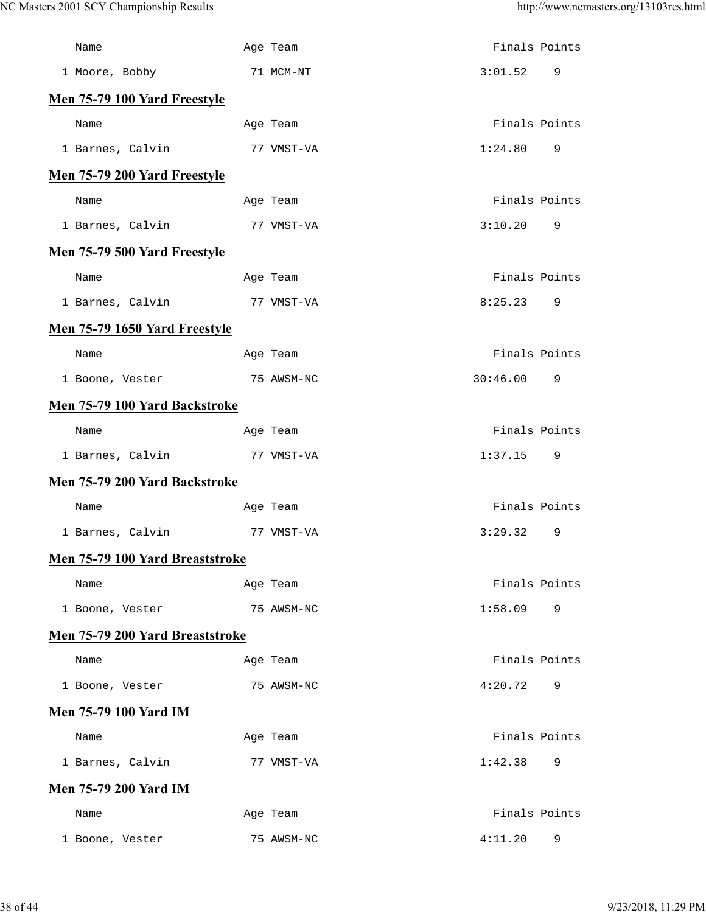| Name                            |            | Age Team   |          | Finals Points |
|---------------------------------|------------|------------|----------|---------------|
| 1 Moore, Bobby                  | 71 MCM-NT  |            | 3:01.52  | 9             |
| Men 75-79 100 Yard Freestyle    |            |            |          |               |
| Name                            |            | Age Team   |          | Finals Points |
| 1 Barnes, Calvin                | 77 VMST-VA |            | 1:24.80  | 9             |
| Men 75-79 200 Yard Freestyle    |            |            |          |               |
| Name                            |            | Age Team   |          | Finals Points |
| 1 Barnes, Calvin                | 77 VMST-VA |            | 3:10.20  | 9             |
| Men 75-79 500 Yard Freestyle    |            |            |          |               |
| Name                            |            | Age Team   |          | Finals Points |
| 1 Barnes, Calvin                | 77 VMST-VA |            | 8:25.23  | 9             |
| Men 75-79 1650 Yard Freestyle   |            |            |          |               |
| Name                            |            | Age Team   |          | Finals Points |
| 1 Boone, Vester                 | 75 AWSM-NC |            | 30:46.00 | 9             |
| Men 75-79 100 Yard Backstroke   |            |            |          |               |
| Name                            |            | Age Team   |          | Finals Points |
| 1 Barnes, Calvin                | 77 VMST-VA |            | 1:37.15  | 9             |
| Men 75-79 200 Yard Backstroke   |            |            |          |               |
| Name                            |            | Age Team   |          | Finals Points |
| 1 Barnes, Calvin                | 77 VMST-VA |            | 3:29.32  | 9             |
| Men 75-79 100 Yard Breaststroke |            |            |          |               |
| Name                            |            | Age Team   |          | Finals Points |
| 1 Boone, Vester                 |            | 75 AWSM-NC | 1:58.09  | 9             |
| Men 75-79 200 Yard Breaststroke |            |            |          |               |
| Name                            |            | Age Team   |          | Finals Points |
| 1 Boone, Vester                 |            | 75 AWSM-NC | 4:20.72  | 9             |
| <b>Men 75-79 100 Yard IM</b>    |            |            |          |               |
| Name                            |            | Age Team   |          | Finals Points |
| 1 Barnes, Calvin                |            | 77 VMST-VA | 1:42.38  | 9             |
| <b>Men 75-79 200 Yard IM</b>    |            |            |          |               |
| Name                            |            | Age Team   |          | Finals Points |
| 1 Boone, Vester                 |            | 75 AWSM-NC | 4:11.20  | 9             |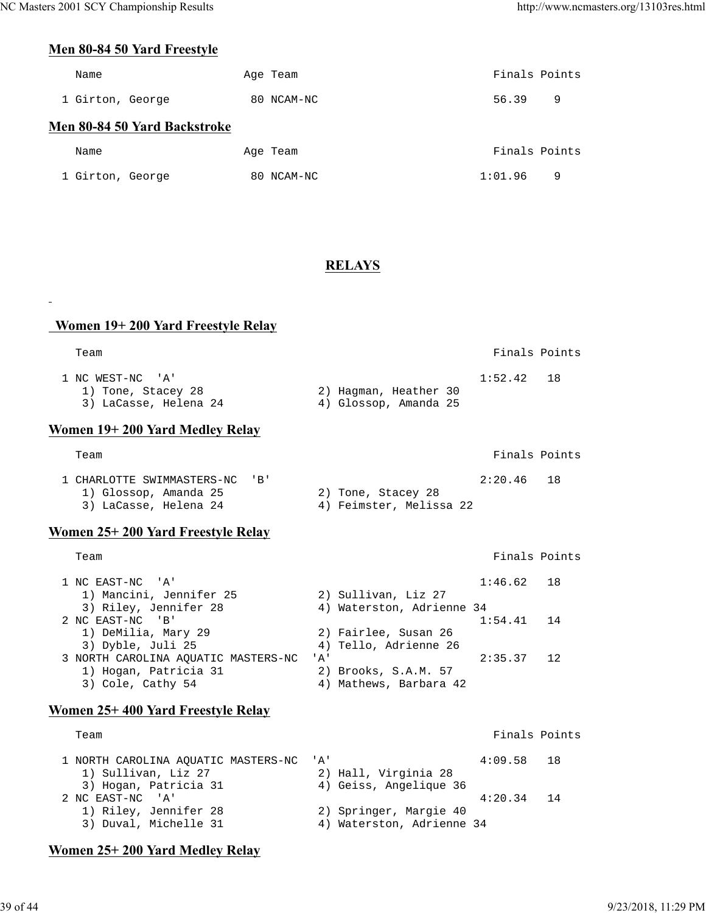Finals Points

## **Men 80-84 50 Yard Freestyle**

| Name                         | Age Team   | Finals Points |   |
|------------------------------|------------|---------------|---|
| 1 Girton, George             | 80 NCAM-NC | 56.39         | 9 |
| Men 80-84 50 Yard Backstroke |            |               |   |
| Name                         | Age Team   | Finals Points |   |
| 1 Girton, George             | 80 NCAM-NC | 1:01.96       | 9 |

## **RELAYS**

## **Women 19+ 200 Yard Freestyle Relay**

| Team                                                            |                                                | Finals Points |  |
|-----------------------------------------------------------------|------------------------------------------------|---------------|--|
| 1 NC WEST-NC 'A'<br>1) Tone, Stacey 28<br>3) LaCasse, Helena 24 | 2) Hagman, Heather 30<br>4) Glossop, Amanda 25 | $1:52.42$ 18  |  |

#### **Women 19+ 200 Yard Medley Relay**

| Team                           |                         | Finals Points |  |
|--------------------------------|-------------------------|---------------|--|
| 1 CHARLOTTE SWIMMASTERS-NC 'B' |                         | $2:20.46$ 18  |  |
| 1) Glossop, Amanda 25          | 2) Tone, Stacey 28      |               |  |
| 3) LaCasse, Helena 24          | 4) Feimster, Melissa 22 |               |  |

## **Women 25+ 200 Yard Freestyle Relay**

 $\Box$ 

| 1 NC EAST-NC 'A'                    | $1:46.62$ 18                         |                                     |
|-------------------------------------|--------------------------------------|-------------------------------------|
| 1) Mancini, Jennifer 25             | 2) Sullivan, Liz 27                  |                                     |
| 3) Riley, Jennifer 28               | 4) Waterston, Adrienne 34            |                                     |
| 2 NC EAST-NC 'B'                    | $1:54.41$ 14                         |                                     |
| 1) DeMilia, Mary 29                 | 2) Fairlee, Susan 26                 |                                     |
| 3) Dyble, Juli 25                   | 4) Tello, Adrienne 26                |                                     |
| 3 NORTH CAROLINA AOUATIC MASTERS-NC | 2:35.37<br>$^{\prime}$ A $^{\prime}$ | $\begin{array}{cc} 1.2 \end{array}$ |
| 1) Hogan, Patricia 31               | 2) Brooks, S.A.M. 57                 |                                     |
| 3) Cole, Cathy 54                   | 4) Mathews, Barbara 42               |                                     |

## **Women 25+ 400 Yard Freestyle Relay**

| Team                                    |                           | Finals Points |  |
|-----------------------------------------|---------------------------|---------------|--|
| 1 NORTH CAROLINA AOUATIC MASTERS-NC 'A' |                           | $4:09.58$ 18  |  |
| 1) Sullivan, Liz 27                     | 2) Hall, Virginia 28      |               |  |
| 3) Hogan, Patricia 31                   | 4) Geiss, Angelique 36    |               |  |
| 2 NC EAST-NC 'A'                        |                           | $4:20.34$ 14  |  |
| 1) Riley, Jennifer 28                   | 2) Springer, Margie 40    |               |  |
| 3) Duval, Michelle 31                   | 4) Waterston, Adrienne 34 |               |  |

## **Women 25+ 200 Yard Medley Relay**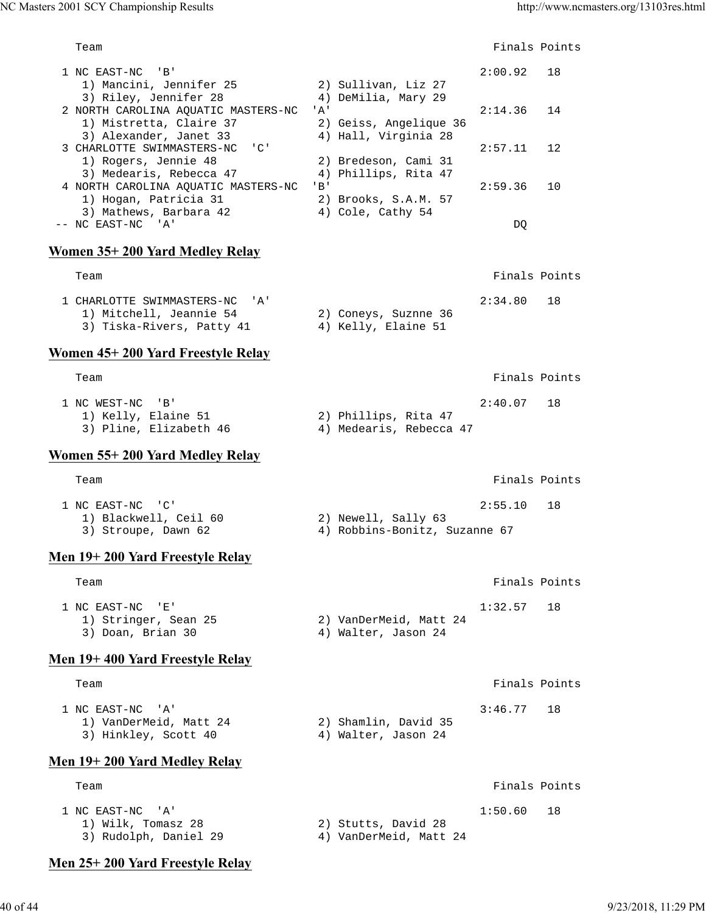1 NC EAST-NC 'B' 2:00.92 18 1) Mancini, Jennifer 25 2) Sullivan, Liz 27 3) Riley, Jennifer 28 (4) DeMilia, Mary 29 2 NORTH CAROLINA AQUATIC MASTERS-NC 'A' 2:14.36 14 1) Mistretta, Claire 37 2) Geiss, Angelique 36 3) Alexander, Janet 33 (4) Hall, Virginia 28 3 CHARLOTTE SWIMMASTERS-NC 'C' 2:57.11 12 1) Rogers, Jennie 48 2) Bredeson, Cami 31 3) Medearis, Rebecca 47 (4) Phillips, Rita 47 4 NORTH CAROLINA AQUATIC MASTERS-NC 'B' 2:59.36 10 1) Hogan, Patricia 31 2) Brooks, S.A.M. 57 3) Mathews, Barbara 42 4) Cole, Cathy 54 -- NC EAST-NC 'A' DQ **Women 35+ 200 Yard Medley Relay** Team Finals Points 1 CHARLOTTE SWIMMASTERS-NC 'A' 2:34.80 18<br>1) Mitchell, Jeannie 54 2) Coneys, Suznne 36 1) Mitchell, Jeannie 54 3) Tiska-Rivers, Patty 41 4) Kelly, Elaine 51 **Women 45+ 200 Yard Freestyle Relay** Team Finals Points 1 NC WEST-NC 'B' 2:40.07 18<br>
1) Kelly, Elaine 51 2) Phillips, Rita 47<br>
3) Pline, Elizabeth 46 4) Medearis, Rebecca 47 1) Kelly, Elaine 51 3) Pline, Elizabeth 46 **Women 55+ 200 Yard Medley Relay** Team Finals Points 1 NC EAST-NC 'C' 2:55.10 18<br>1) Blackwell, Ceil 60 2) Newell, Sally 63 1) Blackwell, Ceil 60 3) Stroupe, Dawn 62 4) Robbins-Bonitz, Suzanne 67 **Men 19+ 200 Yard Freestyle Relay** Team Finals Points 1 NC EAST-NC 'E' 1:32.57 18<br>1) Stringer, Sean 25 2) VanDerMeid, Matt 24 1) Stringer, Sean 25 2) VanDerMeid, Matt 24 3) Doan, Brian 30 4) Walter, Jason 24 **Men 19+ 400 Yard Freestyle Relay** Team Finals Points 1 NC EAST-NC 'A' 3:46.77 18<br>1) VanDerMeid, Matt 24 2) Shamlin, David 35<br>3) Hinkley, Scott 40 4) Walter, Jason 24 1) VanDerMeid, Matt 24 2) Shamlin, David 35 3) Hinkley, Scott 40 (4) Walter, Jason 24 **Men 19+ 200 Yard Medley Relay** Team Finals Points **Team** Finals Points **Property Internals** Points **Property Finals** Points 1 NC EAST-NC 'A' 1:50.60 18<br>1) Wilk, Tomasz 28 2) Stutts, David 28  $1)$  Wilk, Tomasz 28 3) Rudolph, Daniel 29 4) VanDerMeid, Matt 24

Team **Finals Points** 

## **Men 25+ 200 Yard Freestyle Relay**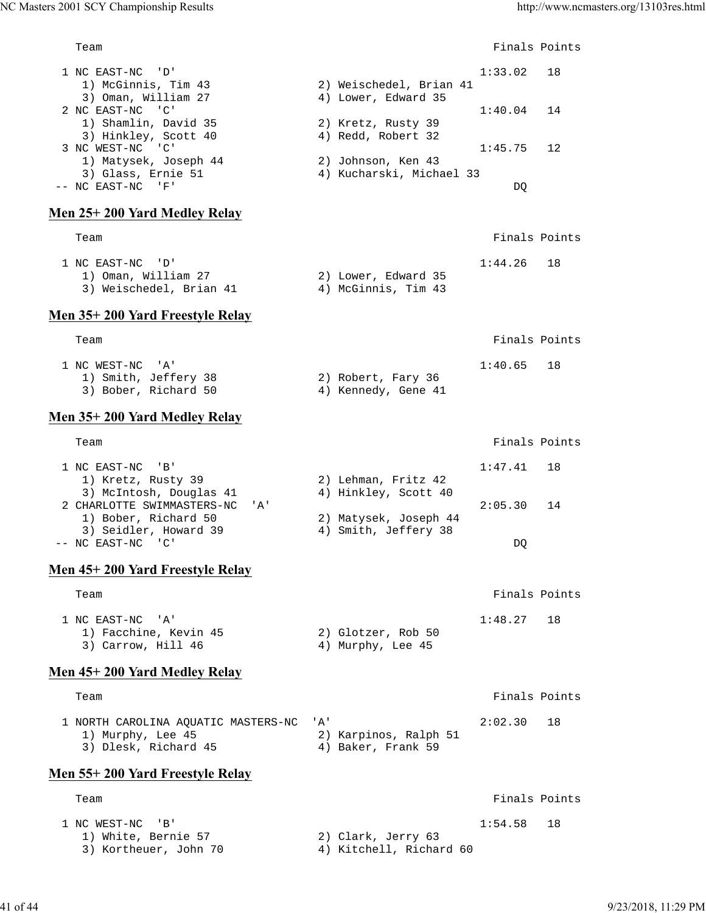Team **Finals Points**  1 NC EAST-NC 'D' 1:33.02 18 1) McGinnis, Tim 43 2) Weischedel, Brian 41 3) Oman, William 27 (4) Lower, Edward 35 2 NC EAST-NC 'C' 1:40.04 14<br>1) Shamlin, David 35 2) Kretz, Rusty 39 1:40.04 14<br>3) Hinkley Soott 40  $1)$  Shamlin, David 35<br> $\frac{1}{2}$  (10) 3) Hinkley, Scott 40 4) Redd, Robert 32 3 NC WEST-NC 'C' 1:45.75 12 1) Matysek, Joseph 44 2) Johnson, Ken 43 3) Glass, Ernie 51 4) Kucharski, Michael 33 -- NC EAST-NC 'F' DQ **Men 25+ 200 Yard Medley Relay** Team Finals Points 1 NC EAST-NC 'D' 1:44.26 18 1) Oman, William 27 2) Lower, Edward 35 1) Oman, William 27 (2) Lower, Edward 35<br>3) Weischedel, Brian 41 (4) McGinnis, Tim 43 **Men 35+ 200 Yard Freestyle Relay** Team Finals Points 1 NC WEST-NC 'A' 1:40.65 18<br>1) Smith, Jeffery 38 2) Robert, Fary 36 1) Smith, Jeffery 38 2) Robert, Fary 36 3) Bober, Richard 50 4) Kennedy, Gene 41 **Men 35+ 200 Yard Medley Relay** Team Finals Points 1 NC EAST-NC 'B' 1:47.41 18<br>1) Kretz, Rusty 39 2) Lehman, Fritz 42 1) Kretz, Rusty 39 3) McIntosh, Douglas 41 42<br>
The Scott 40 4 Hinkley, Scott 40<br>
All Hinkley, Scott 40 2 CHARLOTTE SWIMMASTERS-NC 'A' 2:05.30 14 1) Bober, Richard 50 2) Matysek, Joseph 44<br>
2) Seidler, Howard 39 30 4) Smith, Jeffery 38 3) Seidler, Howard 39 4) Smith, Jeffery 38 -- NC EAST-NC 'C' DQ **Men 45+ 200 Yard Freestyle Relay** Team **Finals Points**  1 NC EAST-NC 'A' 1:48.27 18 1) Facchine, Kevin 45 2) Glotzer, Rob 50 1) Facchine, Kevin 45 (2) Glotzer, Rob 50<br>3) Carrow, Hill 46 (4) Murphy, Lee 45 **Men 45+ 200 Yard Medley Relay** Team Finals Points **Finals** Points **Finals** Points 1 NORTH CAROLINA AQUATIC MASTERS-NC 'A' 2:02.30 18 1) Murphy, Lee 45 2) Karpinos, Ralph 51 3) Dlesk, Richard 45 4) Baker, Frank 59 **Men 55+ 200 Yard Freestyle Relay** Team Finals Points **Team** Finals Points **Properties**  1 NC WEST-NC 'B' 1:54.58 18 1) White, Bernie 57 2) Clark, Jerry 63 3) Kortheuer, John 70 (4) Kitchell, Richard 60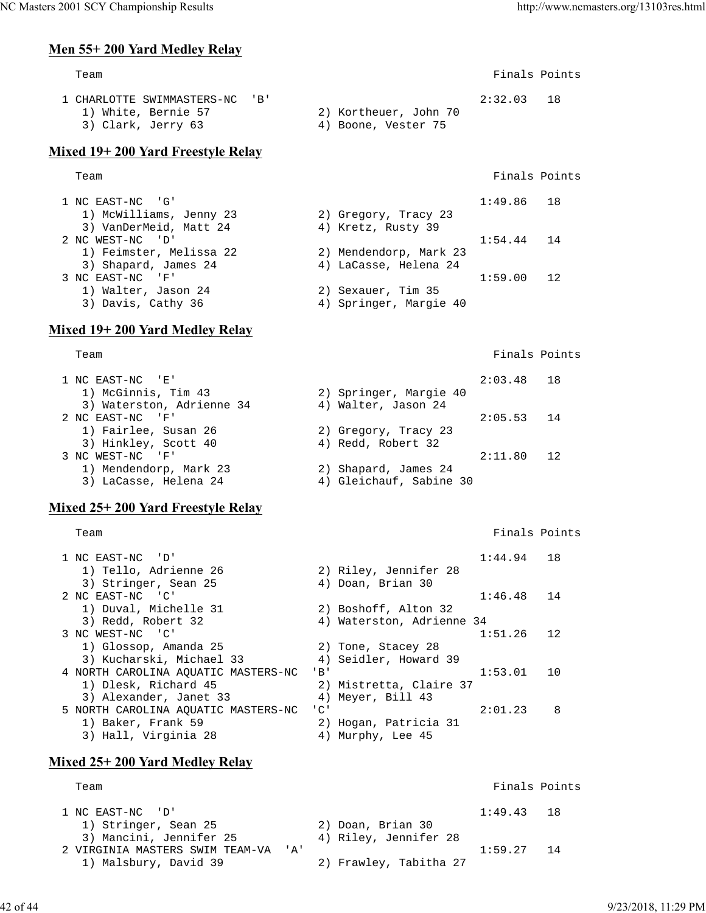## **Men 55+ 200 Yard Medley Relay**

| Team                                                                        |                                              | Finals Points |      |
|-----------------------------------------------------------------------------|----------------------------------------------|---------------|------|
| 1 CHARLOTTE SWIMMASTERS-NC 'B'<br>1) White, Bernie 57<br>3) Clark, Jerry 63 | 2) Kortheuer, John 70<br>4) Boone, Vester 75 | 2:32.03       | - 18 |

### **Mixed 19+ 200 Yard Freestyle Relay**

#### Team Finals Points

| 1 NC EAST-NC 'G'        |                        | $1:49.86$ 18 |    |
|-------------------------|------------------------|--------------|----|
| 1) McWilliams, Jenny 23 | 2) Gregory, Tracy 23   |              |    |
| 3) VanDerMeid, Matt 24  | 4) Kretz, Rusty 39     |              |    |
| 2 NC WEST-NC 'D'        |                        | $1:54.44$ 14 |    |
| 1) Feimster, Melissa 22 | 2) Mendendorp, Mark 23 |              |    |
| 3) Shapard, James 24    | 4) LaCasse, Helena 24  |              |    |
| 3 NC EAST-NC<br>- 'F'   |                        | 1:59.00      | 12 |
| 1) Walter, Jason 24     | 2) Sexauer, Tim 35     |              |    |
| 3) Davis, Cathy 36      | 4) Springer, Margie 40 |              |    |

## **Mixed 19+ 200 Yard Medley Relay**

Team Finals Points

| 1 NC EAST-NC 'E'          |                         | $2:03.48$ 18 |    |
|---------------------------|-------------------------|--------------|----|
| 1) McGinnis, Tim 43       | 2) Springer, Margie 40  |              |    |
| 3) Waterston, Adrienne 34 | 4) Walter, Jason 24     |              |    |
| 2 NC EAST-NC 'F'          |                         | $2:05.53$ 14 |    |
| 1) Fairlee, Susan 26      | 2) Gregory, Tracy 23    |              |    |
| 3) Hinkley, Scott 40      | 4) Redd, Robert 32      |              |    |
| 3 NC WEST-NC 'F'          |                         | 2:11.80      | 12 |
| 1) Mendendorp, Mark 23    | 2) Shapard, James 24    |              |    |
| 3) LaCasse, Helena 24     | 4) Gleichauf, Sabine 30 |              |    |

## **Mixed 25+ 200 Yard Freestyle Relay**

Team Finals Points

| 1 NC EAST-NC 'D'                    | 1:44.94                              | 1 R |
|-------------------------------------|--------------------------------------|-----|
| 1) Tello, Adrienne 26               | 2) Riley, Jennifer 28                |     |
| 3) Stringer, Sean 25                | 4) Doan, Brian 30                    |     |
| 2 NC EAST-NC 'C'                    | 1:46.48                              | 14  |
| 1) Duval, Michelle 31               | 2) Boshoff, Alton 32                 |     |
| 3) Redd, Robert 32                  | 4) Waterston, Adrienne 34            |     |
| 3 NC WEST-NC 'C'                    | 1:51.26                              | 12  |
| 1) Glossop, Amanda 25               | 2) Tone, Stacey 28                   |     |
| 3) Kucharski, Michael 33            | 4) Seidler, Howard 39                |     |
| 4 NORTH CAROLINA AOUATIC MASTERS-NC | 1:53.01<br>$'$ B $'$                 | 1 O |
| 1) Dlesk, Richard 45                | 2) Mistretta, Claire 37              |     |
| 3) Alexander, Janet 33              | 4) Meyer, Bill 43                    |     |
| 5 NORTH CAROLINA AOUATIC MASTERS-NC | $^{\prime}$ C $^{\prime}$<br>2:01.23 | 8   |
| 1) Baker, Frank 59                  | 2) Hogan, Patricia 31                |     |
| 3) Hall, Virginia 28                | Murphy, Lee 45<br>4)                 |     |

## **Mixed 25+ 200 Yard Medley Relay**

| Team                                |                        | Finals Points |  |
|-------------------------------------|------------------------|---------------|--|
| 1 NC EAST-NC 'D'                    |                        | $1:49.43$ 18  |  |
| 1) Stringer, Sean 25                | 2) Doan, Brian 30      |               |  |
| 3) Mancini, Jennifer 25             | 4) Riley, Jennifer 28  |               |  |
| 2 VIRGINIA MASTERS SWIM TEAM-VA 'A' |                        | $1:59.27$ 14  |  |
| 1) Malsbury, David 39               | 2) Frawley, Tabitha 27 |               |  |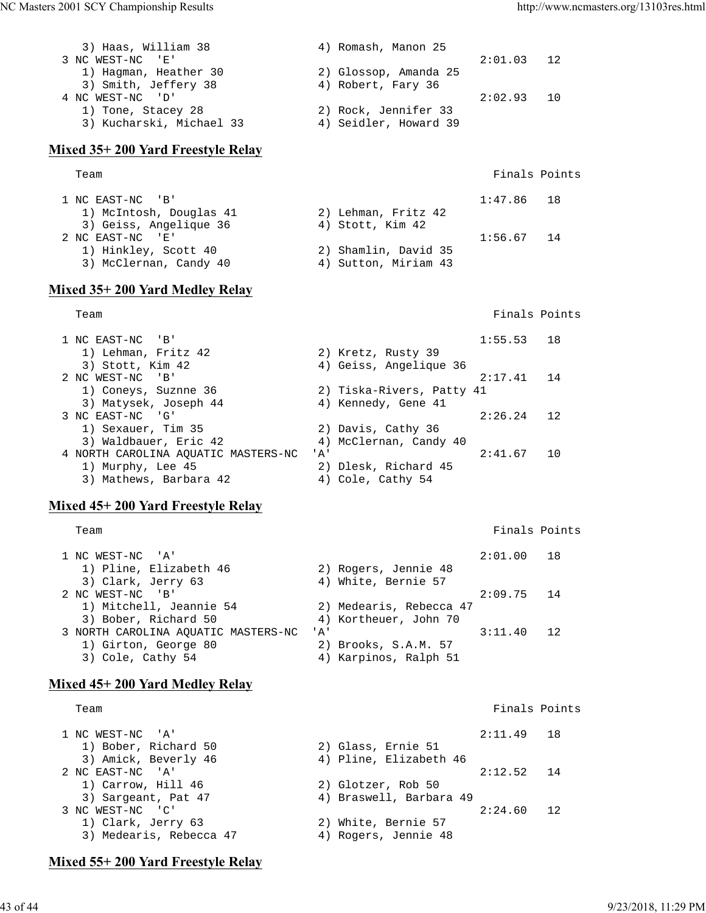| 3) Haas, William 38      | 4) Romash, Manon 25   |         |       |
|--------------------------|-----------------------|---------|-------|
| 3 NC WEST-NC 'E'         |                       | 2:01.03 | 12    |
| 1) Hagman, Heather 30    | 2) Glossop, Amanda 25 |         |       |
| 3) Smith, Jeffery 38     | 4) Robert, Fary 36    |         |       |
| 4 NC WEST-NC 'D'         |                       | 2:02.93 | ີ 1 N |
| 1) Tone, Stacey 28       | 2) Rock, Jennifer 33  |         |       |
| 3) Kucharski, Michael 33 | 4) Seidler, Howard 39 |         |       |
|                          |                       |         |       |

#### **Mixed 35+ 200 Yard Freestyle Relay**

| Team                    |                      | Finals Points |
|-------------------------|----------------------|---------------|
| 1 NC EAST-NC 'B'        |                      | $1:47.86$ 18  |
| 1) McIntosh, Douglas 41 | 2) Lehman, Fritz 42  |               |
| 3) Geiss, Angelique 36  | 4) Stott, Kim 42     |               |
| 2 NC EAST-NC 'E'        |                      | $1:56.67$ 14  |
| 1) Hinkley, Scott 40    | 2) Shamlin, David 35 |               |
| 3) McClernan, Candy 40  | 4) Sutton, Miriam 43 |               |

### **Mixed 35+ 200 Yard Medley Relay**

Team Finals Points **Team** Finals Points **Property Intervals** Points **Property Finals** Points

| 1 NC EAST-NC 'B'                    | $1:55.53$ 18              |     |
|-------------------------------------|---------------------------|-----|
| 1) Lehman, Fritz 42                 | 2) Kretz, Rusty 39        |     |
| 3) Stott, Kim 42                    | 4) Geiss, Angelique 36    |     |
| 2 NC WEST-NC 'B'                    | 2:17.41                   | 14  |
| 1) Coneys, Suznne 36                | 2) Tiska-Rivers, Patty 41 |     |
| 3) Matysek, Joseph 44               | 4) Kennedy, Gene 41       |     |
| 3 NC EAST-NC 'G'                    | 2:26.24                   | 12. |
| 1) Sexauer, Tim 35                  | 2) Davis, Cathy 36        |     |
| 3) Waldbauer, Eric 42               | 4) McClernan, Candy 40    |     |
| 4 NORTH CAROLINA AOUATIC MASTERS-NC | 2:41.67<br>' A'           | 10  |
| 1) Murphy, Lee 45                   | 2) Dlesk, Richard 45      |     |
| 3) Mathews, Barbara 42              | Cole, Cathy 54<br>4)      |     |

## **Mixed 45+ 200 Yard Freestyle Relay**

Team Finals Points **Team** Finals Points **Property Intervals** Points **Property Finals** Points

| 1 NC WEST-NC 'A'                    |                         | 2:01.00 18   |    |
|-------------------------------------|-------------------------|--------------|----|
| 1) Pline, Elizabeth 46              | 2) Rogers, Jennie 48    |              |    |
| 3) Clark, Jerry 63                  | 4) White, Bernie 57     |              |    |
| 2 NC WEST-NC 'B'                    |                         | $2:09.75$ 14 |    |
| 1) Mitchell, Jeannie 54             | 2) Medearis, Rebecca 47 |              |    |
| 3) Bober, Richard 50                | 4) Kortheuer, John 70   |              |    |
| 3 NORTH CAROLINA AOUATIC MASTERS-NC | <u>י A</u> י            | 3:11.40      | 12 |
| 1) Girton, George 80                | 2) Brooks, S.A.M. 57    |              |    |
| 3) Cole, Cathy 54                   | 4) Karpinos, Ralph 51   |              |    |

## **Mixed 45+ 200 Yard Medley Relay**

#### Team **Finals Points** 1 NC WEST-NC 'A' 2:11.49 18<br>1) Bober, Richard 50 2) Glass, Ernie 51 1) Bober, Richard 50 2) Glass, Ernie 51 3) Amick, Beverly 46 4) Pline, Elizabeth 46 2 NC EAST-NC 'A' 2:12.52 14 1) Carrow, Hill 46 2) Glotzer, Rob 50 3) Sargeant, Pat 47 (4) Braswell, Barbara 49 3 NC WEST-NC 'C' 3 NC WEST-NC 'C' 2:24.60 12 1) Clark, Jerry 63 2) White, Bernie 57 3) Medearis, Rebecca 47 4) Rogers, Jennie 48

## **Mixed 55+ 200 Yard Freestyle Relay**